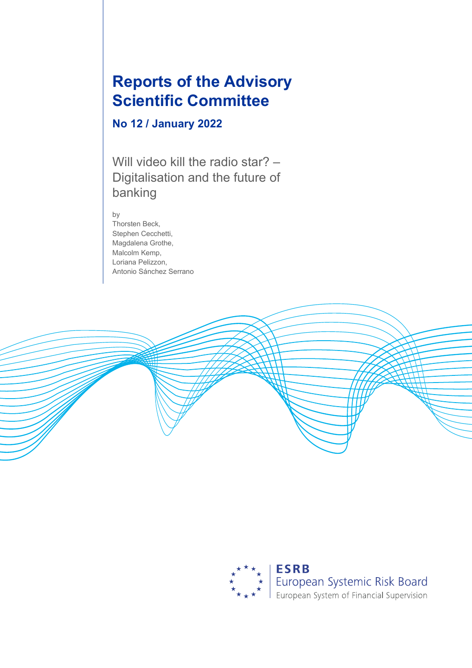# **Reports of the Advisory Scientific Committee**

# **No 12 / January 2022**

Will video kill the radio star? -Digitalisation and the future of banking

by

Thorsten Beck, Stephen Cecchetti, Magdalena Grothe, Malcolm Kemp, Loriana Pelizzon, Antonio Sánchez Serrano

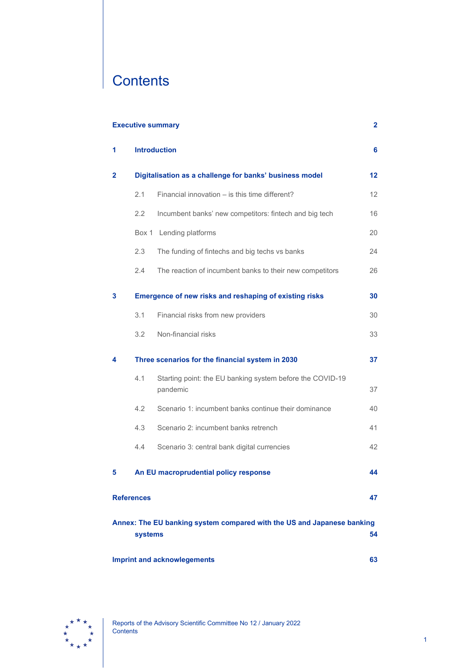# **Contents**

| <b>Executive summary</b><br>2                                                           |     |                                                                       |    |  |  |  |  |  |
|-----------------------------------------------------------------------------------------|-----|-----------------------------------------------------------------------|----|--|--|--|--|--|
| 1                                                                                       |     | <b>Introduction</b>                                                   | 6  |  |  |  |  |  |
| $\mathbf{2}$                                                                            |     | Digitalisation as a challenge for banks' business model               |    |  |  |  |  |  |
|                                                                                         | 2.1 | Financial innovation – is this time different?                        | 12 |  |  |  |  |  |
|                                                                                         | 2.2 | Incumbent banks' new competitors: fintech and big tech                | 16 |  |  |  |  |  |
|                                                                                         |     | Box 1 Lending platforms                                               | 20 |  |  |  |  |  |
|                                                                                         | 2.3 | The funding of fintechs and big techs vs banks                        | 24 |  |  |  |  |  |
|                                                                                         | 2.4 | The reaction of incumbent banks to their new competitors              | 26 |  |  |  |  |  |
| 3                                                                                       |     | Emergence of new risks and reshaping of existing risks                | 30 |  |  |  |  |  |
|                                                                                         | 3.1 | Financial risks from new providers                                    | 30 |  |  |  |  |  |
|                                                                                         | 3.2 | Non-financial risks                                                   | 33 |  |  |  |  |  |
| 4                                                                                       |     | Three scenarios for the financial system in 2030                      | 37 |  |  |  |  |  |
|                                                                                         | 4.1 | Starting point: the EU banking system before the COVID-19<br>pandemic | 37 |  |  |  |  |  |
|                                                                                         | 4.2 | Scenario 1: incumbent banks continue their dominance                  | 40 |  |  |  |  |  |
|                                                                                         | 4.3 | Scenario 2: incumbent banks retrench                                  | 41 |  |  |  |  |  |
|                                                                                         | 4.4 | Scenario 3: central bank digital currencies                           | 42 |  |  |  |  |  |
| 5                                                                                       |     | An EU macroprudential policy response                                 | 44 |  |  |  |  |  |
| <b>References</b><br>47                                                                 |     |                                                                       |    |  |  |  |  |  |
| Annex: The EU banking system compared with the US and Japanese banking<br>54<br>systems |     |                                                                       |    |  |  |  |  |  |
| <b>Imprint and acknowlegements</b><br>63                                                |     |                                                                       |    |  |  |  |  |  |

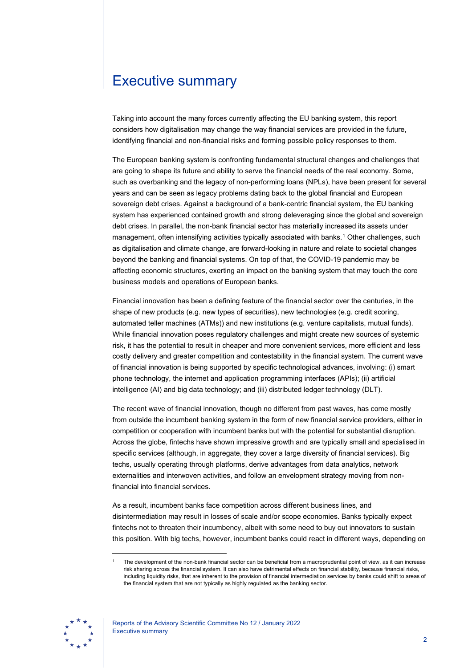# <span id="page-2-0"></span>Executive summary

Taking into account the many forces currently affecting the EU banking system, this report considers how digitalisation may change the way financial services are provided in the future, identifying financial and non-financial risks and forming possible policy responses to them.

The European banking system is confronting fundamental structural changes and challenges that are going to shape its future and ability to serve the financial needs of the real economy. Some, such as overbanking and the legacy of non-performing loans (NPLs), have been present for several years and can be seen as legacy problems dating back to the global financial and European sovereign debt crises. Against a background of a bank-centric financial system, the EU banking system has experienced contained growth and strong deleveraging since the global and sovereign debt crises. In parallel, the non-bank financial sector has materially increased its assets under management, often intensifying activities typically associated with banks. [1](#page-2-1) Other challenges, such as digitalisation and climate change, are forward-looking in nature and relate to societal changes beyond the banking and financial systems. On top of that, the COVID-19 pandemic may be affecting economic structures, exerting an impact on the banking system that may touch the core business models and operations of European banks.

Financial innovation has been a defining feature of the financial sector over the centuries, in the shape of new products (e.g. new types of securities), new technologies (e.g. credit scoring, automated teller machines (ATMs)) and new institutions (e.g. venture capitalists, mutual funds). While financial innovation poses regulatory challenges and might create new sources of systemic risk, it has the potential to result in cheaper and more convenient services, more efficient and less costly delivery and greater competition and contestability in the financial system. The current wave of financial innovation is being supported by specific technological advances, involving: (i) smart phone technology, the internet and application programming interfaces (APIs); (ii) artificial intelligence (AI) and big data technology; and (iii) distributed ledger technology (DLT).

The recent wave of financial innovation, though no different from past waves, has come mostly from outside the incumbent banking system in the form of new financial service providers, either in competition or cooperation with incumbent banks but with the potential for substantial disruption. Across the globe, fintechs have shown impressive growth and are typically small and specialised in specific services (although, in aggregate, they cover a large diversity of financial services). Big techs, usually operating through platforms, derive advantages from data analytics, network externalities and interwoven activities, and follow an envelopment strategy moving from nonfinancial into financial services.

As a result, incumbent banks face competition across different business lines, and disintermediation may result in losses of scale and/or scope economies. Banks typically expect fintechs not to threaten their incumbency, albeit with some need to buy out innovators to sustain this position. With big techs, however, incumbent banks could react in different ways, depending on

<span id="page-2-1"></span><sup>1</sup> The development of the non-bank financial sector can be beneficial from a macroprudential point of view, as it can increase risk sharing across the financial system. It can also have detrimental effects on financial stability, because financial risks, including liquidity risks, that are inherent to the provision of financial intermediation services by banks could shift to areas of the financial system that are not typically as highly regulated as the banking sector.

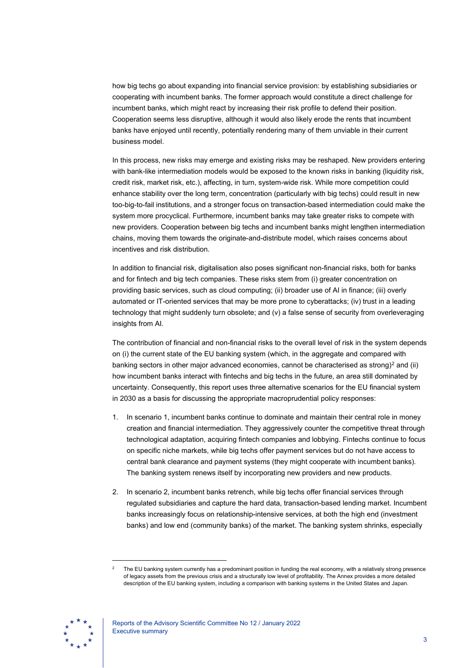how big techs go about expanding into financial service provision: by establishing subsidiaries or cooperating with incumbent banks. The former approach would constitute a direct challenge for incumbent banks, which might react by increasing their risk profile to defend their position. Cooperation seems less disruptive, although it would also likely erode the rents that incumbent banks have enjoyed until recently, potentially rendering many of them unviable in their current business model.

In this process, new risks may emerge and existing risks may be reshaped. New providers entering with bank-like intermediation models would be exposed to the known risks in banking (liquidity risk, credit risk, market risk, etc.), affecting, in turn, system-wide risk. While more competition could enhance stability over the long term, concentration (particularly with big techs) could result in new too-big-to-fail institutions, and a stronger focus on transaction-based intermediation could make the system more procyclical. Furthermore, incumbent banks may take greater risks to compete with new providers. Cooperation between big techs and incumbent banks might lengthen intermediation chains, moving them towards the originate-and-distribute model, which raises concerns about incentives and risk distribution.

In addition to financial risk, digitalisation also poses significant non-financial risks, both for banks and for fintech and big tech companies. These risks stem from (i) greater concentration on providing basic services, such as cloud computing; (ii) broader use of AI in finance; (iii) overly automated or IT-oriented services that may be more prone to cyberattacks; (iv) trust in a leading technology that might suddenly turn obsolete; and (v) a false sense of security from overleveraging insights from AI.

The contribution of financial and non-financial risks to the overall level of risk in the system depends on (i) the current state of the EU banking system (which, in the aggregate and compared with banking sectors in other major advanced economies, cannot be characterised as strong)<sup>[2](#page-3-0)</sup> and (ii) how incumbent banks interact with fintechs and big techs in the future, an area still dominated by uncertainty. Consequently, this report uses three alternative scenarios for the EU financial system in 2030 as a basis for discussing the appropriate macroprudential policy responses:

- 1. In scenario 1, incumbent banks continue to dominate and maintain their central role in money creation and financial intermediation. They aggressively counter the competitive threat through technological adaptation, acquiring fintech companies and lobbying. Fintechs continue to focus on specific niche markets, while big techs offer payment services but do not have access to central bank clearance and payment systems (they might cooperate with incumbent banks). The banking system renews itself by incorporating new providers and new products.
- 2. In scenario 2, incumbent banks retrench, while big techs offer financial services through regulated subsidiaries and capture the hard data, transaction-based lending market. Incumbent banks increasingly focus on relationship-intensive services, at both the high end (investment banks) and low end (community banks) of the market. The banking system shrinks, especially

<span id="page-3-0"></span>The EU banking system currently has a predominant position in funding the real economy, with a relatively strong presence of legacy assets from the previous crisis and a structurally low level of profitability. The Annex provides a more detailed description of the EU banking system, including a comparison with banking systems in the United States and Japan.

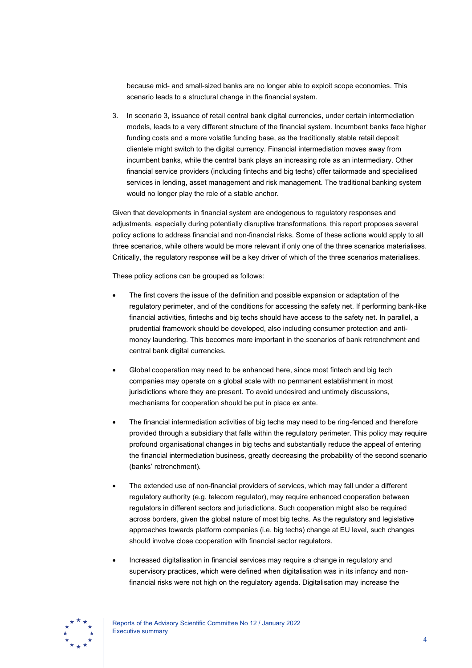because mid- and small-sized banks are no longer able to exploit scope economies. This scenario leads to a structural change in the financial system.

3. In scenario 3, issuance of retail central bank digital currencies, under certain intermediation models, leads to a very different structure of the financial system. Incumbent banks face higher funding costs and a more volatile funding base, as the traditionally stable retail deposit clientele might switch to the digital currency. Financial intermediation moves away from incumbent banks, while the central bank plays an increasing role as an intermediary. Other financial service providers (including fintechs and big techs) offer tailormade and specialised services in lending, asset management and risk management. The traditional banking system would no longer play the role of a stable anchor.

Given that developments in financial system are endogenous to regulatory responses and adjustments, especially during potentially disruptive transformations, this report proposes several policy actions to address financial and non-financial risks. Some of these actions would apply to all three scenarios, while others would be more relevant if only one of the three scenarios materialises. Critically, the regulatory response will be a key driver of which of the three scenarios materialises.

These policy actions can be grouped as follows:

- The first covers the issue of the definition and possible expansion or adaptation of the regulatory perimeter, and of the conditions for accessing the safety net. If performing bank-like financial activities, fintechs and big techs should have access to the safety net. In parallel, a prudential framework should be developed, also including consumer protection and antimoney laundering. This becomes more important in the scenarios of bank retrenchment and central bank digital currencies.
- Global cooperation may need to be enhanced here, since most fintech and big tech companies may operate on a global scale with no permanent establishment in most jurisdictions where they are present. To avoid undesired and untimely discussions, mechanisms for cooperation should be put in place ex ante.
- The financial intermediation activities of big techs may need to be ring-fenced and therefore provided through a subsidiary that falls within the regulatory perimeter. This policy may require profound organisational changes in big techs and substantially reduce the appeal of entering the financial intermediation business, greatly decreasing the probability of the second scenario (banks' retrenchment).
- The extended use of non-financial providers of services, which may fall under a different regulatory authority (e.g. telecom regulator), may require enhanced cooperation between regulators in different sectors and jurisdictions. Such cooperation might also be required across borders, given the global nature of most big techs. As the regulatory and legislative approaches towards platform companies (i.e. big techs) change at EU level, such changes should involve close cooperation with financial sector regulators.
- Increased digitalisation in financial services may require a change in regulatory and supervisory practices, which were defined when digitalisation was in its infancy and nonfinancial risks were not high on the regulatory agenda. Digitalisation may increase the

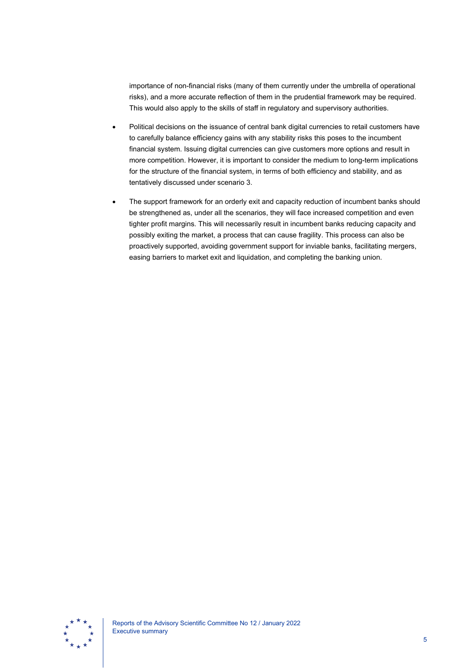importance of non-financial risks (many of them currently under the umbrella of operational risks), and a more accurate reflection of them in the prudential framework may be required. This would also apply to the skills of staff in regulatory and supervisory authorities.

- Political decisions on the issuance of central bank digital currencies to retail customers have to carefully balance efficiency gains with any stability risks this poses to the incumbent financial system. Issuing digital currencies can give customers more options and result in more competition. However, it is important to consider the medium to long-term implications for the structure of the financial system, in terms of both efficiency and stability, and as tentatively discussed under scenario 3.
- The support framework for an orderly exit and capacity reduction of incumbent banks should be strengthened as, under all the scenarios, they will face increased competition and even tighter profit margins. This will necessarily result in incumbent banks reducing capacity and possibly exiting the market, a process that can cause fragility. This process can also be proactively supported, avoiding government support for inviable banks, facilitating mergers, easing barriers to market exit and liquidation, and completing the banking union.

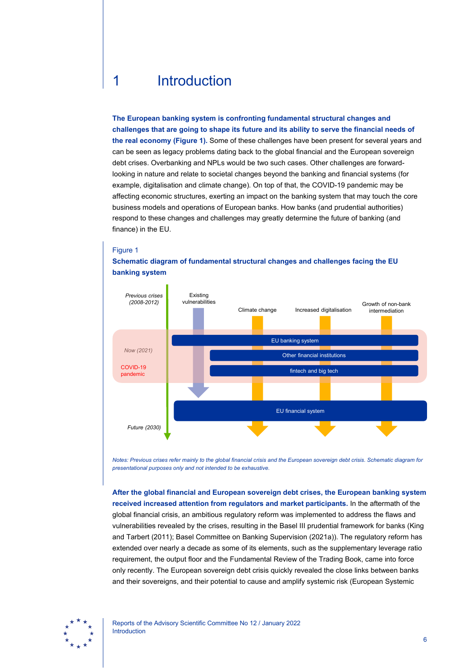# <span id="page-6-0"></span>1 Introduction

**The European banking system is confronting fundamental structural changes and challenges that are going to shape its future and its ability to serve the financial needs of the real economy (Figure 1).** Some of these challenges have been present for several years and can be seen as legacy problems dating back to the global financial and the European sovereign debt crises. Overbanking and NPLs would be two such cases. Other challenges are forwardlooking in nature and relate to societal changes beyond the banking and financial systems (for example, digitalisation and climate change). On top of that, the COVID-19 pandemic may be affecting economic structures, exerting an impact on the banking system that may touch the core business models and operations of European banks. How banks (and prudential authorities) respond to these changes and challenges may greatly determine the future of banking (and finance) in the EU.



Figure 1 **Schematic diagram of fundamental structural changes and challenges facing the EU** 

*Notes: Previous crises refer mainly to the global financial crisis and the European sovereign debt crisis. Schematic diagram for presentational purposes only and not intended to be exhaustive.* 

**After the global financial and European sovereign debt crises, the European banking system received increased attention from regulators and market participants.** In the aftermath of the global financial crisis, an ambitious regulatory reform was implemented to address the flaws and vulnerabilities revealed by the crises, resulting in the Basel III prudential framework for banks (King and Tarbert (2011); Basel Committee on Banking Supervision (2021a)). The regulatory reform has extended over nearly a decade as some of its elements, such as the supplementary leverage ratio requirement, the output floor and the Fundamental Review of the Trading Book, came into force only recently. The European sovereign debt crisis quickly revealed the close links between banks and their sovereigns, and their potential to cause and amplify systemic risk (European Systemic

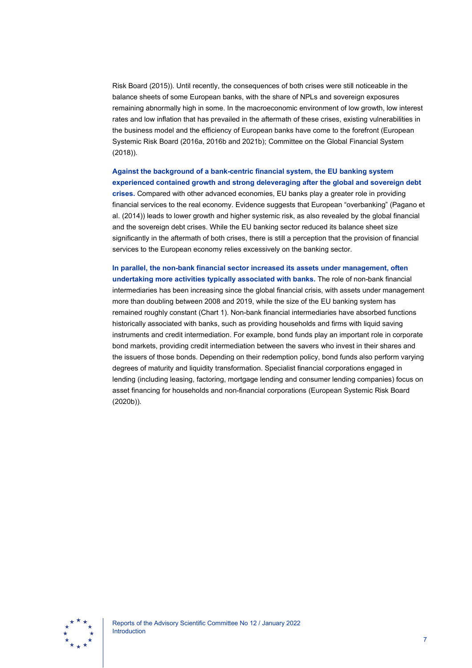Risk Board (2015)). Until recently, the consequences of both crises were still noticeable in the balance sheets of some European banks, with the share of NPLs and sovereign exposures remaining abnormally high in some. In the macroeconomic environment of low growth, low interest rates and low inflation that has prevailed in the aftermath of these crises, existing vulnerabilities in the business model and the efficiency of European banks have come to the forefront (European Systemic Risk Board (2016a, 2016b and 2021b); Committee on the Global Financial System (2018)).

# **Against the background of a bank-centric financial system, the EU banking system experienced contained growth and strong deleveraging after the global and sovereign debt**

**crises.** Compared with other advanced economies, EU banks play a greater role in providing financial services to the real economy. Evidence suggests that European "overbanking" (Pagano et al. (2014)) leads to lower growth and higher systemic risk, as also revealed by the global financial and the sovereign debt crises. While the EU banking sector reduced its balance sheet size significantly in the aftermath of both crises, there is still a perception that the provision of financial services to the European economy relies excessively on the banking sector.

**In parallel, the non-bank financial sector increased its assets under management, often undertaking more activities typically associated with banks.** The role of non-bank financial intermediaries has been increasing since the global financial crisis, with assets under management more than doubling between 2008 and 2019, while the size of the EU banking system has remained roughly constant (Chart 1). Non-bank financial intermediaries have absorbed functions historically associated with banks, such as providing households and firms with liquid saving instruments and credit intermediation. For example, bond funds play an important role in corporate bond markets, providing credit intermediation between the savers who invest in their shares and the issuers of those bonds. Depending on their redemption policy, bond funds also perform varying degrees of maturity and liquidity transformation. Specialist financial corporations engaged in lending (including leasing, factoring, mortgage lending and consumer lending companies) focus on asset financing for households and non-financial corporations (European Systemic Risk Board (2020b)).

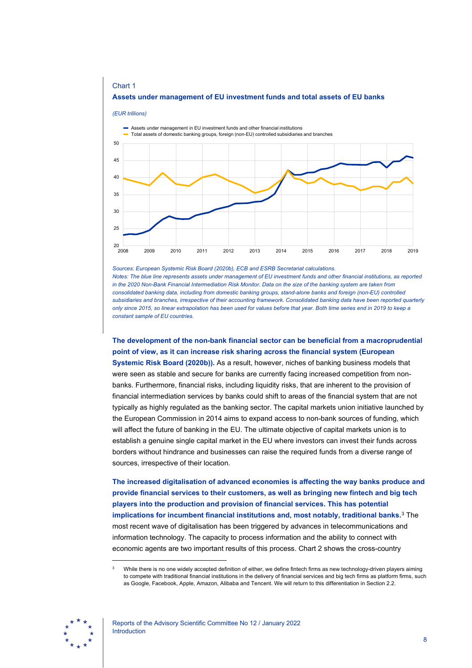

*Sources: European Systemic Risk Board (2020b), ECB and ESRB Secretariat calculations. Notes: The blue line represents assets under management of EU investment funds and other financial institutions, as reported in the 2020 Non-Bank Financial Intermediation Risk Monitor. Data on the size of the banking system are taken from consolidated banking data, including from domestic banking groups, stand-alone banks and foreign (non-EU) controlled subsidiaries and branches, irrespective of their accounting framework. Consolidated banking data have been reported quarterly only since 2015, so linear extrapolation has been used for values before that year. Both time series end in 2019 to keep a constant sample of EU countries.*

**The development of the non-bank financial sector can be beneficial from a macroprudential point of view, as it can increase risk sharing across the financial system (European Systemic Risk Board (2020b)).** As a result, however, niches of banking business models that were seen as stable and secure for banks are currently facing increased competition from nonbanks. Furthermore, financial risks, including liquidity risks, that are inherent to the provision of financial intermediation services by banks could shift to areas of the financial system that are not typically as highly regulated as the banking sector. The capital markets union initiative launched by the European Commission in 2014 aims to expand access to non-bank sources of funding, which will affect the future of banking in the EU. The ultimate objective of capital markets union is to establish a genuine single capital market in the EU where investors can invest their funds across borders without hindrance and businesses can raise the required funds from a diverse range of sources, irrespective of their location.

**The increased digitalisation of advanced economies is affecting the way banks produce and provide financial services to their customers, as well as bringing new fintech and big tech players into the production and provision of financial services. This has potential implications for incumbent financial institutions and, most notably, traditional banks.** [3](#page-8-0) The most recent wave of digitalisation has been triggered by advances in telecommunications and information technology. The capacity to process information and the ability to connect with economic agents are two important results of this process. Chart 2 shows the cross-country

<span id="page-8-0"></span><sup>3</sup> While there is no one widely accepted definition of either, we define fintech firms as new technology-driven players aiming to compete with traditional financial institutions in the delivery of financial services and big tech firms as platform firms, such as Google, Facebook, Apple, Amazon, Alibaba and Tencent. We will return to this differentiation in Section 2.2.

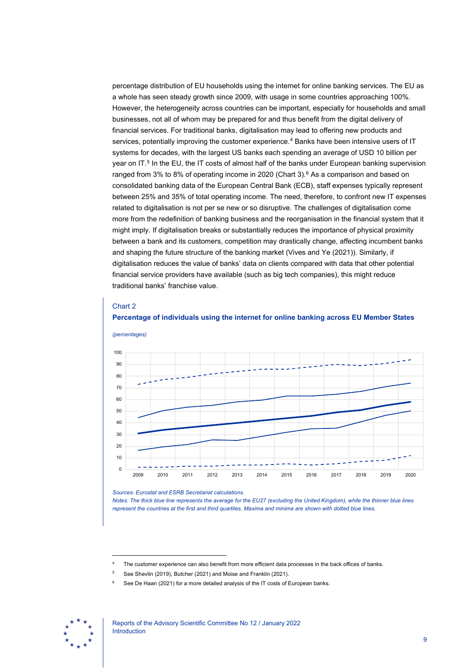percentage distribution of EU households using the internet for online banking services. The EU as a whole has seen steady growth since 2009, with usage in some countries approaching 100%. However, the heterogeneity across countries can be important, especially for households and small businesses, not all of whom may be prepared for and thus benefit from the digital delivery of financial services. For traditional banks, digitalisation may lead to offering new products and services, potentially improving the customer experience.<sup>[4](#page-9-0)</sup> Banks have been intensive users of IT systems for decades, with the largest US banks each spending an average of USD 10 billion per year on IT. [5](#page-9-1) In the EU, the IT costs of almost half of the banks under European banking supervision ranged from 3% to 8% of operating income in 2020 (Chart 3).<sup>[6](#page-9-2)</sup> As a comparison and based on consolidated banking data of the European Central Bank (ECB), staff expenses typically represent between 25% and 35% of total operating income. The need, therefore, to confront new IT expenses related to digitalisation is not per se new or so disruptive. The challenges of digitalisation come more from the redefinition of banking business and the reorganisation in the financial system that it might imply. If digitalisation breaks or substantially reduces the importance of physical proximity between a bank and its customers, competition may drastically change, affecting incumbent banks and shaping the future structure of the banking market (Vives and Ye (2021)). Similarly, if digitalisation reduces the value of banks' data on clients compared with data that other potential financial service providers have available (such as big tech companies), this might reduce traditional banks' franchise value.

### Chart 2





*Sources: Eurostat and ESRB Secretariat calculations.*

*Notes: The thick blue line represents the average for the EU27 (excluding the United Kingdom), while the thinner blue lines represent the countries at the first and third quartiles. Maxima and minima are shown with dotted blue lines.*

- <sup>5</sup> See Shevlin (2019), Butcher (2021) and Moise and Franklin (2021).
- See De Haan (2021) for a more detailed analysis of the IT costs of European banks.

<span id="page-9-2"></span><span id="page-9-1"></span><span id="page-9-0"></span>

The customer experience can also benefit from more efficient data processes in the back offices of banks.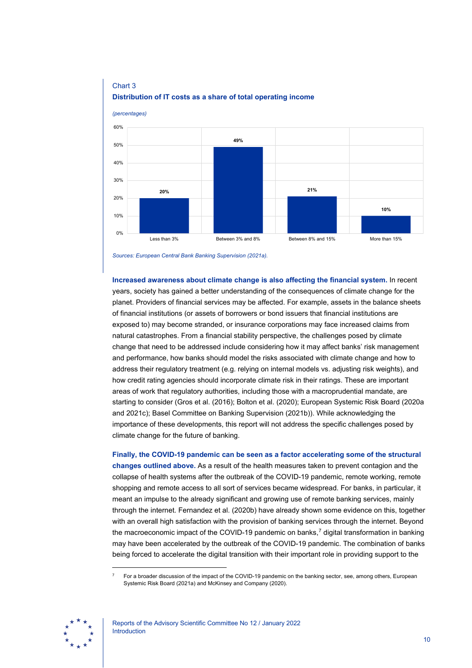

## Chart 3 **Distribution of IT costs as a share of total operating income**

*Sources: European Central Bank Banking Supervision (2021a).*

**Increased awareness about climate change is also affecting the financial system.** In recent years, society has gained a better understanding of the consequences of climate change for the planet. Providers of financial services may be affected. For example, assets in the balance sheets of financial institutions (or assets of borrowers or bond issuers that financial institutions are exposed to) may become stranded, or insurance corporations may face increased claims from natural catastrophes. From a financial stability perspective, the challenges posed by climate change that need to be addressed include considering how it may affect banks' risk management and performance, how banks should model the risks associated with climate change and how to address their regulatory treatment (e.g. relying on internal models vs. adjusting risk weights), and how credit rating agencies should incorporate climate risk in their ratings. These are important areas of work that regulatory authorities, including those with a macroprudential mandate, are starting to consider (Gros et al. (2016); Bolton et al. (2020); European Systemic Risk Board (2020a and 2021c); Basel Committee on Banking Supervision (2021b)). While acknowledging the importance of these developments, this report will not address the specific challenges posed by climate change for the future of banking.

**Finally, the COVID-19 pandemic can be seen as a factor accelerating some of the structural changes outlined above.** As a result of the health measures taken to prevent contagion and the collapse of health systems after the outbreak of the COVID-19 pandemic, remote working, remote shopping and remote access to all sort of services became widespread. For banks, in particular, it meant an impulse to the already significant and growing use of remote banking services, mainly through the internet. Fernandez et al. (2020b) have already shown some evidence on this, together with an overall high satisfaction with the provision of banking services through the internet. Beyond the macroeconomic impact of the COVID-19 pandemic on banks,[7](#page-10-0) digital transformation in banking may have been accelerated by the outbreak of the COVID-19 pandemic. The combination of banks being forced to accelerate the digital transition with their important role in providing support to the

<span id="page-10-0"></span><sup>7</sup> For a broader discussion of the impact of the COVID-19 pandemic on the banking sector, see, among others, European Systemic Risk Board (2021a) and McKinsey and Company (2020).

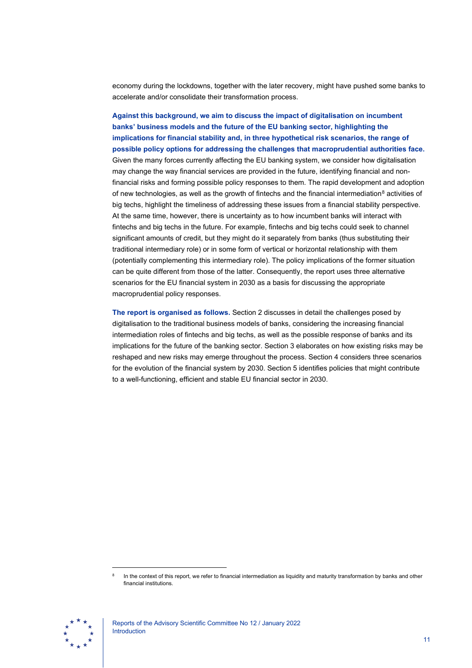economy during the lockdowns, together with the later recovery, might have pushed some banks to accelerate and/or consolidate their transformation process.

**Against this background, we aim to discuss the impact of digitalisation on incumbent banks' business models and the future of the EU banking sector, highlighting the implications for financial stability and, in three hypothetical risk scenarios, the range of possible policy options for addressing the challenges that macroprudential authorities face.** Given the many forces currently affecting the EU banking system, we consider how digitalisation may change the way financial services are provided in the future, identifying financial and nonfinancial risks and forming possible policy responses to them. The rapid development and adoption of new technologies, as well as the growth of fintechs and the financial intermediation<sup>[8](#page-11-0)</sup> activities of big techs, highlight the timeliness of addressing these issues from a financial stability perspective. At the same time, however, there is uncertainty as to how incumbent banks will interact with fintechs and big techs in the future. For example, fintechs and big techs could seek to channel significant amounts of credit, but they might do it separately from banks (thus substituting their traditional intermediary role) or in some form of vertical or horizontal relationship with them (potentially complementing this intermediary role). The policy implications of the former situation can be quite different from those of the latter. Consequently, the report uses three alternative scenarios for the EU financial system in 2030 as a basis for discussing the appropriate macroprudential policy responses.

**The report is organised as follows.** Section 2 discusses in detail the challenges posed by digitalisation to the traditional business models of banks, considering the increasing financial intermediation roles of fintechs and big techs, as well as the possible response of banks and its implications for the future of the banking sector. Section 3 elaborates on how existing risks may be reshaped and new risks may emerge throughout the process. Section 4 considers three scenarios for the evolution of the financial system by 2030. Section 5 identifies policies that might contribute to a well-functioning, efficient and stable EU financial sector in 2030.

<span id="page-11-0"></span>In the context of this report, we refer to financial intermediation as liquidity and maturity transformation by banks and other financial institutions.

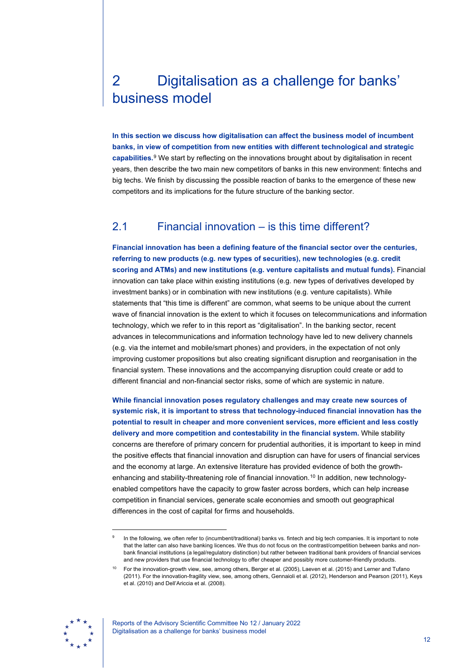# <span id="page-12-0"></span>2 Digitalisation as a challenge for banks' business model

**In this section we discuss how digitalisation can affect the business model of incumbent banks, in view of competition from new entities with different technological and strategic capabilities.**[9](#page-12-2) We start by reflecting on the innovations brought about by digitalisation in recent years, then describe the two main new competitors of banks in this new environment: fintechs and big techs. We finish by discussing the possible reaction of banks to the emergence of these new competitors and its implications for the future structure of the banking sector.

# <span id="page-12-1"></span>2.1 Financial innovation – is this time different?

**Financial innovation has been a defining feature of the financial sector over the centuries, referring to new products (e.g. new types of securities), new technologies (e.g. credit scoring and ATMs) and new institutions (e.g. venture capitalists and mutual funds).** Financial innovation can take place within existing institutions (e.g. new types of derivatives developed by investment banks) or in combination with new institutions (e.g. venture capitalists). While statements that "this time is different" are common, what seems to be unique about the current wave of financial innovation is the extent to which it focuses on telecommunications and information technology, which we refer to in this report as "digitalisation". In the banking sector, recent advances in telecommunications and information technology have led to new delivery channels (e.g. via the internet and mobile/smart phones) and providers, in the expectation of not only improving customer propositions but also creating significant disruption and reorganisation in the financial system. These innovations and the accompanying disruption could create or add to different financial and non-financial sector risks, some of which are systemic in nature.

**While financial innovation poses regulatory challenges and may create new sources of systemic risk, it is important to stress that technology-induced financial innovation has the potential to result in cheaper and more convenient services, more efficient and less costly delivery and more competition and contestability in the financial system.** While stability concerns are therefore of primary concern for prudential authorities, it is important to keep in mind the positive effects that financial innovation and disruption can have for users of financial services and the economy at large. An extensive literature has provided evidence of both the growthenhancing and stability-threatening role of financial innovation. [10](#page-12-3) In addition, new technologyenabled competitors have the capacity to grow faster across borders, which can help increase competition in financial services, generate scale economies and smooth out geographical differences in the cost of capital for firms and households.

<span id="page-12-3"></span><span id="page-12-2"></span>For the innovation-growth view, see, among others, Berger et al. (2005), Laeven et al. (2015) and Lerner and Tufano (2011). For the innovation-fragility view, see, among others, Gennaioli et al. (2012), Henderson and Pearson (2011), Keys et al. (2010) and Dell'Ariccia et al. (2008).



Reports of the Advisory Scientific Committee No 12 / January 2022 Digitalisation as a challenge for banks' business model

In the following, we often refer to (incumbent/traditional) banks vs. fintech and big tech companies. It is important to note that the latter can also have banking licences. We thus do not focus on the contrast/competition between banks and nonbank financial institutions (a legal/regulatory distinction) but rather between traditional bank providers of financial services and new providers that use financial technology to offer cheaper and possibly more customer-friendly products.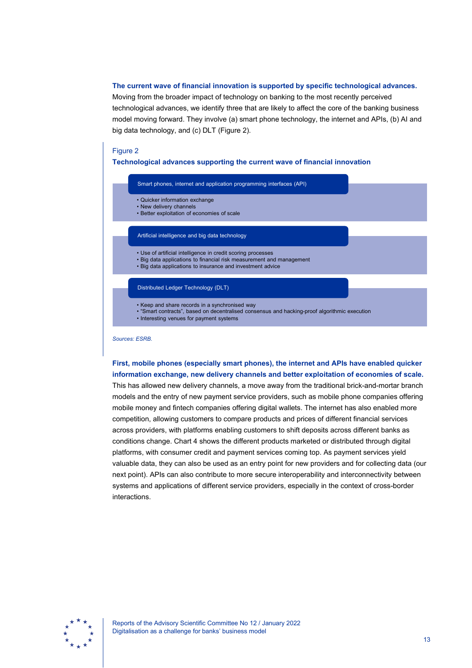### **The current wave of financial innovation is supported by specific technological advances.**

Moving from the broader impact of technology on banking to the most recently perceived technological advances, we identify three that are likely to affect the core of the banking business model moving forward. They involve (a) smart phone technology, the internet and APIs, (b) AI and big data technology, and (c) DLT (Figure 2).

### Figure 2

**Technological advances supporting the current wave of financial innovation**



*Sources: ESRB.*

**First, mobile phones (especially smart phones), the internet and APIs have enabled quicker information exchange, new delivery channels and better exploitation of economies of scale.** This has allowed new delivery channels, a move away from the traditional brick-and-mortar branch models and the entry of new payment service providers, such as mobile phone companies offering mobile money and fintech companies offering digital wallets. The internet has also enabled more competition, allowing customers to compare products and prices of different financial services across providers, with platforms enabling customers to shift deposits across different banks as conditions change. Chart 4 shows the different products marketed or distributed through digital platforms, with consumer credit and payment services coming top. As payment services yield valuable data, they can also be used as an entry point for new providers and for collecting data (our next point). APIs can also contribute to more secure interoperability and interconnectivity between systems and applications of different service providers, especially in the context of cross-border interactions.

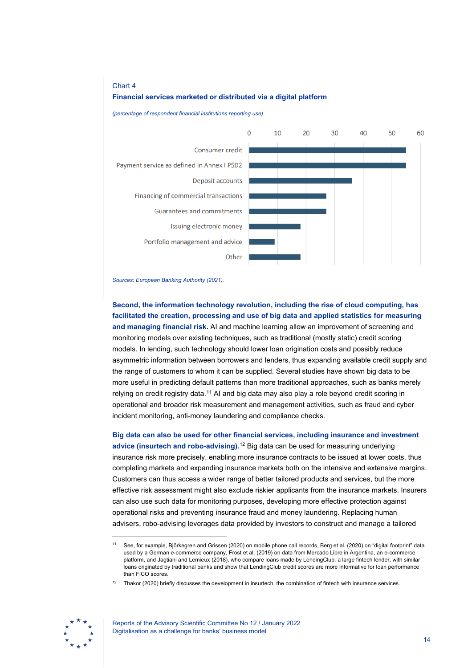

*(percentage of respondent financial institutions reporting use)*



*Sources: European Banking Authority (2021).*

**Second, the information technology revolution, including the rise of cloud computing, has facilitated the creation, processing and use of big data and applied statistics for measuring and managing financial risk.** AI and machine learning allow an improvement of screening and monitoring models over existing techniques, such as traditional (mostly static) credit scoring models. In lending, such technology should lower loan origination costs and possibly reduce asymmetric information between borrowers and lenders, thus expanding available credit supply and the range of customers to whom it can be supplied. Several studies have shown big data to be more useful in predicting default patterns than more traditional approaches, such as banks merely relying on credit registry data.<sup>[11](#page-14-0)</sup> AI and big data may also play a role beyond credit scoring in operational and broader risk measurement and management activities, such as fraud and cyber incident monitoring, anti-money laundering and compliance checks.

**Big data can also be used for other financial services, including insurance and investment advice (insurtech and robo-advising).**[12](#page-14-1) Big data can be used for measuring underlying insurance risk more precisely, enabling more insurance contracts to be issued at lower costs, thus completing markets and expanding insurance markets both on the intensive and extensive margins. Customers can thus access a wider range of better tailored products and services, but the more effective risk assessment might also exclude riskier applicants from the insurance markets. Insurers can also use such data for monitoring purposes, developing more effective protection against operational risks and preventing insurance fraud and money laundering. Replacing human advisers, robo-advising leverages data provided by investors to construct and manage a tailored

<span id="page-14-1"></span><span id="page-14-0"></span><sup>12</sup> Thakor (2020) briefly discusses the development in insurtech, the combination of fintech with insurance services.



<sup>11</sup> See, for example, Björkegren and Grissen (2020) on mobile phone call records, Berg et al. (2020) on "digital footprint" data used by a German e-commerce company, Frost et al. (2019) on data from Mercado Libre in Argentina, an e-commerce platform, and Jagtiani and Lemieux (2018), who compare loans made by LendingClub, a large fintech lender, with similar loans originated by traditional banks and show that LendingClub credit scores are more informative for loan performance than FICO scores.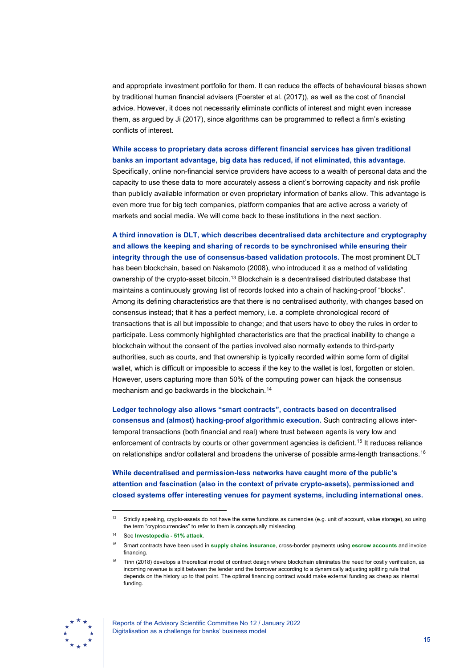and appropriate investment portfolio for them. It can reduce the effects of behavioural biases shown by traditional human financial advisers (Foerster et al. (2017)), as well as the cost of financial advice. However, it does not necessarily eliminate conflicts of interest and might even increase them, as argued by Ji (2017), since algorithms can be programmed to reflect a firm's existing conflicts of interest.

### **While access to proprietary data across different financial services has given traditional banks an important advantage, big data has reduced, if not eliminated, this advantage.**

Specifically, online non-financial service providers have access to a wealth of personal data and the capacity to use these data to more accurately assess a client's borrowing capacity and risk profile than publicly available information or even proprietary information of banks allow. This advantage is even more true for big tech companies, platform companies that are active across a variety of markets and social media. We will come back to these institutions in the next section.

**A third innovation is DLT, which describes decentralised data architecture and cryptography and allows the keeping and sharing of records to be synchronised while ensuring their integrity through the use of consensus-based validation protocols.** The most prominent DLT has been blockchain, based on Nakamoto (2008), who introduced it as a method of validating ownership of the crypto-asset bitcoin.[13](#page-15-0) Blockchain is a decentralised distributed database that maintains a continuously growing list of records locked into a chain of hacking-proof "blocks". Among its defining characteristics are that there is no centralised authority, with changes based on consensus instead; that it has a perfect memory, i.e. a complete chronological record of transactions that is all but impossible to change; and that users have to obey the rules in order to participate. Less commonly highlighted characteristics are that the practical inability to change a blockchain without the consent of the parties involved also normally extends to third-party authorities, such as courts, and that ownership is typically recorded within some form of digital wallet, which is difficult or impossible to access if the key to the wallet is lost, forgotten or stolen. However, users capturing more than 50% of the computing power can hijack the consensus mechanism and go backwards in the blockchain.[14](#page-15-1)

**Ledger technology also allows "smart contracts", contracts based on decentralised consensus and (almost) hacking-proof algorithmic execution.** Such contracting allows intertemporal transactions (both financial and real) where trust between agents is very low and enforcement of contracts by courts or other government agencies is deficient.<sup>[15](#page-15-2)</sup> It reduces reliance on relationships and/or collateral and broadens the universe of possible arms-length transactions.<sup>[16](#page-15-3)</sup>

**While decentralised and permission-less networks have caught more of the public's attention and fascination (also in the context of private crypto-assets), permissioned and closed systems offer interesting venues for payment systems, including international ones.**

<span id="page-15-3"></span><span id="page-15-2"></span><span id="page-15-1"></span><span id="page-15-0"></span><sup>16</sup> Tinn (2018) develops a theoretical model of contract design where blockchain eliminates the need for costly verification, as incoming revenue is split between the lender and the borrower according to a dynamically adjusting splitting rule that depends on the history up to that point. The optimal financing contract would make external funding as cheap as internal funding.



Reports of the Advisory Scientific Committee No 12 / January 2022 Digitalisation as a challenge for banks' business model

<sup>&</sup>lt;sup>13</sup> Strictly speaking, crypto-assets do not have the same functions as currencies (e.g. unit of account, value storage), so using the term "cryptocurrencies" to refer to them is conceptually misleading.

<sup>14</sup> See **[Investopedia -](https://www.investopedia.com/terms/1/51-attack.asp) 51% attack**.

<sup>15</sup> Smart contracts have been used in **[supply chains](https://www.freightwaves.com/news/blockchain/skycellblockchaincoldchain) [insurance](https://www.axa.com/en/magazine/axa-goes-blockchain-with-fizzy)**, cross-border payments using **[escrow accounts](https://propy.com/browse/)** and invoice financing.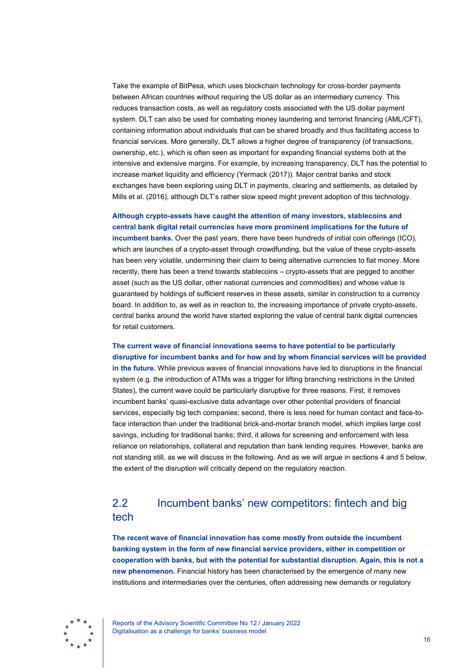Take the example of BitPesa, which uses blockchain technology for cross-border payments between African countries without requiring the US dollar as an intermediary currency. This reduces transaction costs, as well as regulatory costs associated with the US dollar payment system. DLT can also be used for combating money laundering and terrorist financing (AML/CFT), containing information about individuals that can be shared broadly and thus facilitating access to financial services. More generally, DLT allows a higher degree of transparency (of transactions, ownership, etc.), which is often seen as important for expanding financial systems both at the intensive and extensive margins. For example, by increasing transparency, DLT has the potential to increase market liquidity and efficiency (Yermack (2017)). Major central banks and stock exchanges have been exploring using DLT in payments, clearing and settlements, as detailed by Mills et al. (2016), although DLT's rather slow speed might prevent adoption of this technology.

**Although crypto-assets have caught the attention of many investors, stablecoins and central bank digital retail currencies have more prominent implications for the future of incumbent banks.** Over the past years, there have been hundreds of initial coin offerings (ICO), which are launches of a crypto-asset through crowdfunding, but the value of these crypto-assets has been very volatile, undermining their claim to being alternative currencies to fiat money. More recently, there has been a trend towards stablecoins – crypto-assets that are pegged to another asset (such as the US dollar, other national currencies and commodities) and whose value is guaranteed by holdings of sufficient reserves in these assets, similar in construction to a currency board. In addition to, as well as in reaction to, the increasing importance of private crypto-assets, central banks around the world have started exploring the value of central bank digital currencies for retail customers.

**The current wave of financial innovations seems to have potential to be particularly disruptive for incumbent banks and for how and by whom financial services will be provided in the future.** While previous waves of financial innovations have led to disruptions in the financial system (e.g. the introduction of ATMs was a trigger for lifting branching restrictions in the United States), the current wave could be particularly disruptive for three reasons. First, it removes incumbent banks' quasi-exclusive data advantage over other potential providers of financial services, especially big tech companies; second, there is less need for human contact and face-toface interaction than under the traditional brick-and-mortar branch model, which implies large cost savings, including for traditional banks; third, it allows for screening and enforcement with less reliance on relationships, collateral and reputation than bank lending requires. However, banks are not standing still, as we will discuss in the following. And as we will argue in sections 4 and 5 below, the extent of the disruption will critically depend on the regulatory reaction.

# <span id="page-16-0"></span>2.2 Incumbent banks' new competitors: fintech and big tech

**The recent wave of financial innovation has come mostly from outside the incumbent banking system in the form of new financial service providers, either in competition or cooperation with banks, but with the potential for substantial disruption. Again, this is not a new phenomenon.** Financial history has been characterised by the emergence of many new institutions and intermediaries over the centuries, often addressing new demands or regulatory

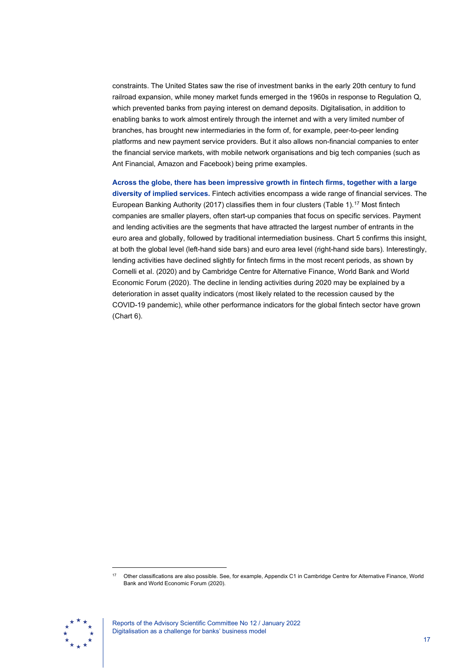constraints. The United States saw the rise of investment banks in the early 20th century to fund railroad expansion, while money market funds emerged in the 1960s in response to Regulation Q, which prevented banks from paying interest on demand deposits. Digitalisation, in addition to enabling banks to work almost entirely through the internet and with a very limited number of branches, has brought new intermediaries in the form of, for example, peer-to-peer lending platforms and new payment service providers. But it also allows non-financial companies to enter the financial service markets, with mobile network organisations and big tech companies (such as Ant Financial, Amazon and Facebook) being prime examples.

**Across the globe, there has been impressive growth in fintech firms, together with a large diversity of implied services.** Fintech activities encompass a wide range of financial services. The European Banking Authority (2017) classifies them in four clusters (Table 1).[17](#page-17-0) Most fintech companies are smaller players, often start-up companies that focus on specific services. Payment and lending activities are the segments that have attracted the largest number of entrants in the euro area and globally, followed by traditional intermediation business. Chart 5 confirms this insight, at both the global level (left-hand side bars) and euro area level (right-hand side bars). Interestingly, lending activities have declined slightly for fintech firms in the most recent periods, as shown by Cornelli et al. (2020) and by Cambridge Centre for Alternative Finance, World Bank and World Economic Forum (2020). The decline in lending activities during 2020 may be explained by a deterioration in asset quality indicators (most likely related to the recession caused by the COVID-19 pandemic), while other performance indicators for the global fintech sector have grown (Chart 6).

<span id="page-17-0"></span><sup>17</sup> Other classifications are also possible. See, for example, Appendix C1 in Cambridge Centre for Alternative Finance, World Bank and World Economic Forum (2020).



Reports of the Advisory Scientific Committee No 12 / January 2022 Digitalisation as a challenge for banks' business model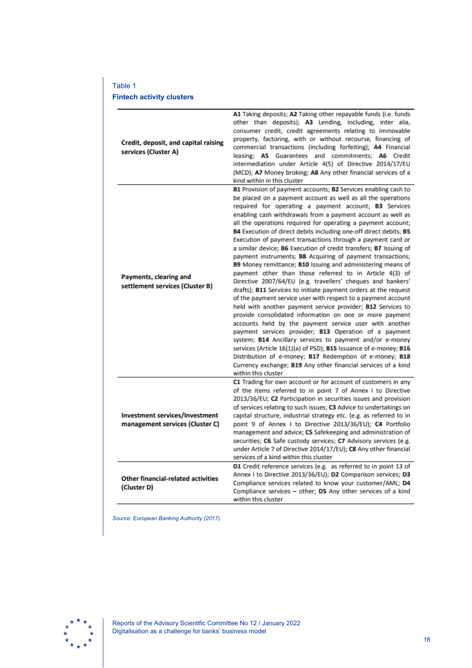## Table 1

### **Fintech activity clusters**

| Credit, deposit, and capital raising<br>services (Cluster A)             | A1 Taking deposits; A2 Taking other repayable funds (i.e. funds<br>other than deposits); A3 Lending, including, inter alia,<br>consumer credit, credit agreements relating to immovable<br>property, factoring, with or without recourse, financing of<br>commercial transactions (including forfeiting); A4 Financial<br>leasing; A5 Guarantees and commitments; A6 Credit<br>intermediation under Article 4(5) of Directive 2014/17/EU<br>(MCD); A7 Money broking; A8 Any other financial services of a<br>kind within in this cluster<br>B1 Provision of payment accounts; B2 Services enabling cash to<br>be placed on a payment account as well as all the operations<br>required for operating a payment account; B3 Services                                                                                                                                                                                                                                                                                                                                                                                                                                                                                                                             |
|--------------------------------------------------------------------------|-----------------------------------------------------------------------------------------------------------------------------------------------------------------------------------------------------------------------------------------------------------------------------------------------------------------------------------------------------------------------------------------------------------------------------------------------------------------------------------------------------------------------------------------------------------------------------------------------------------------------------------------------------------------------------------------------------------------------------------------------------------------------------------------------------------------------------------------------------------------------------------------------------------------------------------------------------------------------------------------------------------------------------------------------------------------------------------------------------------------------------------------------------------------------------------------------------------------------------------------------------------------|
| Payments, clearing and<br>settlement services (Cluster B)                | enabling cash withdrawals from a payment account as well as<br>all the operations required for operating a payment account;<br>B4 Execution of direct debits including one-off direct debits; B5<br>Execution of payment transactions through a payment card or<br>a similar device; B6 Execution of credit transfers; B7 Issuing of<br>payment instruments; B8 Acquiring of payment transactions;<br>B9 Money remittance; B10 Issuing and administering means of<br>payment other than those referred to in Article 4(3) of<br>Directive 2007/64/EU (e.g. travellers' cheques and bankers'<br>drafts); B11 Services to initiate payment orders at the request<br>of the payment service user with respect to a payment account<br>held with another payment service provider; B12 Services to<br>provide consolidated information on one or more payment<br>accounts held by the payment service user with another<br>payment services provider; B13 Operation of a payment<br>system; B14 Ancillary services to payment and/or e-money<br>services (Article 16(1)(a) of PSD); B15 Issuance of e-money; B16<br>Distribution of e-money; B17 Redemption of e-money; B18<br>Currency exchange; B19 Any other financial services of a kind<br>within this cluster |
| <b>Investment services/Investment</b><br>management services (Cluster C) | C1 Trading for own account or for account of customers in any<br>of the items referred to in point 7 of Annex I to Directive<br>2013/36/EU; C2 Participation in securities issues and provision<br>of services relating to such issues; C3 Advice to undertakings on<br>capital structure, industrial strategy etc. (e.g. as referred to in<br>point 9 of Annex I to Directive 2013/36/EU); C4 Portfolio<br>management and advice; C5 Safekeeping and administration of<br>securities; C6 Safe custody services; C7 Advisory services (e.g.<br>under Article 7 of Directive 2014/17/EU); C8 Any other financial<br>services of a kind within this cluster                                                                                                                                                                                                                                                                                                                                                                                                                                                                                                                                                                                                       |
| <b>Other financial-related activities</b><br>(Cluster D)                 | D1 Credit reference services (e.g. as referred to in point 13 of<br>Annex I to Directive 2013/36/EU); D2 Comparison services; D3<br>Compliance services related to know your customer/AML; D4<br>Compliance services - other; D5 Any other services of a kind<br>within this cluster                                                                                                                                                                                                                                                                                                                                                                                                                                                                                                                                                                                                                                                                                                                                                                                                                                                                                                                                                                            |

*Source: European Banking Authority (2017).*

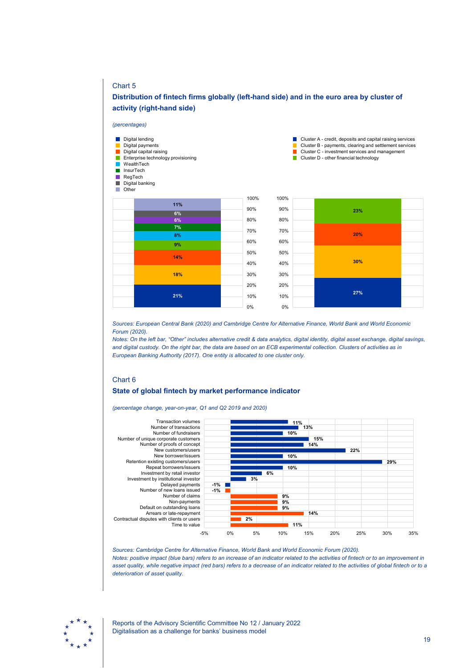### Chart 5

### **Distribution of fintech firms globally (left-hand side) and in the euro area by cluster of activity (right-hand side)**



*Sources: European Central Bank (2020) and Cambridge Centre for Alternative Finance, World Bank and World Economic Forum (2020).*

*Notes: On the left bar, "Other" includes alternative credit & data analytics, digital identity, digital asset exchange, digital savings, and digital custody. On the right bar, the data are based on an ECB experimental collection. Clusters of activities as in European Banking Authority (2017). One entity is allocated to one cluster only.*

### Chart 6

### **State of global fintech by market performance indicator**

*(percentage change, year-on-year, Q1 and Q2 2019 and 2020)*



*Sources: Cambridge Centre for Alternative Finance, World Bank and World Economic Forum (2020). Notes: positive impact (blue bars) refers to an increase of an indicator related to the activities of fintech or to an improvement in asset quality, while negative impact (red bars) refers to a decrease of an indicator related to the activities of global fintech or to a deterioration of asset quality.*

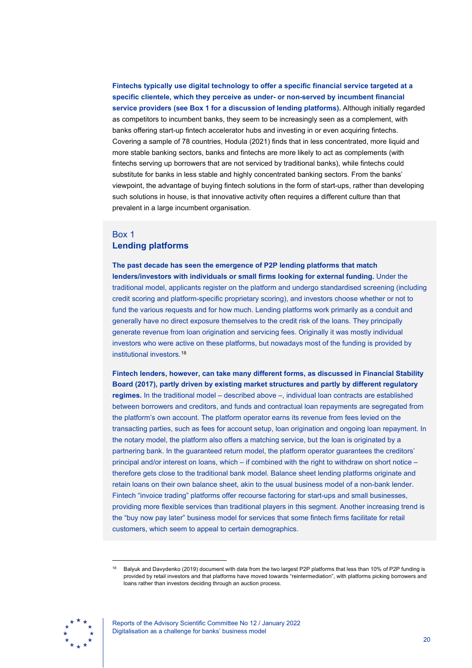**Fintechs typically use digital technology to offer a specific financial service targeted at a specific clientele, which they perceive as under- or non-served by incumbent financial service providers (see Box 1 for a discussion of lending platforms).** Although initially regarded as competitors to incumbent banks, they seem to be increasingly seen as a complement, with banks offering start-up fintech accelerator hubs and investing in or even acquiring fintechs. Covering a sample of 78 countries, Hodula (2021) finds that in less concentrated, more liquid and more stable banking sectors, banks and fintechs are more likely to act as complements (with fintechs serving up borrowers that are not serviced by traditional banks), while fintechs could substitute for banks in less stable and highly concentrated banking sectors. From the banks' viewpoint, the advantage of buying fintech solutions in the form of start-ups, rather than developing such solutions in house, is that innovative activity often requires a different culture than that prevalent in a large incumbent organisation.

## <span id="page-20-0"></span>Box 1 **Lending platforms**

**The past decade has seen the emergence of P2P lending platforms that match lenders/investors with individuals or small firms looking for external funding.** Under the traditional model, applicants register on the platform and undergo standardised screening (including credit scoring and platform-specific proprietary scoring), and investors choose whether or not to fund the various requests and for how much. Lending platforms work primarily as a conduit and generally have no direct exposure themselves to the credit risk of the loans. They principally generate revenue from loan origination and servicing fees. Originally it was mostly individual investors who were active on these platforms, but nowadays most of the funding is provided by institutional investors.[18](#page-20-1)

**Fintech lenders, however, can take many different forms, as discussed in Financial Stability Board (2017), partly driven by existing market structures and partly by different regulatory regimes.** In the traditional model – described above –, individual loan contracts are established between borrowers and creditors, and funds and contractual loan repayments are segregated from the platform's own account. The platform operator earns its revenue from fees levied on the transacting parties, such as fees for account setup, loan origination and ongoing loan repayment. In the notary model, the platform also offers a matching service, but the loan is originated by a partnering bank. In the guaranteed return model, the platform operator guarantees the creditors' principal and/or interest on loans, which – if combined with the right to withdraw on short notice – therefore gets close to the traditional bank model. Balance sheet lending platforms originate and retain loans on their own balance sheet, akin to the usual business model of a non-bank lender. Fintech "invoice trading" platforms offer recourse factoring for start-ups and small businesses, providing more flexible services than traditional players in this segment. Another increasing trend is the "buy now pay later" business model for services that some fintech firms facilitate for retail customers, which seem to appeal to certain demographics.

<span id="page-20-1"></span><sup>18</sup> Balyuk and Davydenko (2019) document with data from the two largest P2P platforms that less than 10% of P2P funding is provided by retail investors and that platforms have moved towards "reintermediation", with platforms picking borrowers and loans rather than investors deciding through an auction process.



Reports of the Advisory Scientific Committee No 12 / January 2022 Digitalisation as a challenge for banks' business model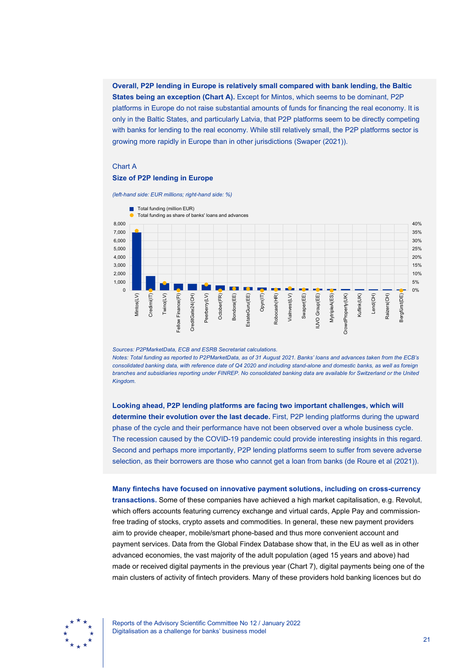**Overall, P2P lending in Europe is relatively small compared with bank lending, the Baltic States being an exception (Chart A).** Except for Mintos, which seems to be dominant, P2P platforms in Europe do not raise substantial amounts of funds for financing the real economy. It is only in the Baltic States, and particularly Latvia, that P2P platforms seem to be directly competing with banks for lending to the real economy. While still relatively small, the P2P platforms sector is growing more rapidly in Europe than in other jurisdictions (Swaper (2021)).

#### Chart A

### **Size of P2P lending in Europe**



*(left-hand side: EUR millions; right-hand side: %)*

*Sources: P2PMarketData, ECB and ESRB Secretariat calculations.*

*Notes: Total funding as reported to P2PMarketData, as of 31 August 2021. Banks' loans and advances taken from the ECB's consolidated banking data, with reference date of Q4 2020 and including stand-alone and domestic banks, as well as foreign branches and subsidiaries reporting under FINREP. No consolidated banking data are available for Switzerland or the United Kingdom.*

**Looking ahead, P2P lending platforms are facing two important challenges, which will determine their evolution over the last decade.** First, P2P lending platforms during the upward phase of the cycle and their performance have not been observed over a whole business cycle. The recession caused by the COVID-19 pandemic could provide interesting insights in this regard. Second and perhaps more importantly, P2P lending platforms seem to suffer from severe adverse selection, as their borrowers are those who cannot get a loan from banks (de Roure et al (2021)).

**Many fintechs have focused on innovative payment solutions, including on cross-currency transactions.** Some of these companies have achieved a high market capitalisation, e.g. Revolut, which offers accounts featuring currency exchange and virtual cards, Apple Pay and commissionfree trading of stocks, crypto assets and commodities. In general, these new payment providers aim to provide cheaper, mobile/smart phone-based and thus more convenient account and payment services. Data from the Global Findex Database show that, in the EU as well as in other advanced economies, the vast majority of the adult population (aged 15 years and above) had made or received digital payments in the previous year (Chart 7), digital payments being one of the main clusters of activity of fintech providers. Many of these providers hold banking licences but do

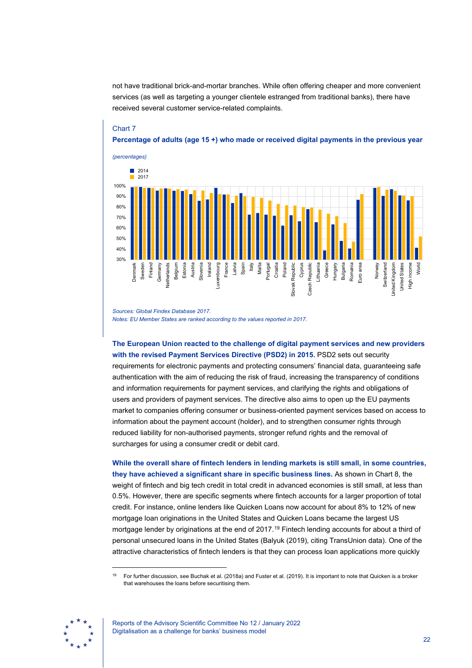not have traditional brick-and-mortar branches. While often offering cheaper and more convenient services (as well as targeting a younger clientele estranged from traditional banks), there have received several customer service-related complaints.

### Chart 7

**Percentage of adults (age 15 +) who made or received digital payments in the previous year**



*Sources: Global Findex Database 2017. Notes: EU Member States are ranked according to the values reported in 2017.*

**The European Union reacted to the challenge of digital payment services and new providers with the revised Payment Services Directive (PSD2) in 2015.** PSD2 sets out security requirements for electronic payments and protecting consumers' financial data, guaranteeing safe authentication with the aim of reducing the risk of fraud, increasing the transparency of conditions and information requirements for payment services, and clarifying the rights and obligations of users and providers of payment services. The directive also aims to open up the EU payments market to companies offering consumer or business-oriented payment services based on access to information about the payment account (holder), and to strengthen consumer rights through reduced liability for non-authorised payments, stronger refund rights and the removal of surcharges for using a consumer credit or debit card.

**While the overall share of fintech lenders in lending markets is still small, in some countries, they have achieved a significant share in specific business lines.** As shown in Chart 8, the weight of fintech and big tech credit in total credit in advanced economies is still small, at less than 0.5%. However, there are specific segments where fintech accounts for a larger proportion of total credit. For instance, online lenders like Quicken Loans now account for about 8% to 12% of new mortgage loan originations in the United States and Quicken Loans became the largest US mortgage lender by originations at the end of 2017.<sup>[19](#page-22-0)</sup> Fintech lending accounts for about a third of personal unsecured loans in the United States (Balyuk (2019), citing TransUnion data). One of the attractive characteristics of fintech lenders is that they can process loan applications more quickly

<span id="page-22-0"></span><sup>19</sup> For further discussion, see Buchak et al. (2018a) and Fuster et al. (2019). It is important to note that Quicken is a broker that warehouses the loans before securitising them.



Reports of the Advisory Scientific Committee No 12 / January 2022 Digitalisation as a challenge for banks' business model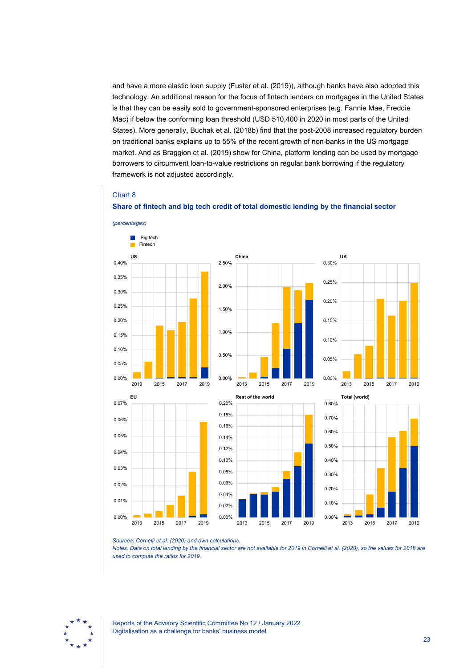and have a more elastic loan supply (Fuster et al. (2019)), although banks have also adopted this technology. An additional reason for the focus of fintech lenders on mortgages in the United States is that they can be easily sold to government-sponsored enterprises (e.g. Fannie Mae, Freddie Mac) if below the conforming loan threshold (USD 510,400 in 2020 in most parts of the United States). More generally, Buchak et al. (2018b) find that the post-2008 increased regulatory burden on traditional banks explains up to 55% of the recent growth of non-banks in the US mortgage market. And as Braggion et al. (2019) show for China, platform lending can be used by mortgage borrowers to circumvent loan-to-value restrictions on regular bank borrowing if the regulatory framework is not adjusted accordingly.

### Chart 8



**Share of fintech and big tech credit of total domestic lending by the financial sector**

*Notes: Data on total lending by the financial sector are not available for 2019 in Cornelli et al. (2020), so the values for 2018 are used to compute the ratios for 2019.*



*Sources: Cornelli et al. (2020) and own calculations.*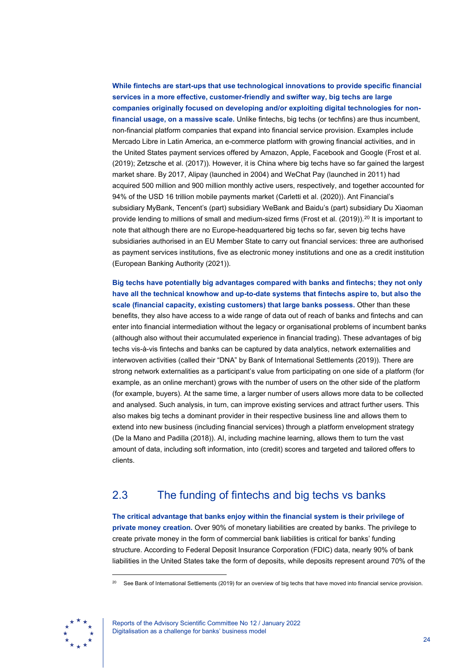**While fintechs are start-ups that use technological innovations to provide specific financial services in a more effective, customer-friendly and swifter way, big techs are large companies originally focused on developing and/or exploiting digital technologies for nonfinancial usage, on a massive scale.** Unlike fintechs, big techs (or techfins) are thus incumbent, non-financial platform companies that expand into financial service provision. Examples include Mercado Libre in Latin America, an e-commerce platform with growing financial activities, and in the United States payment services offered by Amazon, Apple, Facebook and Google (Frost et al. (2019); Zetzsche et al. (2017)). However, it is China where big techs have so far gained the largest market share. By 2017, Alipay (launched in 2004) and WeChat Pay (launched in 2011) had acquired 500 million and 900 million monthly active users, respectively, and together accounted for 94% of the USD 16 trillion mobile payments market (Carletti et al. (2020)). Ant Financial's subsidiary MyBank, Tencent's (part) subsidiary WeBank and Baidu's (part) subsidiary Du Xiaoman provide lending to millions of small and medium-sized firms (Frost et al. (2019)).[20](#page-24-1) It is important to note that although there are no Europe-headquartered big techs so far, seven big techs have subsidiaries authorised in an EU Member State to carry out financial services: three are authorised as payment services institutions, five as electronic money institutions and one as a credit institution (European Banking Authority (2021)).

**Big techs have potentially big advantages compared with banks and fintechs; they not only have all the technical knowhow and up-to-date systems that fintechs aspire to, but also the scale (financial capacity, existing customers) that large banks possess.** Other than these benefits, they also have access to a wide range of data out of reach of banks and fintechs and can enter into financial intermediation without the legacy or organisational problems of incumbent banks (although also without their accumulated experience in financial trading). These advantages of big techs vis-à-vis fintechs and banks can be captured by data analytics, network externalities and interwoven activities (called their "DNA" by Bank of International Settlements (2019)). There are strong network externalities as a participant's value from participating on one side of a platform (for example, as an online merchant) grows with the number of users on the other side of the platform (for example, buyers). At the same time, a larger number of users allows more data to be collected and analysed. Such analysis, in turn, can improve existing services and attract further users. This also makes big techs a dominant provider in their respective business line and allows them to extend into new business (including financial services) through a platform envelopment strategy (De la Mano and Padilla (2018)). AI, including machine learning, allows them to turn the vast amount of data, including soft information, into (credit) scores and targeted and tailored offers to clients.

# <span id="page-24-0"></span>2.3 The funding of fintechs and big techs vs banks

**The critical advantage that banks enjoy within the financial system is their privilege of private money creation.** Over 90% of monetary liabilities are created by banks. The privilege to create private money in the form of commercial bank liabilities is critical for banks' funding structure. According to Federal Deposit Insurance Corporation (FDIC) data, nearly 90% of bank liabilities in the United States take the form of deposits, while deposits represent around 70% of the

<span id="page-24-1"></span>See Bank of International Settlements (2019) for an overview of big techs that have moved into financial service provision.

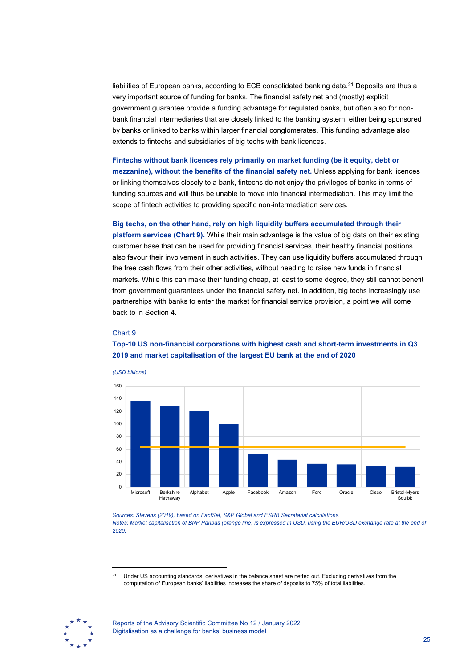liabilities of European banks, according to ECB consolidated banking data.<sup>[21](#page-25-0)</sup> Deposits are thus a very important source of funding for banks. The financial safety net and (mostly) explicit government guarantee provide a funding advantage for regulated banks, but often also for nonbank financial intermediaries that are closely linked to the banking system, either being sponsored by banks or linked to banks within larger financial conglomerates. This funding advantage also extends to fintechs and subsidiaries of big techs with bank licences.

**Fintechs without bank licences rely primarily on market funding (be it equity, debt or mezzanine), without the benefits of the financial safety net.** Unless applying for bank licences or linking themselves closely to a bank, fintechs do not enjoy the privileges of banks in terms of funding sources and will thus be unable to move into financial intermediation. This may limit the scope of fintech activities to providing specific non-intermediation services.

**Big techs, on the other hand, rely on high liquidity buffers accumulated through their** 

**platform services (Chart 9).** While their main advantage is the value of big data on their existing customer base that can be used for providing financial services, their healthy financial positions also favour their involvement in such activities. They can use liquidity buffers accumulated through the free cash flows from their other activities, without needing to raise new funds in financial markets. While this can make their funding cheap, at least to some degree, they still cannot benefit from government guarantees under the financial safety net. In addition, big techs increasingly use partnerships with banks to enter the market for financial service provision, a point we will come back to in Section 4.

### Chart 9

**Top-10 US non-financial corporations with highest cash and short-term investments in Q3 2019 and market capitalisation of the largest EU bank at the end of 2020**



*Sources: Stevens (2019), based on FactSet, S&P Global and ESRB Secretariat calculations. Notes: Market capitalisation of BNP Paribas (orange line) is expressed in USD, using the EUR/USD exchange rate at the end of 2020.*

<sup>21</sup> Under US accounting standards, derivatives in the balance sheet are netted out. Excluding derivatives from the computation of European banks' liabilities increases the share of deposits to 75% of total liabilities.

<span id="page-25-0"></span>

Reports of the Advisory Scientific Committee No 12 / January 2022 Digitalisation as a challenge for banks' business model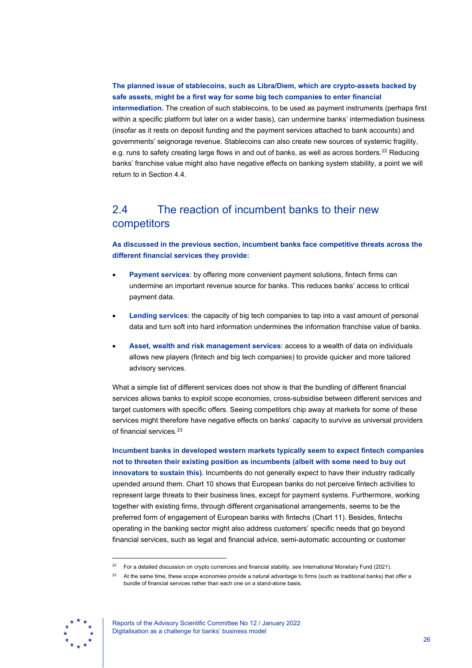### **The planned issue of stablecoins, such as Libra/Diem, which are crypto-assets backed by safe assets, might be a first way for some big tech companies to enter financial**

**intermediation.** The creation of such stablecoins, to be used as payment instruments (perhaps first within a specific platform but later on a wider basis), can undermine banks' intermediation business (insofar as it rests on deposit funding and the payment services attached to bank accounts) and governments' seignorage revenue. Stablecoins can also create new sources of systemic fragility, e.g. runs to safety creating large flows in and out of banks, as well as across borders.<sup>[22](#page-26-1)</sup> Reducing banks' franchise value might also have negative effects on banking system stability, a point we will return to in Section 4.4.

# <span id="page-26-0"></span>2.4 The reaction of incumbent banks to their new competitors

**As discussed in the previous section, incumbent banks face competitive threats across the different financial services they provide:**

- **Payment services:** by offering more convenient payment solutions, fintech firms can undermine an important revenue source for banks. This reduces banks' access to critical payment data.
- **Lending services**: the capacity of big tech companies to tap into a vast amount of personal data and turn soft into hard information undermines the information franchise value of banks.
- **Asset, wealth and risk management services**: access to a wealth of data on individuals allows new players (fintech and big tech companies) to provide quicker and more tailored advisory services.

What a simple list of different services does not show is that the bundling of different financial services allows banks to exploit scope economies, cross-subsidise between different services and target customers with specific offers. Seeing competitors chip away at markets for some of these services might therefore have negative effects on banks' capacity to survive as universal providers of financial services. [23](#page-26-2)

**Incumbent banks in developed western markets typically seem to expect fintech companies not to threaten their existing position as incumbents (albeit with some need to buy out innovators to sustain this).** Incumbents do not generally expect to have their industry radically upended around them. Chart 10 shows that European banks do not perceive fintech activities to represent large threats to their business lines, except for payment systems. Furthermore, working together with existing firms, through different organisational arrangements, seems to be the preferred form of engagement of European banks with fintechs (Chart 11). Besides, fintechs operating in the banking sector might also address customers' specific needs that go beyond financial services, such as legal and financial advice, semi-automatic accounting or customer

<span id="page-26-2"></span><span id="page-26-1"></span><sup>&</sup>lt;sup>23</sup> At the same time, these scope economies provide a natural advantage to firms (such as traditional banks) that offer a bundle of financial services rather than each one on a stand-alone basis.



<sup>22</sup> For a detailed discussion on crypto currencies and financial stability, see International Monetary Fund (2021).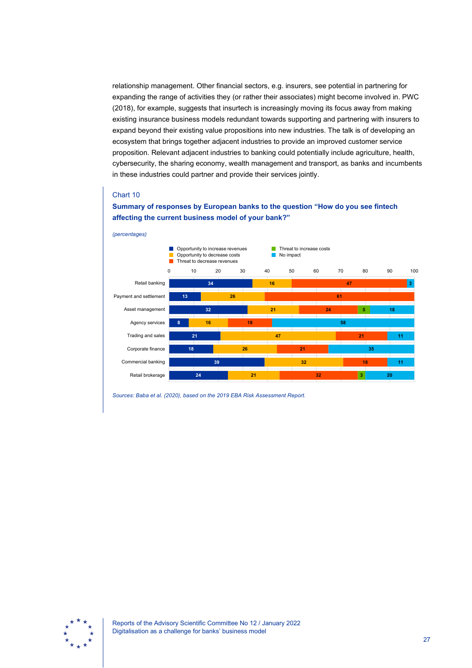relationship management. Other financial sectors, e.g. insurers, see potential in partnering for expanding the range of activities they (or rather their associates) might become involved in. PWC (2018), for example, suggests that insurtech is increasingly moving its focus away from making existing insurance business models redundant towards supporting and partnering with insurers to expand beyond their existing value propositions into new industries. The talk is of developing an ecosystem that brings together adjacent industries to provide an improved customer service proposition. Relevant adjacent industries to banking could potentially include agriculture, health, cybersecurity, the sharing economy, wealth management and transport, as banks and incumbents in these industries could partner and provide their services jointly.

### Chart 10



**Summary of responses by European banks to the question "How do you see fintech affecting the current business model of your bank?"**

*Sources: Baba et al. (2020), based on the 2019 EBA Risk Assessment Report.*

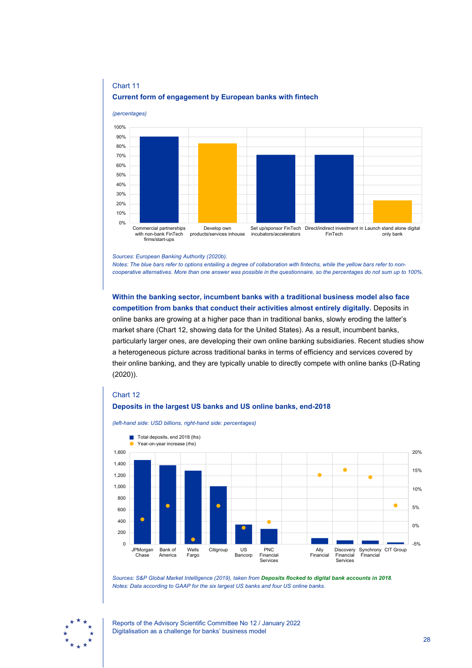

## Chart 11 **Current form of engagement by European banks with fintech**

*Sources: European Banking Authority (2020b).*

*Notes: The blue bars refer to options entailing a degree of collaboration with fintechs, while the yellow bars refer to noncooperative alternatives. More than one answer was possible in the questionnaire, so the percentages do not sum up to 100%.*

**Within the banking sector, incumbent banks with a traditional business model also face competition from banks that conduct their activities almost entirely digitally.** Deposits in online banks are growing at a higher pace than in traditional banks, slowly eroding the latter's market share (Chart 12, showing data for the United States). As a result, incumbent banks, particularly larger ones, are developing their own online banking subsidiaries. Recent studies show a heterogeneous picture across traditional banks in terms of efficiency and services covered by their online banking, and they are typically unable to directly compete with online banks (D-Rating (2020)).

### Chart 12

### **Deposits in the largest US banks and US online banks, end-2018**



*(left-hand side: USD billions, right-hand side: percentages)*

*Sources: S&P Global Market Intelligence (2019), taken from [Deposits flocked to digital bank accounts in 2018](https://www.spglobal.com/marketintelligence/en/news-insights/trending/X_4W__D4FFVuBLptS40w_A2). Notes: Data according to GAAP for the six largest US banks and four US online banks.*

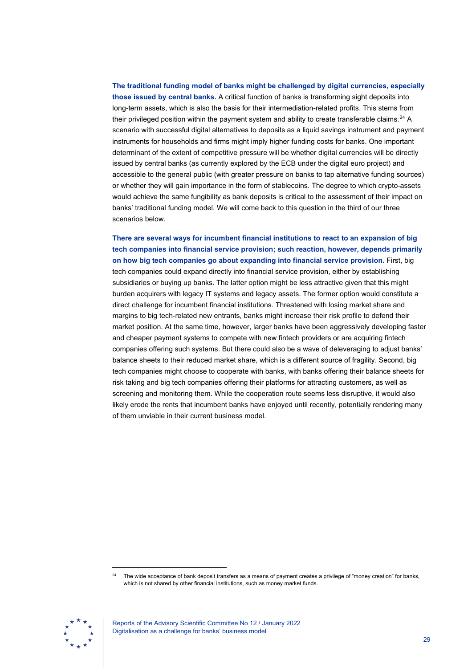**The traditional funding model of banks might be challenged by digital currencies, especially those issued by central banks.** A critical function of banks is transforming sight deposits into long-term assets, which is also the basis for their intermediation-related profits. This stems from their privileged position within the payment system and ability to create transferable claims.<sup>[24](#page-29-0)</sup> A scenario with successful digital alternatives to deposits as a liquid savings instrument and payment instruments for households and firms might imply higher funding costs for banks. One important determinant of the extent of competitive pressure will be whether digital currencies will be directly issued by central banks (as currently explored by the ECB under the digital euro project) and accessible to the general public (with greater pressure on banks to tap alternative funding sources) or whether they will gain importance in the form of stablecoins. The degree to which crypto-assets would achieve the same fungibility as bank deposits is critical to the assessment of their impact on banks' traditional funding model. We will come back to this question in the third of our three scenarios below.

## **There are several ways for incumbent financial institutions to react to an expansion of big tech companies into financial service provision; such reaction, however, depends primarily on how big tech companies go about expanding into financial service provision.** First, big

tech companies could expand directly into financial service provision, either by establishing subsidiaries or buying up banks. The latter option might be less attractive given that this might burden acquirers with legacy IT systems and legacy assets. The former option would constitute a direct challenge for incumbent financial institutions. Threatened with losing market share and margins to big tech-related new entrants, banks might increase their risk profile to defend their market position. At the same time, however, larger banks have been aggressively developing faster and cheaper payment systems to compete with new fintech providers or are acquiring fintech companies offering such systems. But there could also be a wave of deleveraging to adjust banks' balance sheets to their reduced market share, which is a different source of fragility. Second, big tech companies might choose to cooperate with banks, with banks offering their balance sheets for risk taking and big tech companies offering their platforms for attracting customers, as well as screening and monitoring them. While the cooperation route seems less disruptive, it would also likely erode the rents that incumbent banks have enjoyed until recently, potentially rendering many of them unviable in their current business model.

<span id="page-29-0"></span><sup>&</sup>lt;sup>24</sup> The wide acceptance of bank deposit transfers as a means of payment creates a privilege of "money creation" for banks, which is not shared by other financial institutions, such as money market funds.



Reports of the Advisory Scientific Committee No 12 / January 2022 Digitalisation as a challenge for banks' business model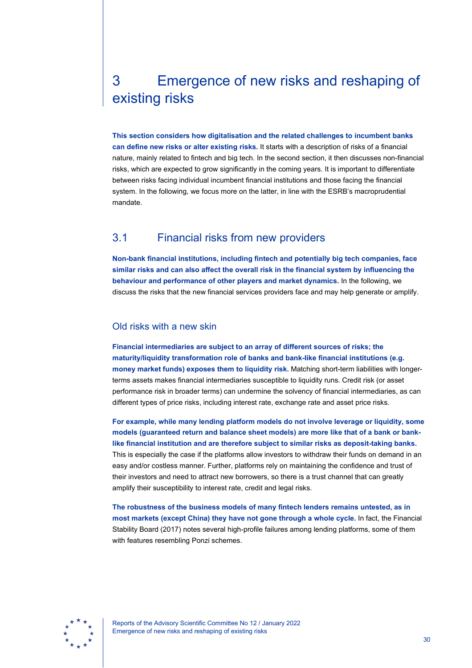# <span id="page-30-0"></span>3 Emergence of new risks and reshaping of existing risks

**This section considers how digitalisation and the related challenges to incumbent banks can define new risks or alter existing risks.** It starts with a description of risks of a financial nature, mainly related to fintech and big tech. In the second section, it then discusses non-financial risks, which are expected to grow significantly in the coming years. It is important to differentiate between risks facing individual incumbent financial institutions and those facing the financial system. In the following, we focus more on the latter, in line with the ESRB's macroprudential mandate.

# <span id="page-30-1"></span>3.1 Financial risks from new providers

**Non-bank financial institutions, including fintech and potentially big tech companies, face similar risks and can also affect the overall risk in the financial system by influencing the behaviour and performance of other players and market dynamics.** In the following, we discuss the risks that the new financial services providers face and may help generate or amplify.

## Old risks with a new skin

**Financial intermediaries are subject to an array of different sources of risks; the maturity/liquidity transformation role of banks and bank-like financial institutions (e.g. money market funds) exposes them to liquidity risk.** Matching short-term liabilities with longerterms assets makes financial intermediaries susceptible to liquidity runs. Credit risk (or asset performance risk in broader terms) can undermine the solvency of financial intermediaries, as can different types of price risks, including interest rate, exchange rate and asset price risks.

**For example, while many lending platform models do not involve leverage or liquidity, some models (guaranteed return and balance sheet models) are more like that of a bank or banklike financial institution and are therefore subject to similar risks as deposit-taking banks.** This is especially the case if the platforms allow investors to withdraw their funds on demand in an easy and/or costless manner. Further, platforms rely on maintaining the confidence and trust of their investors and need to attract new borrowers, so there is a trust channel that can greatly amplify their susceptibility to interest rate, credit and legal risks.

**The robustness of the business models of many fintech lenders remains untested, as in most markets (except China) they have not gone through a whole cycle.** In fact, the Financial Stability Board (2017) notes several high-profile failures among lending platforms, some of them with features resembling Ponzi schemes.



Reports of the Advisory Scientific Committee No 12 / January 2022 Emergence of new risks and reshaping of existing risks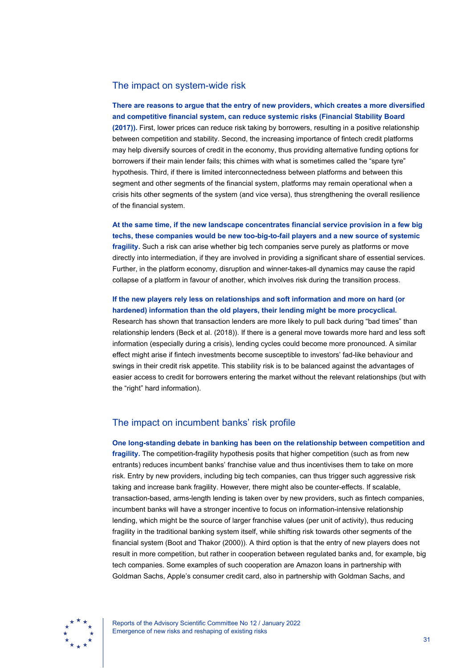### The impact on system-wide risk

**There are reasons to argue that the entry of new providers, which creates a more diversified and competitive financial system, can reduce systemic risks (Financial Stability Board (2017)).** First, lower prices can reduce risk taking by borrowers, resulting in a positive relationship between competition and stability. Second, the increasing importance of fintech credit platforms may help diversify sources of credit in the economy, thus providing alternative funding options for borrowers if their main lender fails; this chimes with what is sometimes called the "spare tyre" hypothesis. Third, if there is limited interconnectedness between platforms and between this segment and other segments of the financial system, platforms may remain operational when a crisis hits other segments of the system (and vice versa), thus strengthening the overall resilience of the financial system.

**At the same time, if the new landscape concentrates financial service provision in a few big techs, these companies would be new too-big-to-fail players and a new source of systemic fragility.** Such a risk can arise whether big tech companies serve purely as platforms or move directly into intermediation, if they are involved in providing a significant share of essential services. Further, in the platform economy, disruption and winner-takes-all dynamics may cause the rapid collapse of a platform in favour of another, which involves risk during the transition process.

## **If the new players rely less on relationships and soft information and more on hard (or hardened) information than the old players, their lending might be more procyclical.**

Research has shown that transaction lenders are more likely to pull back during "bad times" than relationship lenders (Beck et al. (2018)). If there is a general move towards more hard and less soft information (especially during a crisis), lending cycles could become more pronounced. A similar effect might arise if fintech investments become susceptible to investors' fad-like behaviour and swings in their credit risk appetite. This stability risk is to be balanced against the advantages of easier access to credit for borrowers entering the market without the relevant relationships (but with the "right" hard information).

### The impact on incumbent banks' risk profile

**One long-standing debate in banking has been on the relationship between competition and fragility.** The competition-fragility hypothesis posits that higher competition (such as from new entrants) reduces incumbent banks' franchise value and thus incentivises them to take on more risk. Entry by new providers, including big tech companies, can thus trigger such aggressive risk taking and increase bank fragility. However, there might also be counter-effects. If scalable, transaction-based, arms-length lending is taken over by new providers, such as fintech companies, incumbent banks will have a stronger incentive to focus on information-intensive relationship lending, which might be the source of larger franchise values (per unit of activity), thus reducing fragility in the traditional banking system itself, while shifting risk towards other segments of the financial system (Boot and Thakor (2000)). A third option is that the entry of new players does not result in more competition, but rather in cooperation between regulated banks and, for example, big tech companies. Some examples of such cooperation are Amazon loans in partnership with Goldman Sachs, Apple's consumer credit card, also in partnership with Goldman Sachs, and



Reports of the Advisory Scientific Committee No 12 / January 2022 Emergence of new risks and reshaping of existing risks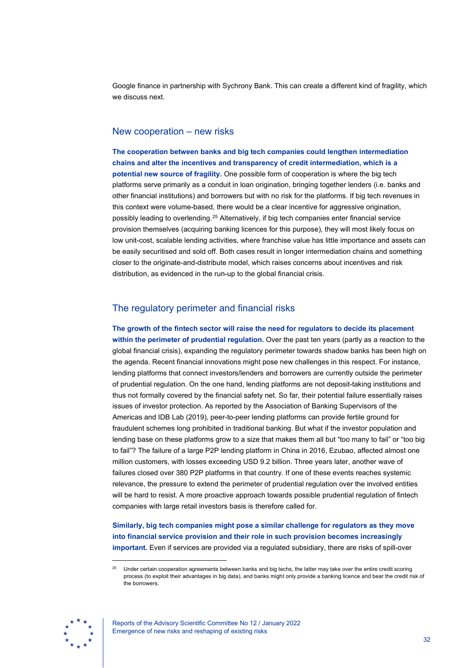Google finance in partnership with Sychrony Bank. This can create a different kind of fragility, which we discuss next.

## New cooperation – new risks

**The cooperation between banks and big tech companies could lengthen intermediation chains and alter the incentives and transparency of credit intermediation, which is a potential new source of fragility.** One possible form of cooperation is where the big tech platforms serve primarily as a conduit in loan origination, bringing together lenders (i.e. banks and other financial institutions) and borrowers but with no risk for the platforms. If big tech revenues in this context were volume-based, there would be a clear incentive for aggressive origination, possibly leading to overlending. [25](#page-32-0) Alternatively, if big tech companies enter financial service provision themselves (acquiring banking licences for this purpose), they will most likely focus on low unit-cost, scalable lending activities, where franchise value has little importance and assets can be easily securitised and sold off. Both cases result in longer intermediation chains and something closer to the originate-and-distribute model, which raises concerns about incentives and risk distribution, as evidenced in the run-up to the global financial crisis.

## The regulatory perimeter and financial risks

**The growth of the fintech sector will raise the need for regulators to decide its placement within the perimeter of prudential regulation.** Over the past ten years (partly as a reaction to the global financial crisis), expanding the regulatory perimeter towards shadow banks has been high on the agenda. Recent financial innovations might pose new challenges in this respect. For instance, lending platforms that connect investors/lenders and borrowers are currently outside the perimeter of prudential regulation. On the one hand, lending platforms are not deposit-taking institutions and thus not formally covered by the financial safety net. So far, their potential failure essentially raises issues of investor protection. As reported by the Association of Banking Supervisors of the Americas and IDB Lab (2019), peer-to-peer lending platforms can provide fertile ground for fraudulent schemes long prohibited in traditional banking. But what if the investor population and lending base on these platforms grow to a size that makes them all but "too many to fail" or "too big to fail"? The failure of a large P2P lending platform in China in 2016, Ezubao, affected almost one million customers, with losses exceeding USD 9.2 billion. Three years later, another wave of failures closed over 380 P2P platforms in that country. If one of these events reaches systemic relevance, the pressure to extend the perimeter of prudential regulation over the involved entities will be hard to resist. A more proactive approach towards possible prudential regulation of fintech companies with large retail investors basis is therefore called for.

**Similarly, big tech companies might pose a similar challenge for regulators as they move into financial service provision and their role in such provision becomes increasingly important.** Even if services are provided via a regulated subsidiary, there are risks of spill-over

<span id="page-32-0"></span>Under certain cooperation agreements between banks and big techs, the latter may take over the entire credit scoring process (to exploit their advantages in big data), and banks might only provide a banking licence and bear the credit risk of the borrowers.



Reports of the Advisory Scientific Committee No 12 / January 2022 Emergence of new risks and reshaping of existing risks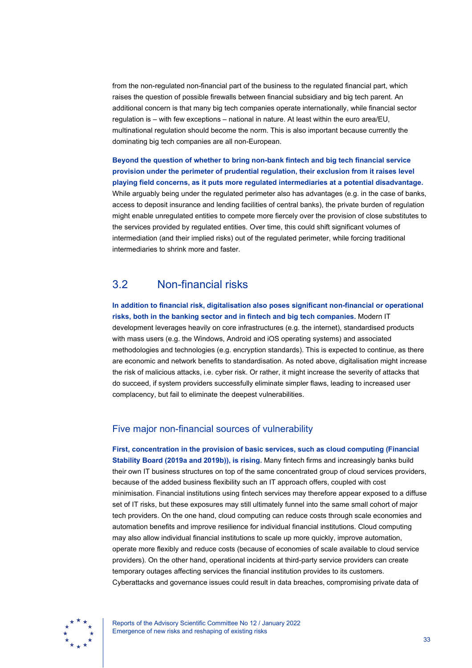from the non-regulated non-financial part of the business to the regulated financial part, which raises the question of possible firewalls between financial subsidiary and big tech parent. An additional concern is that many big tech companies operate internationally, while financial sector regulation is – with few exceptions – national in nature. At least within the euro area/EU, multinational regulation should become the norm. This is also important because currently the dominating big tech companies are all non-European.

**Beyond the question of whether to bring non-bank fintech and big tech financial service provision under the perimeter of prudential regulation, their exclusion from it raises level playing field concerns, as it puts more regulated intermediaries at a potential disadvantage.** While arguably being under the regulated perimeter also has advantages (e.g. in the case of banks, access to deposit insurance and lending facilities of central banks), the private burden of regulation might enable unregulated entities to compete more fiercely over the provision of close substitutes to the services provided by regulated entities. Over time, this could shift significant volumes of intermediation (and their implied risks) out of the regulated perimeter, while forcing traditional intermediaries to shrink more and faster.

# <span id="page-33-0"></span>3.2 Non-financial risks

**In addition to financial risk, digitalisation also poses significant non-financial or operational risks, both in the banking sector and in fintech and big tech companies.** Modern IT development leverages heavily on core infrastructures (e.g. the internet), standardised products with mass users (e.g. the Windows, Android and iOS operating systems) and associated methodologies and technologies (e.g. encryption standards). This is expected to continue, as there are economic and network benefits to standardisation. As noted above, digitalisation might increase the risk of malicious attacks, i.e. cyber risk. Or rather, it might increase the severity of attacks that do succeed, if system providers successfully eliminate simpler flaws, leading to increased user complacency, but fail to eliminate the deepest vulnerabilities.

### Five major non-financial sources of vulnerability

**First, concentration in the provision of basic services, such as cloud computing (Financial Stability Board (2019a and 2019b)), is rising.** Many fintech firms and increasingly banks build their own IT business structures on top of the same concentrated group of cloud services providers, because of the added business flexibility such an IT approach offers, coupled with cost minimisation. Financial institutions using fintech services may therefore appear exposed to a diffuse set of IT risks, but these exposures may still ultimately funnel into the same small cohort of major tech providers. On the one hand, cloud computing can reduce costs through scale economies and automation benefits and improve resilience for individual financial institutions. Cloud computing may also allow individual financial institutions to scale up more quickly, improve automation, operate more flexibly and reduce costs (because of economies of scale available to cloud service providers). On the other hand, operational incidents at third-party service providers can create temporary outages affecting services the financial institution provides to its customers. Cyberattacks and governance issues could result in data breaches, compromising private data of



Reports of the Advisory Scientific Committee No 12 / January 2022 Emergence of new risks and reshaping of existing risks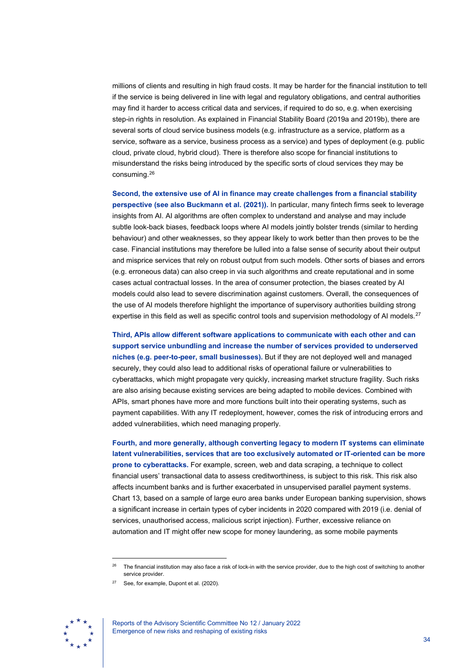millions of clients and resulting in high fraud costs. It may be harder for the financial institution to tell if the service is being delivered in line with legal and regulatory obligations, and central authorities may find it harder to access critical data and services, if required to do so, e.g. when exercising step-in rights in resolution. As explained in Financial Stability Board (2019a and 2019b), there are several sorts of cloud service business models (e.g. infrastructure as a service, platform as a service, software as a service, business process as a service) and types of deployment (e.g. public cloud, private cloud, hybrid cloud). There is therefore also scope for financial institutions to misunderstand the risks being introduced by the specific sorts of cloud services they may be consuming.[26](#page-34-0)

**Second, the extensive use of AI in finance may create challenges from a financial stability perspective (see also Buckmann et al. (2021)).** In particular, many fintech firms seek to leverage insights from AI. AI algorithms are often complex to understand and analyse and may include subtle look-back biases, feedback loops where AI models jointly bolster trends (similar to herding behaviour) and other weaknesses, so they appear likely to work better than then proves to be the case. Financial institutions may therefore be lulled into a false sense of security about their output and misprice services that rely on robust output from such models. Other sorts of biases and errors (e.g. erroneous data) can also creep in via such algorithms and create reputational and in some cases actual contractual losses. In the area of consumer protection, the biases created by AI models could also lead to severe discrimination against customers. Overall, the consequences of the use of AI models therefore highlight the importance of supervisory authorities building strong expertise in this field as well as specific control tools and supervision methodology of AI models.<sup>[27](#page-34-1)</sup>

**Third, APIs allow different software applications to communicate with each other and can support service unbundling and increase the number of services provided to underserved niches (e.g. peer-to-peer, small businesses).** But if they are not deployed well and managed securely, they could also lead to additional risks of operational failure or vulnerabilities to cyberattacks, which might propagate very quickly, increasing market structure fragility. Such risks are also arising because existing services are being adapted to mobile devices. Combined with APIs, smart phones have more and more functions built into their operating systems, such as payment capabilities. With any IT redeployment, however, comes the risk of introducing errors and added vulnerabilities, which need managing properly.

**Fourth, and more generally, although converting legacy to modern IT systems can eliminate latent vulnerabilities, services that are too exclusively automated or IT-oriented can be more prone to cyberattacks.** For example, screen, web and data scraping, a technique to collect financial users' transactional data to assess creditworthiness, is subject to this risk. This risk also affects incumbent banks and is further exacerbated in unsupervised parallel payment systems. Chart 13, based on a sample of large euro area banks under European banking supervision, shows a significant increase in certain types of cyber incidents in 2020 compared with 2019 (i.e. denial of services, unauthorised access, malicious script injection). Further, excessive reliance on automation and IT might offer new scope for money laundering, as some mobile payments

<span id="page-34-1"></span><span id="page-34-0"></span>See, for example, Dupont et al. (2020).





The financial institution may also face a risk of lock-in with the service provider, due to the high cost of switching to another service provider.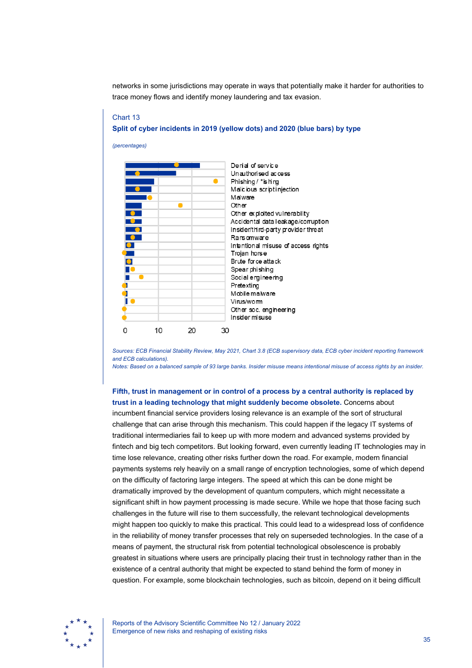networks in some jurisdictions may operate in ways that potentially make it harder for authorities to trace money flows and identify money laundering and tax evasion.

# Chart 13 **Split of cyber incidents in 2019 (yellow dots) and 2020 (blue bars) by type**

*(percentages)*

Derial of service Unauthorised access ō Phishing / \*ishing Malic ious scriptinjection Malware Other Other exploited vulnerability Accidental data leakage/corruption Insider/third-party provider threat  $\bullet$ Ransomware Intentional misuse of access rights Trojan horse  $\bullet$ Brute force attack Spear phishing п Social engineering ٠ Pretexting Mobile malware П Virus/worm Other soc. engineering Insider misuse  $\mathbf 0$ 10 20 30

*Sources: ECB Financial Stability Review, May 2021, Chart 3.8 (ECB supervisory data, ECB cyber incident reporting framework and ECB calculations).*

*Notes: Based on a balanced sample of 93 large banks. Insider misuse means intentional misuse of access rights by an insider.*

**Fifth, trust in management or in control of a process by a central authority is replaced by trust in a leading technology that might suddenly become obsolete.** Concerns about incumbent financial service providers losing relevance is an example of the sort of structural challenge that can arise through this mechanism. This could happen if the legacy IT systems of traditional intermediaries fail to keep up with more modern and advanced systems provided by fintech and big tech competitors. But looking forward, even currently leading IT technologies may in time lose relevance, creating other risks further down the road. For example, modern financial payments systems rely heavily on a small range of encryption technologies, some of which depend on the difficulty of factoring large integers. The speed at which this can be done might be dramatically improved by the development of quantum computers, which might necessitate a significant shift in how payment processing is made secure. While we hope that those facing such challenges in the future will rise to them successfully, the relevant technological developments might happen too quickly to make this practical. This could lead to a widespread loss of confidence in the reliability of money transfer processes that rely on superseded technologies. In the case of a means of payment, the structural risk from potential technological obsolescence is probably greatest in situations where users are principally placing their trust in technology rather than in the existence of a central authority that might be expected to stand behind the form of money in question. For example, some blockchain technologies, such as bitcoin, depend on it being difficult



Reports of the Advisory Scientific Committee No 12 / January 2022 Emergence of new risks and reshaping of existing risks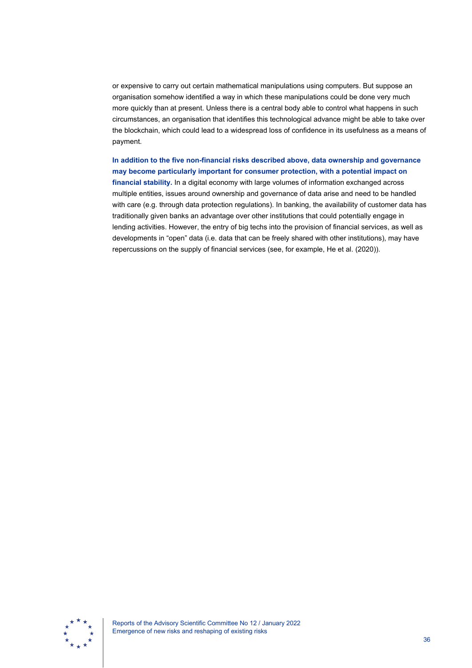or expensive to carry out certain mathematical manipulations using computers. But suppose an organisation somehow identified a way in which these manipulations could be done very much more quickly than at present. Unless there is a central body able to control what happens in such circumstances, an organisation that identifies this technological advance might be able to take over the blockchain, which could lead to a widespread loss of confidence in its usefulness as a means of payment.

**In addition to the five non-financial risks described above, data ownership and governance may become particularly important for consumer protection, with a potential impact on financial stability.** In a digital economy with large volumes of information exchanged across multiple entities, issues around ownership and governance of data arise and need to be handled with care (e.g. through data protection regulations). In banking, the availability of customer data has traditionally given banks an advantage over other institutions that could potentially engage in lending activities. However, the entry of big techs into the provision of financial services, as well as developments in "open" data (i.e. data that can be freely shared with other institutions), may have repercussions on the supply of financial services (see, for example, He et al. (2020)).

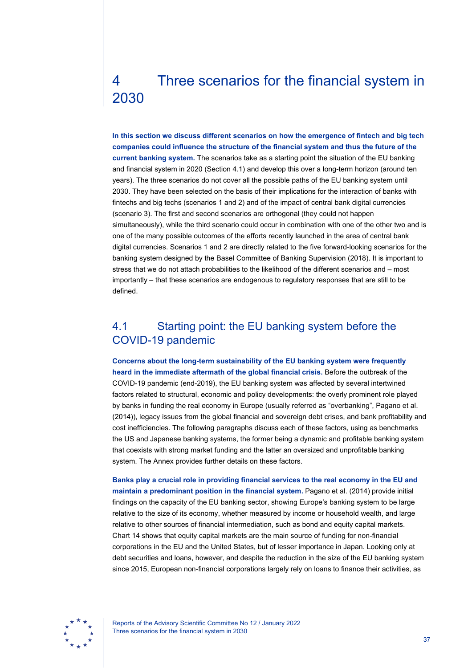# <span id="page-37-0"></span>4 Three scenarios for the financial system in 2030

**In this section we discuss different scenarios on how the emergence of fintech and big tech companies could influence the structure of the financial system and thus the future of the current banking system.** The scenarios take as a starting point the situation of the EU banking and financial system in 2020 (Section 4.1) and develop this over a long-term horizon (around ten years). The three scenarios do not cover all the possible paths of the EU banking system until 2030. They have been selected on the basis of their implications for the interaction of banks with fintechs and big techs (scenarios 1 and 2) and of the impact of central bank digital currencies (scenario 3). The first and second scenarios are orthogonal (they could not happen simultaneously), while the third scenario could occur in combination with one of the other two and is one of the many possible outcomes of the efforts recently launched in the area of central bank digital currencies. Scenarios 1 and 2 are directly related to the five forward-looking scenarios for the banking system designed by the Basel Committee of Banking Supervision (2018). It is important to stress that we do not attach probabilities to the likelihood of the different scenarios and – most importantly – that these scenarios are endogenous to regulatory responses that are still to be defined.

# <span id="page-37-1"></span>4.1 Starting point: the EU banking system before the COVID-19 pandemic

**Concerns about the long-term sustainability of the EU banking system were frequently heard in the immediate aftermath of the global financial crisis.** Before the outbreak of the COVID-19 pandemic (end-2019), the EU banking system was affected by several intertwined factors related to structural, economic and policy developments: the overly prominent role played by banks in funding the real economy in Europe (usually referred as "overbanking", Pagano et al. (2014)), legacy issues from the global financial and sovereign debt crises, and bank profitability and cost inefficiencies. The following paragraphs discuss each of these factors, using as benchmarks the US and Japanese banking systems, the former being a dynamic and profitable banking system that coexists with strong market funding and the latter an oversized and unprofitable banking system. The Annex provides further details on these factors.

**Banks play a crucial role in providing financial services to the real economy in the EU and maintain a predominant position in the financial system.** Pagano et al. (2014) provide initial findings on the capacity of the EU banking sector, showing Europe's banking system to be large relative to the size of its economy, whether measured by income or household wealth, and large relative to other sources of financial intermediation, such as bond and equity capital markets. Chart 14 shows that equity capital markets are the main source of funding for non-financial corporations in the EU and the United States, but of lesser importance in Japan. Looking only at debt securities and loans, however, and despite the reduction in the size of the EU banking system since 2015, European non-financial corporations largely rely on loans to finance their activities, as



Reports of the Advisory Scientific Committee No 12 / January 2022 Three scenarios for the financial system in 2030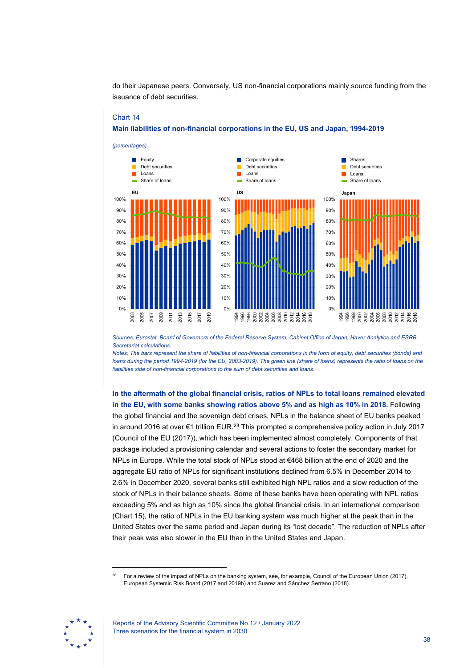

do their Japanese peers. Conversely, US non-financial corporations mainly source funding from the issuance of debt securities.

#### *Sources: Eurostat, Board of Governors of the Federal Reserve System, Cabinet Office of Japan, Haver Analytics and ESRB Secretariat calculations.*

*Notes: The bars represent the share of liabilities of non-financial corporations in the form of equity, debt securities (bonds) and loans during the period 1994-2019 (for the EU, 2003-2019). The green line (share of loans) represents the ratio of loans on the liabilities side of non-financial corporations to the sum of debt securities and loans.*

**In the aftermath of the global financial crisis, ratios of NPLs to total loans remained elevated in the EU, with some banks showing ratios above 5% and as high as 10% in 2018.** Following the global financial and the sovereign debt crises, NPLs in the balance sheet of EU banks peaked in around 2016 at over €1 trillion EUR.[28](#page-38-0) This prompted a comprehensive policy action in July 2017 (Council of the EU (2017)), which has been implemented almost completely. Components of that package included a provisioning calendar and several actions to foster the secondary market for NPLs in Europe. While the total stock of NPLs stood at €468 billion at the end of 2020 and the aggregate EU ratio of NPLs for significant institutions declined from 6.5% in December 2014 to 2.6% in December 2020, several banks still exhibited high NPL ratios and a slow reduction of the stock of NPLs in their balance sheets. Some of these banks have been operating with NPL ratios exceeding 5% and as high as 10% since the global financial crisis. In an international comparison (Chart 15), the ratio of NPLs in the EU banking system was much higher at the peak than in the United States over the same period and Japan during its "lost decade". The reduction of NPLs after their peak was also slower in the EU than in the United States and Japan.

<span id="page-38-0"></span><sup>&</sup>lt;sup>28</sup> For a review of the impact of NPLs on the banking system, see, for example, Council of the European Union (2017), European Systemic Risk Board (2017 and 2019b) and Suarez and Sánchez Serrano (2018).



Chart 14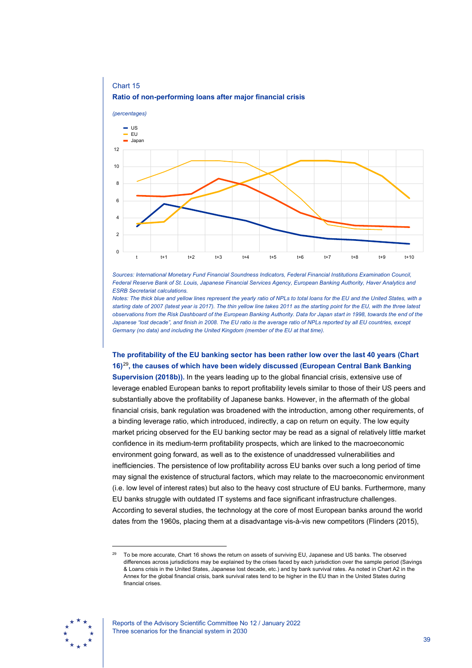

## Chart 15 **Ratio of non-performing loans after major financial crisis**

*Sources: International Monetary Fund Financial Soundness Indicators, Federal Financial Institutions Examination Council, Federal Reserve Bank of St. Louis, Japanese Financial Services Agency, European Banking Authority, Haver Analytics and ESRB Secretariat calculations.*

*Notes: The thick blue and yellow lines represent the yearly ratio of NPLs to total loans for the EU and the United States, with a starting date of 2007 (latest year is 2017). The thin yellow line takes 2011 as the starting point for the EU, with the three latest observations from the Risk Dashboard of the European Banking Authority. Data for Japan start in 1998, towards the end of the Japanese "lost decade", and finish in 2008. The EU ratio is the average ratio of NPLs reported by all EU countries, except Germany (no data) and including the United Kingdom (member of the EU at that time).*

## **The profitability of the EU banking sector has been rather low over the last 40 years (Chart 16)**[29](#page-39-0)**, the causes of which have been widely discussed (European Central Bank Banking**

**Supervision (2018b)).** In the years leading up to the global financial crisis, extensive use of leverage enabled European banks to report profitability levels similar to those of their US peers and substantially above the profitability of Japanese banks. However, in the aftermath of the global financial crisis, bank regulation was broadened with the introduction, among other requirements, of a binding leverage ratio, which introduced, indirectly, a cap on return on equity. The low equity market pricing observed for the EU banking sector may be read as a signal of relatively little market confidence in its medium-term profitability prospects, which are linked to the macroeconomic environment going forward, as well as to the existence of unaddressed vulnerabilities and inefficiencies. The persistence of low profitability across EU banks over such a long period of time may signal the existence of structural factors, which may relate to the macroeconomic environment (i.e. low level of interest rates) but also to the heavy cost structure of EU banks. Furthermore, many EU banks struggle with outdated IT systems and face significant infrastructure challenges. According to several studies, the technology at the core of most European banks around the world dates from the 1960s, placing them at a disadvantage vis-à-vis new competitors (Flinders (2015),

<span id="page-39-0"></span><sup>&</sup>lt;sup>29</sup> To be more accurate, Chart 16 shows the return on assets of surviving EU, Japanese and US banks. The observed differences across jurisdictions may be explained by the crises faced by each jurisdiction over the sample period (Savings & Loans crisis in the United States, Japanese lost decade, etc.) and by bank survival rates. As noted in Chart A2 in the Annex for the global financial crisis, bank survival rates tend to be higher in the EU than in the United States during financial crises.

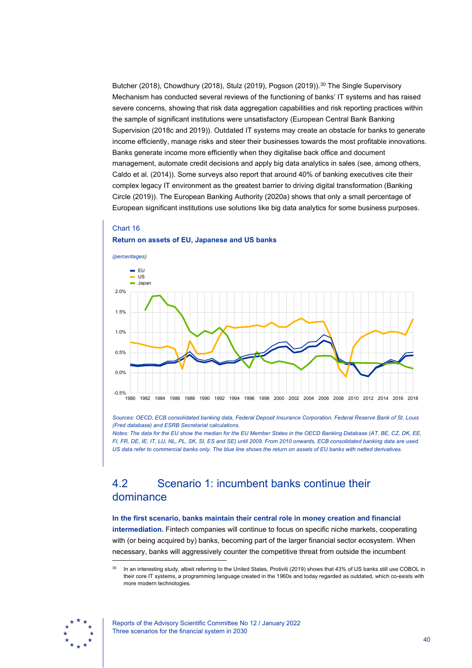Butcher (2018), Chowdhury (2018), Stulz (2019), Pogson (2019)).<sup>[30](#page-40-1)</sup> The Single Supervisory Mechanism has conducted several reviews of the functioning of banks' IT systems and has raised severe concerns, showing that risk data aggregation capabilities and risk reporting practices within the sample of significant institutions were unsatisfactory (European Central Bank Banking Supervision (2018c and 2019)). Outdated IT systems may create an obstacle for banks to generate income efficiently, manage risks and steer their businesses towards the most profitable innovations. Banks generate income more efficiently when they digitalise back office and document management, automate credit decisions and apply big data analytics in sales (see, among others, Caldo et al. (2014)). Some surveys also report that around 40% of banking executives cite their complex legacy IT environment as the greatest barrier to driving digital transformation (Banking Circle (2019)). The European Banking Authority (2020a) shows that only a small percentage of European significant institutions use solutions like big data analytics for some business purposes.

### Chart 16 **Return on assets of EU, Japanese and US banks**



*Sources: OECD, ECB consolidated banking data, Federal Deposit Insurance Corporation, Federal Reserve Bank of St. Louis (Fred database) and ESRB Secretariat calculations.*

*Notes: The data for the EU show the median for the EU Member States in the OECD Banking Database (AT, BE, CZ, DK, EE, FI, FR, DE, IE, IT, LU, NL, PL, SK, SI, ES and SE) until 2009. From 2010 onwards, ECB consolidated banking data are used. US data refer to commercial banks only. The blue line shows the return on assets of EU banks with netted derivatives.*

# <span id="page-40-0"></span>4.2 Scenario 1: incumbent banks continue their dominance

### **In the first scenario, banks maintain their central role in money creation and financial intermediation.** Fintech companies will continue to focus on specific niche markets, cooperating

with (or being acquired by) banks, becoming part of the larger financial sector ecosystem. When necessary, banks will aggressively counter the competitive threat from outside the incumbent

<span id="page-40-1"></span>In an interesting study, albeit referring to the United States, Protiviti (2019) shows that 43% of US banks still use COBOL in their core IT systems, a programming language created in the 1960s and today regarded as outdated, which co-exists with more modern technologies.

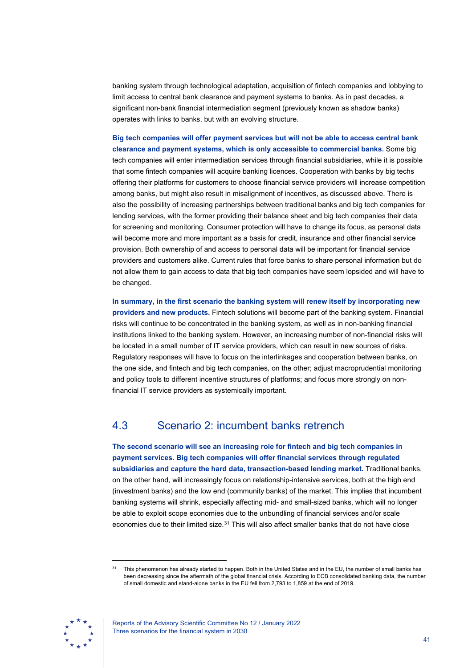banking system through technological adaptation, acquisition of fintech companies and lobbying to limit access to central bank clearance and payment systems to banks. As in past decades, a significant non-bank financial intermediation segment (previously known as shadow banks) operates with links to banks, but with an evolving structure.

### **Big tech companies will offer payment services but will not be able to access central bank clearance and payment systems, which is only accessible to commercial banks.** Some big

tech companies will enter intermediation services through financial subsidiaries, while it is possible that some fintech companies will acquire banking licences. Cooperation with banks by big techs offering their platforms for customers to choose financial service providers will increase competition among banks, but might also result in misalignment of incentives, as discussed above. There is also the possibility of increasing partnerships between traditional banks and big tech companies for lending services, with the former providing their balance sheet and big tech companies their data for screening and monitoring. Consumer protection will have to change its focus, as personal data will become more and more important as a basis for credit, insurance and other financial service provision. Both ownership of and access to personal data will be important for financial service providers and customers alike. Current rules that force banks to share personal information but do not allow them to gain access to data that big tech companies have seem lopsided and will have to be changed.

**In summary, in the first scenario the banking system will renew itself by incorporating new providers and new products.** Fintech solutions will become part of the banking system. Financial risks will continue to be concentrated in the banking system, as well as in non-banking financial institutions linked to the banking system. However, an increasing number of non-financial risks will be located in a small number of IT service providers, which can result in new sources of risks. Regulatory responses will have to focus on the interlinkages and cooperation between banks, on the one side, and fintech and big tech companies, on the other; adjust macroprudential monitoring and policy tools to different incentive structures of platforms; and focus more strongly on nonfinancial IT service providers as systemically important.

# <span id="page-41-0"></span>4.3 Scenario 2: incumbent banks retrench

**The second scenario will see an increasing role for fintech and big tech companies in payment services. Big tech companies will offer financial services through regulated subsidiaries and capture the hard data, transaction-based lending market.** Traditional banks, on the other hand, will increasingly focus on relationship-intensive services, both at the high end (investment banks) and the low end (community banks) of the market. This implies that incumbent banking systems will shrink, especially affecting mid- and small-sized banks, which will no longer be able to exploit scope economies due to the unbundling of financial services and/or scale economies due to their limited size.<sup>[31](#page-41-1)</sup> This will also affect smaller banks that do not have close

<span id="page-41-1"></span>This phenomenon has already started to happen. Both in the United States and in the EU, the number of small banks has been decreasing since the aftermath of the global financial crisis. According to ECB consolidated banking data, the number of small domestic and stand-alone banks in the EU fell from 2,793 to 1,859 at the end of 2019.



Reports of the Advisory Scientific Committee No 12 / January 2022 Three scenarios for the financial system in 2030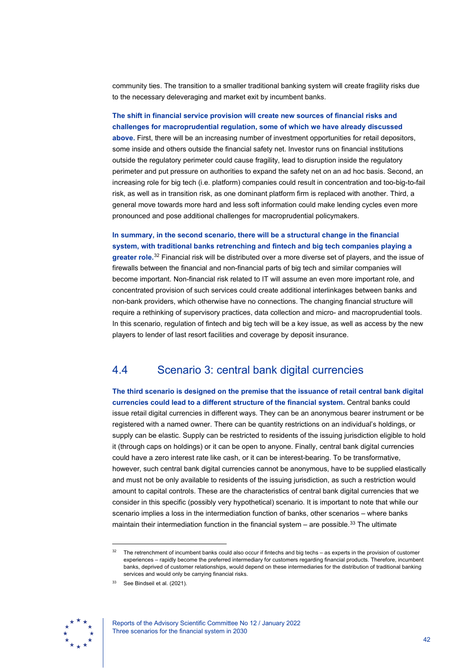community ties. The transition to a smaller traditional banking system will create fragility risks due to the necessary deleveraging and market exit by incumbent banks.

### **The shift in financial service provision will create new sources of financial risks and challenges for macroprudential regulation, some of which we have already discussed**

**above.** First, there will be an increasing number of investment opportunities for retail depositors, some inside and others outside the financial safety net. Investor runs on financial institutions outside the regulatory perimeter could cause fragility, lead to disruption inside the regulatory perimeter and put pressure on authorities to expand the safety net on an ad hoc basis. Second, an increasing role for big tech (i.e. platform) companies could result in concentration and too-big-to-fail risk, as well as in transition risk, as one dominant platform firm is replaced with another. Third, a general move towards more hard and less soft information could make lending cycles even more pronounced and pose additional challenges for macroprudential policymakers.

**In summary, in the second scenario, there will be a structural change in the financial system, with traditional banks retrenching and fintech and big tech companies playing a greater role.**[32](#page-42-1) Financial risk will be distributed over a more diverse set of players, and the issue of firewalls between the financial and non-financial parts of big tech and similar companies will become important. Non-financial risk related to IT will assume an even more important role, and concentrated provision of such services could create additional interlinkages between banks and non-bank providers, which otherwise have no connections. The changing financial structure will require a rethinking of supervisory practices, data collection and micro- and macroprudential tools. In this scenario, regulation of fintech and big tech will be a key issue, as well as access by the new players to lender of last resort facilities and coverage by deposit insurance.

## <span id="page-42-0"></span>4.4 Scenario 3: central bank digital currencies

**The third scenario is designed on the premise that the issuance of retail central bank digital currencies could lead to a different structure of the financial system.** Central banks could issue retail digital currencies in different ways. They can be an anonymous bearer instrument or be registered with a named owner. There can be quantity restrictions on an individual's holdings, or supply can be elastic. Supply can be restricted to residents of the issuing jurisdiction eligible to hold it (through caps on holdings) or it can be open to anyone. Finally, central bank digital currencies could have a zero interest rate like cash, or it can be interest-bearing. To be transformative, however, such central bank digital currencies cannot be anonymous, have to be supplied elastically and must not be only available to residents of the issuing jurisdiction, as such a restriction would amount to capital controls. These are the characteristics of central bank digital currencies that we consider in this specific (possibly very hypothetical) scenario. It is important to note that while our scenario implies a loss in the intermediation function of banks, other scenarios – where banks maintain their intermediation function in the financial system  $-$  are possible.<sup>[33](#page-42-2)</sup> The ultimate

<span id="page-42-2"></span><span id="page-42-1"></span><sup>33</sup> See Bindseil et al. (2021).



 $32$  The retrenchment of incumbent banks could also occur if fintechs and big techs – as experts in the provision of customer experiences – rapidly become the preferred intermediary for customers regarding financial products. Therefore, incumbent banks, deprived of customer relationships, would depend on these intermediaries for the distribution of traditional banking services and would only be carrying financial risks.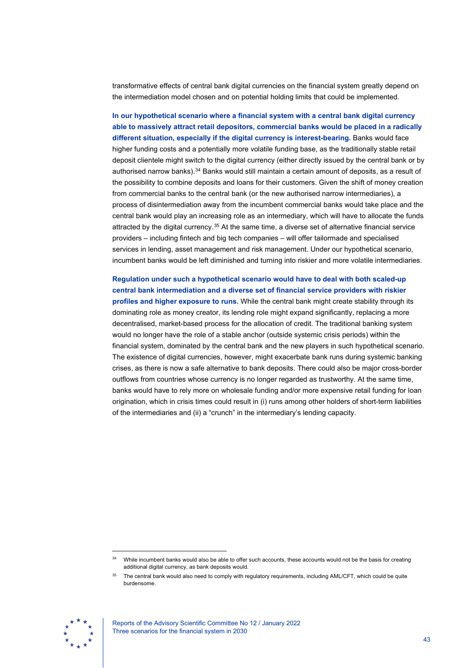transformative effects of central bank digital currencies on the financial system greatly depend on the intermediation model chosen and on potential holding limits that could be implemented.

**In our hypothetical scenario where a financial system with a central bank digital currency able to massively attract retail depositors, commercial banks would be placed in a radically different situation, especially if the digital currency is interest-bearing.** Banks would face higher funding costs and a potentially more volatile funding base, as the traditionally stable retail deposit clientele might switch to the digital currency (either directly issued by the central bank or by authorised narrow banks).[34](#page-43-0) Banks would still maintain a certain amount of deposits, as a result of the possibility to combine deposits and loans for their customers. Given the shift of money creation from commercial banks to the central bank (or the new authorised narrow intermediaries), a process of disintermediation away from the incumbent commercial banks would take place and the central bank would play an increasing role as an intermediary, which will have to allocate the funds attracted by the digital currency.[35](#page-43-1) At the same time, a diverse set of alternative financial service providers – including fintech and big tech companies – will offer tailormade and specialised services in lending, asset management and risk management. Under our hypothetical scenario, incumbent banks would be left diminished and turning into riskier and more volatile intermediaries.

**Regulation under such a hypothetical scenario would have to deal with both scaled-up central bank intermediation and a diverse set of financial service providers with riskier profiles and higher exposure to runs.** While the central bank might create stability through its dominating role as money creator, its lending role might expand significantly, replacing a more decentralised, market-based process for the allocation of credit. The traditional banking system would no longer have the role of a stable anchor (outside systemic crisis periods) within the financial system, dominated by the central bank and the new players in such hypothetical scenario. The existence of digital currencies, however, might exacerbate bank runs during systemic banking crises, as there is now a safe alternative to bank deposits. There could also be major cross-border outflows from countries whose currency is no longer regarded as trustworthy. At the same time, banks would have to rely more on wholesale funding and/or more expensive retail funding for loan origination, which in crisis times could result in (i) runs among other holders of short-term liabilities of the intermediaries and (ii) a "crunch" in the intermediary's lending capacity.

<span id="page-43-1"></span><span id="page-43-0"></span>The central bank would also need to comply with regulatory requirements, including AML/CFT, which could be quite burdensome.



Reports of the Advisory Scientific Committee No 12 / January 2022 Three scenarios for the financial system in 2030

While incumbent banks would also be able to offer such accounts, these accounts would not be the basis for creating additional digital currency, as bank deposits would.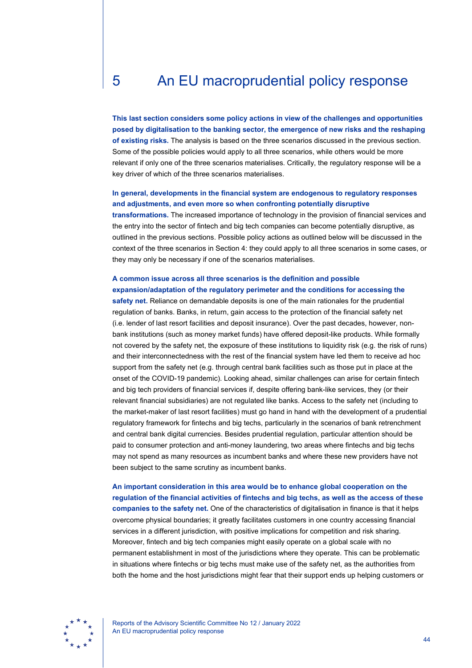# <span id="page-44-0"></span>5 An EU macroprudential policy response

**This last section considers some policy actions in view of the challenges and opportunities posed by digitalisation to the banking sector, the emergence of new risks and the reshaping of existing risks.** The analysis is based on the three scenarios discussed in the previous section. Some of the possible policies would apply to all three scenarios, while others would be more relevant if only one of the three scenarios materialises. Critically, the regulatory response will be a key driver of which of the three scenarios materialises.

### **In general, developments in the financial system are endogenous to regulatory responses and adjustments, and even more so when confronting potentially disruptive**

**transformations.** The increased importance of technology in the provision of financial services and the entry into the sector of fintech and big tech companies can become potentially disruptive, as outlined in the previous sections. Possible policy actions as outlined below will be discussed in the context of the three scenarios in Section 4: they could apply to all three scenarios in some cases, or they may only be necessary if one of the scenarios materialises.

## **A common issue across all three scenarios is the definition and possible**

**expansion/adaptation of the regulatory perimeter and the conditions for accessing the safety net.** Reliance on demandable deposits is one of the main rationales for the prudential regulation of banks. Banks, in return, gain access to the protection of the financial safety net (i.e. lender of last resort facilities and deposit insurance). Over the past decades, however, nonbank institutions (such as money market funds) have offered deposit-like products. While formally not covered by the safety net, the exposure of these institutions to liquidity risk (e.g. the risk of runs) and their interconnectedness with the rest of the financial system have led them to receive ad hoc support from the safety net (e.g. through central bank facilities such as those put in place at the onset of the COVID-19 pandemic). Looking ahead, similar challenges can arise for certain fintech and big tech providers of financial services if, despite offering bank-like services, they (or their relevant financial subsidiaries) are not regulated like banks. Access to the safety net (including to the market-maker of last resort facilities) must go hand in hand with the development of a prudential regulatory framework for fintechs and big techs, particularly in the scenarios of bank retrenchment and central bank digital currencies. Besides prudential regulation, particular attention should be paid to consumer protection and anti-money laundering, two areas where fintechs and big techs may not spend as many resources as incumbent banks and where these new providers have not been subject to the same scrutiny as incumbent banks.

**An important consideration in this area would be to enhance global cooperation on the regulation of the financial activities of fintechs and big techs, as well as the access of these companies to the safety net.** One of the characteristics of digitalisation in finance is that it helps overcome physical boundaries; it greatly facilitates customers in one country accessing financial services in a different jurisdiction, with positive implications for competition and risk sharing. Moreover, fintech and big tech companies might easily operate on a global scale with no permanent establishment in most of the jurisdictions where they operate. This can be problematic in situations where fintechs or big techs must make use of the safety net, as the authorities from both the home and the host jurisdictions might fear that their support ends up helping customers or



Reports of the Advisory Scientific Committee No 12 / January 2022 An EU macroprudential policy response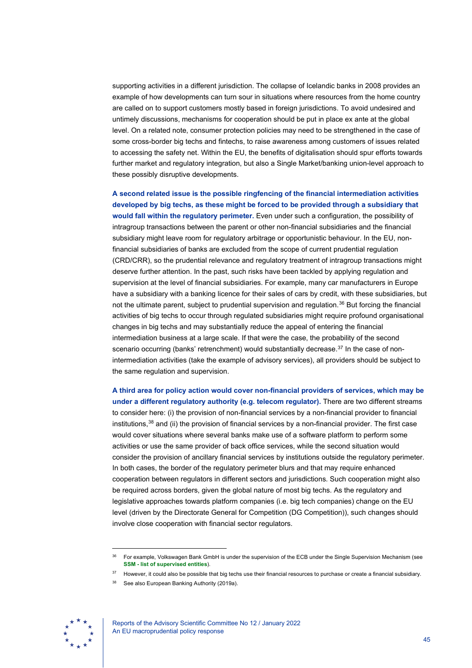supporting activities in a different jurisdiction. The collapse of Icelandic banks in 2008 provides an example of how developments can turn sour in situations where resources from the home country are called on to support customers mostly based in foreign jurisdictions. To avoid undesired and untimely discussions, mechanisms for cooperation should be put in place ex ante at the global level. On a related note, consumer protection policies may need to be strengthened in the case of some cross-border big techs and fintechs, to raise awareness among customers of issues related to accessing the safety net. Within the EU, the benefits of digitalisation should spur efforts towards further market and regulatory integration, but also a Single Market/banking union-level approach to these possibly disruptive developments.

**A second related issue is the possible ringfencing of the financial intermediation activities developed by big techs, as these might be forced to be provided through a subsidiary that would fall within the regulatory perimeter.** Even under such a configuration, the possibility of intragroup transactions between the parent or other non-financial subsidiaries and the financial subsidiary might leave room for regulatory arbitrage or opportunistic behaviour. In the EU, nonfinancial subsidiaries of banks are excluded from the scope of current prudential regulation (CRD/CRR), so the prudential relevance and regulatory treatment of intragroup transactions might deserve further attention. In the past, such risks have been tackled by applying regulation and supervision at the level of financial subsidiaries. For example, many car manufacturers in Europe have a subsidiary with a banking licence for their sales of cars by credit, with these subsidiaries, but not the ultimate parent, subject to prudential supervision and regulation.<sup>[36](#page-45-0)</sup> But forcing the financial activities of big techs to occur through regulated subsidiaries might require profound organisational changes in big techs and may substantially reduce the appeal of entering the financial intermediation business at a large scale. If that were the case, the probability of the second scenario occurring (banks' retrenchment) would substantially decrease.<sup>[37](#page-45-1)</sup> In the case of nonintermediation activities (take the example of advisory services), all providers should be subject to the same regulation and supervision.

**A third area for policy action would cover non-financial providers of services, which may be under a different regulatory authority (e.g. telecom regulator).** There are two different streams to consider here: (i) the provision of non-financial services by a non-financial provider to financial institutions, $38$  and (ii) the provision of financial services by a non-financial provider. The first case would cover situations where several banks make use of a software platform to perform some activities or use the same provider of back office services, while the second situation would consider the provision of ancillary financial services by institutions outside the regulatory perimeter. In both cases, the border of the regulatory perimeter blurs and that may require enhanced cooperation between regulators in different sectors and jurisdictions. Such cooperation might also be required across borders, given the global nature of most big techs. As the regulatory and legislative approaches towards platform companies (i.e. big tech companies) change on the EU level (driven by the Directorate General for Competition (DG Competition)), such changes should involve close cooperation with financial sector regulators.

<span id="page-45-2"></span><span id="page-45-1"></span><span id="page-45-0"></span>See also European Banking Authority (2019a).



<sup>&</sup>lt;sup>36</sup> For example, Volkswagen Bank GmbH is under the supervision of the ECB under the Single Supervision Mechanism (see **SSM - [list of supervised entities](https://www.bankingsupervision.europa.eu/ecb/pub/pdf/ssm.listofsupervisedentities202002.en.pdf)**).

<sup>37</sup> However, it could also be possible that big techs use their financial resources to purchase or create a financial subsidiary.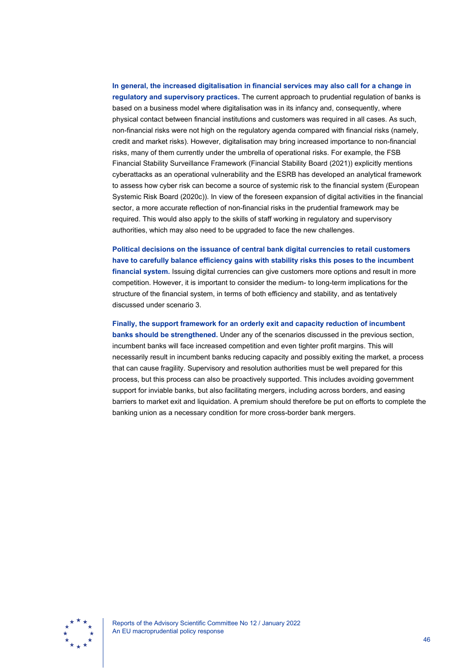**In general, the increased digitalisation in financial services may also call for a change in regulatory and supervisory practices.** The current approach to prudential regulation of banks is based on a business model where digitalisation was in its infancy and, consequently, where physical contact between financial institutions and customers was required in all cases. As such, non-financial risks were not high on the regulatory agenda compared with financial risks (namely, credit and market risks). However, digitalisation may bring increased importance to non-financial risks, many of them currently under the umbrella of operational risks. For example, the FSB Financial Stability Surveillance Framework (Financial Stability Board (2021)) explicitly mentions cyberattacks as an operational vulnerability and the ESRB has developed an analytical framework to assess how cyber risk can become a source of systemic risk to the financial system (European Systemic Risk Board (2020c)). In view of the foreseen expansion of digital activities in the financial sector, a more accurate reflection of non-financial risks in the prudential framework may be required. This would also apply to the skills of staff working in regulatory and supervisory authorities, which may also need to be upgraded to face the new challenges.

**Political decisions on the issuance of central bank digital currencies to retail customers have to carefully balance efficiency gains with stability risks this poses to the incumbent financial system.** Issuing digital currencies can give customers more options and result in more competition. However, it is important to consider the medium- to long-term implications for the structure of the financial system, in terms of both efficiency and stability, and as tentatively discussed under scenario 3.

**Finally, the support framework for an orderly exit and capacity reduction of incumbent banks should be strengthened.** Under any of the scenarios discussed in the previous section, incumbent banks will face increased competition and even tighter profit margins. This will necessarily result in incumbent banks reducing capacity and possibly exiting the market, a process that can cause fragility. Supervisory and resolution authorities must be well prepared for this process, but this process can also be proactively supported. This includes avoiding government support for inviable banks, but also facilitating mergers, including across borders, and easing barriers to market exit and liquidation. A premium should therefore be put on efforts to complete the banking union as a necessary condition for more cross-border bank mergers.

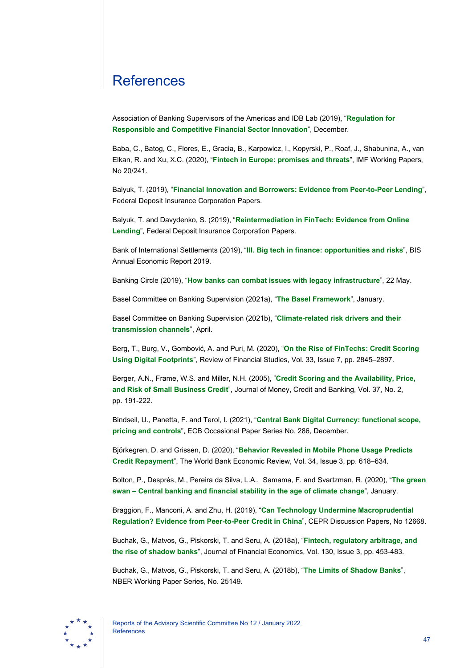# <span id="page-47-0"></span>**References**

Association of Banking Supervisors of the Americas and IDB Lab (2019), "**[Regulation for](http://www.asbasupervision.com/es/bibl/i-publicaciones-asba/i-1-grupos-de-trabajo/2207-global-fintech-regulation-and-supervision-practices-1/file)  [Responsible and Competitive Financial Sector Innovation](http://www.asbasupervision.com/es/bibl/i-publicaciones-asba/i-1-grupos-de-trabajo/2207-global-fintech-regulation-and-supervision-practices-1/file)**", December.

Baba, C., Batog, C., Flores, E., Gracia, B., Karpowicz, I., Kopyrski, P., Roaf, J., Shabunina, A., van Elkan, R. and Xu, X.C. (2020), "**[Fintech in Europe: promises and threats](https://www.imf.org/-/media/Files/Publications/WP/2020/English/wpiea2020241-print-pdf.ashx)**", IMF Working Papers, No 20/241.

Balyuk, T. (2019), "**[Financial Innovation and Borrowers: Evidence from Peer-to-Peer Lending](https://www.fdic.gov/bank/analytical/fintech/papers/balyuk-paper.pdf)**", Federal Deposit Insurance Corporation Papers.

Balyuk, T. and Davydenko, S. (2019), "**[Reintermediation in FinTech: Evidence from Online](https://www.fdic.gov/analysis/cfr/bank-research-conference/annual-18th/22-balyuk.pdf)  [Lending](https://www.fdic.gov/analysis/cfr/bank-research-conference/annual-18th/22-balyuk.pdf)**", Federal Deposit Insurance Corporation Papers.

Bank of International Settlements (2019), "**[III. Big tech in finance: opportunities and risks](https://www.bis.org/publ/arpdf/ar2019e3.pdf)**", BIS Annual Economic Report 2019.

Banking Circle (2019), "**[How banks can combat issues with legacy infrastructure](https://www.bankingcircle.com/how-banks-combat-legacy-infrastructure-058028)**", 22 May.

Basel Committee on Banking Supervision (2021a), "**[The Basel Framework](https://www.bis.org/basel_framework/index.htm?export=pdf)**", January.

Basel Committee on Banking Supervision (2021b), "**[Climate-related risk drivers and their](https://www.bis.org/bcbs/publ/d517.pdf)  [transmission channels](https://www.bis.org/bcbs/publ/d517.pdf)**", April.

Berg, T., Burg, V., Gombović, A. and Puri, M. (2020), "**[On the Rise of FinTechs: Credit Scoring](https://academic.oup.com/rfs/article/33/7/2845/5568311)  [Using Digital Footprints](https://academic.oup.com/rfs/article/33/7/2845/5568311)**", Review of Financial Studies, Vol. 33, Issue 7, pp. 2845–2897.

Berger, A.N., Frame, W.S. and Miller, N.H. (2005), "**[Credit Scoring and the Availability, Price,](https://www.jstor.org/stable/3838924?seq=1#metadata_info_tab_contents)  [and Risk of Small Business Credit](https://www.jstor.org/stable/3838924?seq=1#metadata_info_tab_contents)**", Journal of Money, Credit and Banking, Vol. 37, No. 2, pp. 191-222.

Bindseil, U., Panetta, F. and Terol, I. (2021), "**[Central Bank Digital Currency: functional scope,](https://www.ecb.europa.eu/pub/pdf/scpops/ecb.op286%7E9d472374ea.en.pdf?2dfe373fb889c60a88fa65393caa5255)  [pricing and controls](https://www.ecb.europa.eu/pub/pdf/scpops/ecb.op286%7E9d472374ea.en.pdf?2dfe373fb889c60a88fa65393caa5255)**", ECB Occasional Paper Series No. 286, December.

Björkegren, D. and Grissen, D. (2020), "**[Behavior Revealed in Mobile Phone Usage Predicts](https://academic.oup.com/wber/article/34/3/618/5622690?login=true)  [Credit Repayment](https://academic.oup.com/wber/article/34/3/618/5622690?login=true)**", The World Bank Economic Review, Vol. 34, Issue 3, pp. 618–634.

Bolton, P., Després, M., Pereira da Silva, L.A., Samama, F. and Svartzman, R. (2020), "**[The green](https://www.bis.org/publ/othp31.pdf)  swan – [Central banking and financial stability in the age of climate change](https://www.bis.org/publ/othp31.pdf)**", January.

Braggion, F., Manconi, A. and Zhu, H. (2019), "**[Can Technology Undermine Macroprudential](https://cepr.org/active/publications/discussion_papers/dp.php?dpno=12668)  [Regulation? Evidence from Peer-to-Peer Credit in China](https://cepr.org/active/publications/discussion_papers/dp.php?dpno=12668)**", CEPR Discussion Papers, No 12668.

Buchak, G., Matvos, G., Piskorski, T. and Seru, A. (2018a), "**[Fintech, regulatory arbitrage, and](https://www.sciencedirect.com/science/article/pii/S0304405X1830237X)  [the rise of shadow banks](https://www.sciencedirect.com/science/article/pii/S0304405X1830237X)**", Journal of Financial Economics, Vol. 130, Issue 3, pp. 453-483.

Buchak, G., Matvos, G., Piskorski, T. and Seru, A. (2018b), "**[The Limits of Shadow Banks](https://www.nber.org/system/files/working_papers/w25149/revisions/w25149.rev1.pdf)**", NBER Working Paper Series, No. 25149.

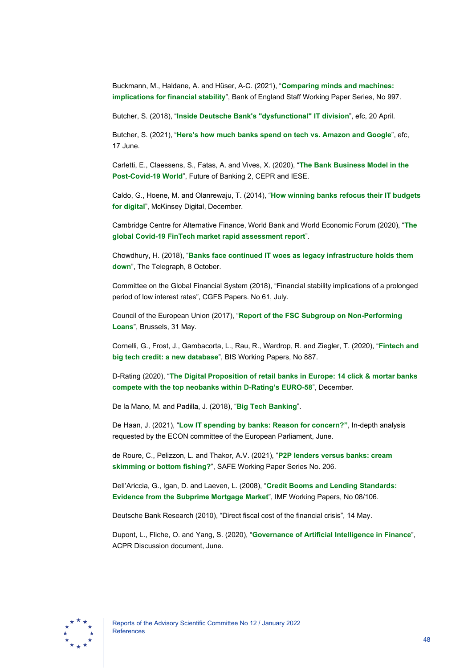Buckmann, M., Haldane, A. and Hüser, A-C. (2021), "**[Comparing minds and machines:](https://www.bankofengland.co.uk/-/media/boe/files/working-paper/2021/comparing-minds-and-machines-implications-for-financial-stability.pdf?la=en&hash=B0F212774AD08E3E44A373646BC6BA8F791F8FBB)  [implications for financial stability](https://www.bankofengland.co.uk/-/media/boe/files/working-paper/2021/comparing-minds-and-machines-implications-for-financial-stability.pdf?la=en&hash=B0F212774AD08E3E44A373646BC6BA8F791F8FBB)**", Bank of England Staff Working Paper Series, No 997.

Butcher, S. (2018), "**[Inside Deutsche Bank's "dysfunctional" IT division](https://news.efinancialcareers.com/uk-en/313445/technology-at-deutsche-bank)**", efc, 20 April.

Butcher, S. (2021), "**[Here's how much banks spend on tech vs. Amazon and Google](https://www.efinancialcareers.com/news/finance/banks-tech-spending-vs-google-and-amazon)**", efc, 17 June.

Carletti, E., Claessens, S., Fatas, A. and Vives, X. (2020), "**[The Bank Business Model in the](https://media.iese.edu/research/pdfs/ST-0549-E.pdf)  [Post-Covid-19 World](https://media.iese.edu/research/pdfs/ST-0549-E.pdf)**", Future of Banking 2, CEPR and IESE.

Caldo, G., Hoene, M. and Olanrewaju, T. (2014), "**[How winning banks refocus their IT budgets](https://www.mckinsey.com/business-functions/mckinsey-digital/our-insights/how-winning-banks-refocus-their-it-budgets-for-digital)  [for digital](https://www.mckinsey.com/business-functions/mckinsey-digital/our-insights/how-winning-banks-refocus-their-it-budgets-for-digital)**", McKinsey Digital, December.

Cambridge Centre for Alternative Finance, World Bank and World Economic Forum (2020), "**[The](https://www.jbs.cam.ac.uk/wp-content/uploads/2021/03/2020-ccaf-global-covid-fintech-market-rapid-assessment-study-v2.pdf)  [global Covid-19 FinTech market rapid assessment report](https://www.jbs.cam.ac.uk/wp-content/uploads/2021/03/2020-ccaf-global-covid-fintech-market-rapid-assessment-study-v2.pdf)**".

Chowdhury, H. (2018), "**[Banks face continued IT woes as legacy infrastructure holds them](https://www.telegraph.co.uk/technology/2018/10/08/banks-face-continued-woes-legacy-infrastructure-holds/)  [down](https://www.telegraph.co.uk/technology/2018/10/08/banks-face-continued-woes-legacy-infrastructure-holds/)**", The Telegraph, 8 October.

Committee on the Global Financial System (2018), "Financial stability implications of a prolonged period of low interest rates", CGFS Papers. No 61, July.

Council of the European Union (2017), "**[Report of the FSC Subgroup on Non-Performing](http://data.consilium.europa.eu/doc/document/ST-9854-2017-INIT/en/pdf)  [Loans](http://data.consilium.europa.eu/doc/document/ST-9854-2017-INIT/en/pdf)**", Brussels, 31 May.

Cornelli, G., Frost, J., Gambacorta, L., Rau, R., Wardrop, R. and Ziegler, T. (2020), "**[Fintech and](https://www.bis.org/publ/work887.pdf)  [big tech credit: a new database](https://www.bis.org/publ/work887.pdf)**", BIS Working Papers, No 887.

D-Rating (2020), "**[The Digital Proposition of retail banks in Europe: 14 click & mortar banks](https://www.d-rating.com/post/the-digital-proposition-of-retail-banks-in-europe)  [compete with the top neobanks within D-Rating's EURO-58](https://www.d-rating.com/post/the-digital-proposition-of-retail-banks-in-europe)**", December.

De la Mano, M. and Padilla, J. (2018), "**[Big Tech Banking](https://s1.aebanca.es/wp-content/uploads/2018/12/de-la-mano-padilla-2018-big-tech-banking-15.0.pdf)**".

De Haan, J. (2021), "**[Low IT spending by banks: Reason for concern?"](https://www.europarl.europa.eu/RegData/etudes/IDAN/2021/689439/IPOL_IDA(2021)689439_EN.pdf)**, In-depth analysis requested by the ECON committee of the European Parliament, June.

de Roure, C., Pelizzon, L. and Thakor, A.V. (2021), "**[P2P lenders versus banks: cream](https://papers.ssrn.com/sol3/papers.cfm?abstract_id=3174632)  [skimming or bottom fishing?](https://papers.ssrn.com/sol3/papers.cfm?abstract_id=3174632)**", SAFE Working Paper Series No. 206.

Dell'Ariccia, G., Igan, D. and Laeven, L. (2008), "**[Credit Booms and Lending Standards:](https://www.imf.org/external/pubs/ft/wp/2008/wp08106.pdf)  [Evidence from the Subprime Mortgage Market](https://www.imf.org/external/pubs/ft/wp/2008/wp08106.pdf)**", IMF Working Papers, No 08/106.

Deutsche Bank Research (2010), "Direct fiscal cost of the financial crisis", 14 May.

Dupont, L., Fliche, O. and Yang, S. (2020), "**[Governance of Artificial Intelligence in Finance](https://acpr.banque-france.fr/sites/default/files/medias/documents/20200612_ai_governance_finance.pdf)**", ACPR Discussion document, June.

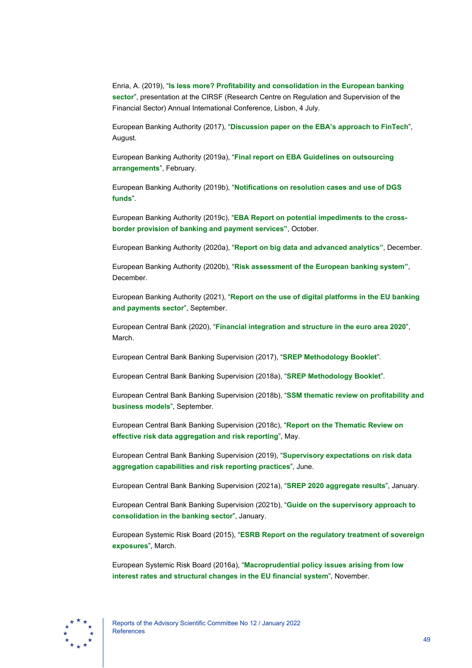Enria, A. (2019), "**[Is less more? Profitability and consolidation in the European banking](https://www.bankingsupervision.europa.eu/press/speeches/date/2019/html/ssm.sp190704%7E1f442782ac.en.pdf)  [sector](https://www.bankingsupervision.europa.eu/press/speeches/date/2019/html/ssm.sp190704%7E1f442782ac.en.pdf)**", presentation at the CIRSF (Research Centre on Regulation and Supervision of the Financial Sector) Annual International Conference, Lisbon, 4 July.

European Banking Authority (2017), "**[Discussion paper on the EBA's approach to FinTech](https://www.eba.europa.eu/sites/default/documents/files/documents/10180/1919160/7a1b9cda-10ad-4315-91ce-d798230ebd84/EBA%20Discussion%20Paper%20on%20Fintech%20%28EBA-DP-2017-02%29.pdf?retry=1)**", August.

European Banking Authority (2019a), "**[Final report on EBA Guidelines on outsourcing](https://www.eba.europa.eu/sites/default/documents/files/documents/10180/2551996/38c80601-f5d7-4855-8ba3-702423665479/EBA%20revised%20Guidelines%20on%20outsourcing%20arrangements.pdf?retry=1)  [arrangements](https://www.eba.europa.eu/sites/default/documents/files/documents/10180/2551996/38c80601-f5d7-4855-8ba3-702423665479/EBA%20revised%20Guidelines%20on%20outsourcing%20arrangements.pdf?retry=1)**", February.

European Banking Authority (2019b), "**[Notifications on resolution cases and use of DGS](https://eba.europa.eu/regulation-and-policy/recovery-and-resolution/notifications-on-resolution-cases-and-use-of-dgs-funds)  [funds](https://eba.europa.eu/regulation-and-policy/recovery-and-resolution/notifications-on-resolution-cases-and-use-of-dgs-funds)**".

European Banking Authority (2019c), "**[EBA Report on potential impediments to the cross](https://www.eba.europa.eu/sites/default/documents/files/document_library/EBA%20Report%20on%20potential%20impediments%20to%20the%20cross-border%20provision%20of%20banking%20and%20payment%20services.pdf)[border provision of banking and payment services"](https://www.eba.europa.eu/sites/default/documents/files/document_library/EBA%20Report%20on%20potential%20impediments%20to%20the%20cross-border%20provision%20of%20banking%20and%20payment%20services.pdf)**, October.

European Banking Authority (2020a), "**[Report on big data and advanced analytics"](https://www.eba.europa.eu/sites/default/documents/files/document_library/Final%20Report%20on%20Big%20Data%20and%20Advanced%20Analytics.pdf)**, December.

European Banking Authority (2020b), "**[Risk assessment of the European banking system"](https://www.eba.europa.eu/sites/default/documents/files/document_library/Risk%20Analysis%20and%20Data/Risk%20Assessment%20Reports/2020/December%202020/961060/Risk%20Assessment_Report_December_2020.pdf)**, December.

European Banking Authority (2021), "**[Report on the use of digital platforms in the EU banking](https://www.eba.europa.eu/sites/default/documents/files/document_library/Publications/Reports/2021/1019865/EBA%20Digital%20platforms%20report%20-%20210921.pdf)  [and payments sector](https://www.eba.europa.eu/sites/default/documents/files/document_library/Publications/Reports/2021/1019865/EBA%20Digital%20platforms%20report%20-%20210921.pdf)**", September.

European Central Bank (2020), "**[Financial integration and structure in the euro area 2020](https://www.ecb.europa.eu/pub/fie/html/ecb.fie202003%7E197074785e.en.html)**", March.

European Central Bank Banking Supervision (2017), "**[SREP Methodology Booklet](https://www.bankingsupervision.europa.eu/ecb/pub/pdf/ssm.srep_methodology_booklet_2017.en.pdf)**".

European Central Bank Banking Supervision (2018a), "**[SREP Methodology Booklet](https://www.bankingsupervision.europa.eu/ecb/pub/pdf/ssm.srep_methodology_booklet_2018%7Eb0e30ced94.en.pdf)**".

European Central Bank Banking Supervision (2018b), "**[SSM thematic review on profitability and](https://www.bankingsupervision.europa.eu/ecb/pub/pdf/ssm.thematicreviewprofitabilitybusinessmodels_201809.en.pdf)  [business models](https://www.bankingsupervision.europa.eu/ecb/pub/pdf/ssm.thematicreviewprofitabilitybusinessmodels_201809.en.pdf)**", September.

European Central Bank Banking Supervision (2018c), "**[Report on the Thematic Review on](https://www.bankingsupervision.europa.eu/ecb/pub/pdf/ssm.BCBS_239_report_201805.pdf)  [effective risk data aggregation and risk reporting](https://www.bankingsupervision.europa.eu/ecb/pub/pdf/ssm.BCBS_239_report_201805.pdf)**", May.

European Central Bank Banking Supervision (2019), "**[Supervisory expectations on risk data](https://www.bankingsupervision.europa.eu/press/letterstobanks/shared/pdf/2019/ssm.supervisory_expectations_on_risk_data_aggregation_capabilities_and_risk_reporting_practices_201906.en.pdf?1e870b7800417deacb3cd8c8c9eb937a)  [aggregation capabilities and risk reporting practices](https://www.bankingsupervision.europa.eu/press/letterstobanks/shared/pdf/2019/ssm.supervisory_expectations_on_risk_data_aggregation_capabilities_and_risk_reporting_practices_201906.en.pdf?1e870b7800417deacb3cd8c8c9eb937a)**", June.

European Central Bank Banking Supervision (2021a), "**[SREP 2020 aggregate results](https://www.bankingsupervision.europa.eu/banking/srep/2021/html/ssm.srepaggregateresults2021.en.html)**", January.

European Central Bank Banking Supervision (2021b), "**[Guide on the supervisory approach to](https://www.bankingsupervision.europa.eu/ecb/pub/pdf/ssm.guideconsolidation2101%7Efb6f871dc2.en.pdf)  [consolidation in the banking sector](https://www.bankingsupervision.europa.eu/ecb/pub/pdf/ssm.guideconsolidation2101%7Efb6f871dc2.en.pdf)**", January.

European Systemic Risk Board (2015), "**[ESRB Report on the regulatory treatment of sovereign](https://www.esrb.europa.eu/pub/pdf/reports/esrbreportregulatorytreatmentsovereignexposures032015.en.pdf)  [exposures](https://www.esrb.europa.eu/pub/pdf/reports/esrbreportregulatorytreatmentsovereignexposures032015.en.pdf)**", March.

European Systemic Risk Board (2016a), "**[Macroprudential policy issues arising from low](https://www.esrb.europa.eu/pub/pdf/reports/161128_low_interest_rate_report.en.pdf)  [interest rates and structural changes in the EU financial system](https://www.esrb.europa.eu/pub/pdf/reports/161128_low_interest_rate_report.en.pdf)**", November.

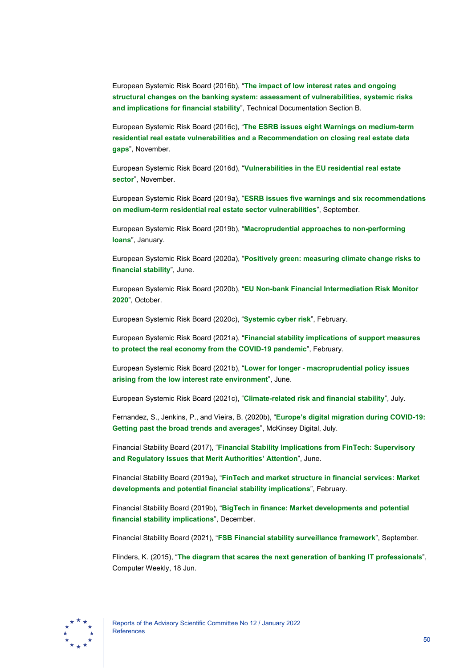European Systemic Risk Board (2016b), "**[The impact of low interest rates and ongoing](https://www.esrb.europa.eu/pub/pdf/reports/161128_low_interest_rate_report_annex_b.en.pdf)  [structural changes on the banking system: assessment of vulnerabilities, systemic risks](https://www.esrb.europa.eu/pub/pdf/reports/161128_low_interest_rate_report_annex_b.en.pdf)  [and implications for financial stability](https://www.esrb.europa.eu/pub/pdf/reports/161128_low_interest_rate_report_annex_b.en.pdf)**", Technical Documentation Section B.

European Systemic Risk Board (2016c), "**[The ESRB issues eight Warnings on medium-term](https://www.esrb.europa.eu/news/pr/date/2016/html/pr161128.en.html)  [residential real estate vulnerabilities and a Recommendation on closing real estate data](https://www.esrb.europa.eu/news/pr/date/2016/html/pr161128.en.html)  [gaps](https://www.esrb.europa.eu/news/pr/date/2016/html/pr161128.en.html)**", November.

European Systemic Risk Board (2016d), "**[Vulnerabilities in the EU residential real estate](https://www.esrb.europa.eu/pub/pdf/reports/161128_vulnerabilities_eu_residential_real_estate_sector.en.pdf)  [sector](https://www.esrb.europa.eu/pub/pdf/reports/161128_vulnerabilities_eu_residential_real_estate_sector.en.pdf)**", November.

European Systemic Risk Board (2019a), "**[ESRB issues five warnings and six recommendations](https://www.esrb.europa.eu/news/pr/date/2019/html/esrb.pr190923%7E75f4b1856d.en.html)  [on medium-term residential real estate sector vulnerabilities](https://www.esrb.europa.eu/news/pr/date/2019/html/esrb.pr190923%7E75f4b1856d.en.html)**", September.

European Systemic Risk Board (2019b), "**[Macroprudential approaches to non-performing](https://www.esrb.europa.eu/pub/pdf/reports/esrb.report190128_macropudentialapproachestonon-performingloans.en.pdf)  [loans](https://www.esrb.europa.eu/pub/pdf/reports/esrb.report190128_macropudentialapproachestonon-performingloans.en.pdf)**", January.

European Systemic Risk Board (2020a), "**[Positively green: measuring climate change risks to](https://www.esrb.europa.eu/pub/pdf/reports/esrb.report200608_on_Positively_green_-_Measuring_climate_change_risks_to_financial_stability%7Ed903a83690.en.pdf)  [financial stability](https://www.esrb.europa.eu/pub/pdf/reports/esrb.report200608_on_Positively_green_-_Measuring_climate_change_risks_to_financial_stability%7Ed903a83690.en.pdf)**", June.

European Systemic Risk Board (2020b), "**[EU Non-bank Financial Intermediation Risk Monitor](https://www.esrb.europa.eu/pub/pdf/reports/nbfi_monitor/esrb.202010_eunon-bankfinancialintermediationriskmonitor2020%7E89c25e1973.en.pdf)  [2020](https://www.esrb.europa.eu/pub/pdf/reports/nbfi_monitor/esrb.202010_eunon-bankfinancialintermediationriskmonitor2020%7E89c25e1973.en.pdf)**", October.

European Systemic Risk Board (2020c), "**[Systemic cyber risk](https://www.esrb.europa.eu/pub/pdf/reports/esrb.report200219_systemiccyberrisk%7E101a09685e.en.pdf)**", February.

European Systemic Risk Board (2021a), "**[Financial stability implications of support measures](https://www.esrb.europa.eu/pub/pdf/reports/esrb.reports210216_FSI_covid19%7Ecf3d32ae66.en.pdf)  [to protect the real economy from the COVID-19 pandemic](https://www.esrb.europa.eu/pub/pdf/reports/esrb.reports210216_FSI_covid19%7Ecf3d32ae66.en.pdf)**", February.

European Systemic Risk Board (2021b), "**Lower for longer - [macroprudential policy issues](https://www.esrb.europa.eu/pub/pdf/reports/esrb.reports210601_low_interest_rate%7E199fb84437.en.pdf)  [arising from the low interest rate environment](https://www.esrb.europa.eu/pub/pdf/reports/esrb.reports210601_low_interest_rate%7E199fb84437.en.pdf)**", June.

European Systemic Risk Board (2021c), "**[Climate-related risk and financial stability](https://www.esrb.europa.eu/pub/pdf/reports/esrb.climateriskfinancialstability202107%7E79c10eba1a.en.pdf)**", July.

Fernandez, S., Jenkins, P., and Vieira, B. (2020b), "**[Europe's digital migration during COVID-19:](https://www.mckinsey.com/%7E/media/mckinsey/business%20functions/mckinsey%20digital/our%20insights/europes%20digital%20migration%20during%20covid%2019/europes-digital-migration-during-covid-19.pdf)  [Getting past the broad trends and averages](https://www.mckinsey.com/%7E/media/mckinsey/business%20functions/mckinsey%20digital/our%20insights/europes%20digital%20migration%20during%20covid%2019/europes-digital-migration-during-covid-19.pdf)**", McKinsey Digital, July.

Financial Stability Board (2017), "**[Financial Stability Implications from FinTech: Supervisory](https://www.fsb.org/wp-content/uploads/R270617.pdf)  [and Regulatory Issues that Merit Authorities' Attention](https://www.fsb.org/wp-content/uploads/R270617.pdf)**", June.

Financial Stability Board (2019a), "**[FinTech and market structure in financial services: Market](https://www.fsb.org/wp-content/uploads/P140219.pdf)  [developments and potential financial stability implications](https://www.fsb.org/wp-content/uploads/P140219.pdf)**", February.

Financial Stability Board (2019b), "**BigTech [in finance: Market developments and potential](https://www.fsb.org/wp-content/uploads/P091219-1.pdf)  [financial stability implications](https://www.fsb.org/wp-content/uploads/P091219-1.pdf)**", December.

Financial Stability Board (2021), "**[FSB Financial stability surveillance framework](https://www.fsb.org/wp-content/uploads/P300921.pdf)**", September.

Flinders, K. (2015), "**[The diagram that scares the next generation of banking IT professionals](https://www.computerweekly.com/news/4500248392/The-diagram-that-scares-the-next-generation-of-banking-IT-professionals)**", Computer Weekly, 18 Jun.

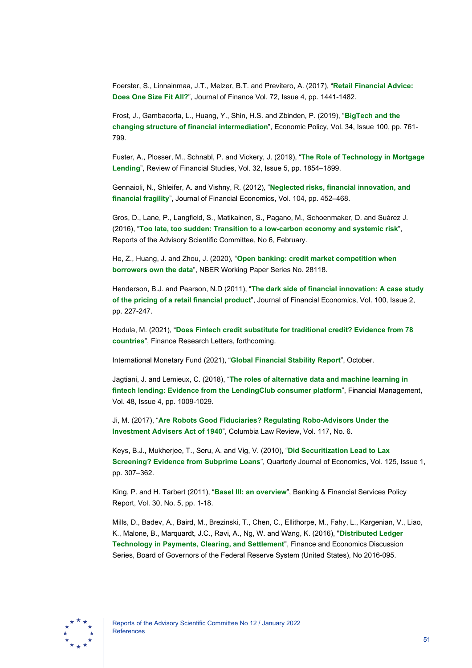Foerster, S., Linnainmaa, J.T., Melzer, B.T. and Previtero, A. (2017), "**[Retail Financial Advice:](https://onlinelibrary.wiley.com/doi/full/10.1111/jofi.12514)  [Does One Size Fit All?](https://onlinelibrary.wiley.com/doi/full/10.1111/jofi.12514)**", Journal of Finance Vol. 72, Issue 4, pp. 1441-1482.

Frost, J., Gambacorta, L., Huang, Y., Shin, H.S. and Zbinden, P. (2019), "**[BigTech](https://academic.oup.com/economicpolicy/article/34/100/761/5709813) and the [changing structure of financial intermediation](https://academic.oup.com/economicpolicy/article/34/100/761/5709813)**", Economic Policy, Vol. 34, Issue 100, pp. 761- 799.

Fuster, A., Plosser, M., Schnabl, P. and Vickery, J. (2019), "**[The Role of Technology in Mortgage](https://academic.oup.com/rfs/article/32/5/1854/5427780)  [Lending](https://academic.oup.com/rfs/article/32/5/1854/5427780)**", Review of Financial Studies, Vol. 32, Issue 5, pp. 1854–1899.

Gennaioli, N., Shleifer, A. and Vishny, R. (2012), "**[Neglected risks, financial innovation, and](https://scholar.harvard.edu/files/shleifer/files/neglected_risks_jfe_final.pdf)  [financial fragility](https://scholar.harvard.edu/files/shleifer/files/neglected_risks_jfe_final.pdf)**", Journal of Financial Economics, Vol. 104, pp. 452–468.

Gros, D., Lane, P., Langfield, S., Matikainen, S., Pagano, M., Schoenmaker, D. and Suárez J. (2016), "**[Too late, too sudden: Transition to a low-carbon economy and systemic risk](https://www.esrb.europa.eu/pub/pdf/asc/Reports_ASC_6_1602.pdf)**", Reports of the Advisory Scientific Committee, No 6, February.

He, Z., Huang, J. and Zhou, J. (2020), "**[Open banking: credit market competition when](https://www.nber.org/system/files/working_papers/w28118/w28118.pdf)  [borrowers own the data](https://www.nber.org/system/files/working_papers/w28118/w28118.pdf)**", NBER Working Paper Series No. 28118.

Henderson, B.J. and Pearson, N.D (2011), "**[The dark side of financial innovation: A case study](https://www.sciencedirect.com/science/article/pii/S0304405X10002953)  [of the pricing of a retail financial product](https://www.sciencedirect.com/science/article/pii/S0304405X10002953)**", Journal of Financial Economics, Vol. 100, Issue 2, pp. 227-247.

Hodula, M. (2021), "**[Does Fintech credit substitute for traditional credit? Evidence from 78](https://www.sciencedirect.com/science/article/pii/S1544612321004499)  [countries](https://www.sciencedirect.com/science/article/pii/S1544612321004499)**", Finance Research Letters, forthcoming.

International Monetary Fund (2021), "**[Global Financial Stability Report](https://www.imf.org/-/media/Files/Publications/GFSR/2021/October/English/ch2.ashx)**", October.

Jagtiani, J. and Lemieux, C. (2018), "**[The roles of alternative data and machine learning in](https://onlinelibrary.wiley.com/doi/full/10.1111/fima.12295)  [fintech lending: Evidence from the LendingClub consumer platform](https://onlinelibrary.wiley.com/doi/full/10.1111/fima.12295)**", Financial Management, Vol. 48, Issue 4, pp. 1009-1029.

Ji, M. (2017), "**[Are Robots Good Fiduciaries? Regulating Robo-Advisors Under the](https://papers.ssrn.com/sol3/papers.cfm?abstract_id=3036722)  [Investment Advisers Act of 1940](https://papers.ssrn.com/sol3/papers.cfm?abstract_id=3036722)**", Columbia Law Review, Vol. 117, No. 6.

Keys, B.J., Mukherjee, T., Seru, A. and Vig, V. (2010), "**[Did Securitization Lead to Lax](https://academic.oup.com/qje/article/125/1/307/1880343)  [Screening? Evidence from Subprime Loans](https://academic.oup.com/qje/article/125/1/307/1880343)**", Quarterly Journal of Economics, Vol. 125, Issue 1, pp. 307–362.

King, P. and H. Tarbert (2011), "**[Basel III: an overview](https://www.weil.com/%7E/media/files/pdfs/Basel_III_May_2011.pdf)**", Banking & Financial Services Policy Report, Vol. 30, No. 5, pp. 1-18.

Mills, D., Badev, A., Baird, M., Brezinski, T., Chen, C., Ellithorpe, M., Fahy, L., Kargenian, V., Liao, K., Malone, B., Marquardt, J.C., Ravi, A., Ng, W. and Wang, K. (2016), "**[Distributed Ledger](https://www.federalreserve.gov/econresdata/feds/2016/files/2016095pap.pdf)  [Technology in Payments, Clearing, and Settlement](https://www.federalreserve.gov/econresdata/feds/2016/files/2016095pap.pdf)**", Finance and Economics Discussion Series, Board of Governors of the Federal Reserve System (United States), No 2016-095.

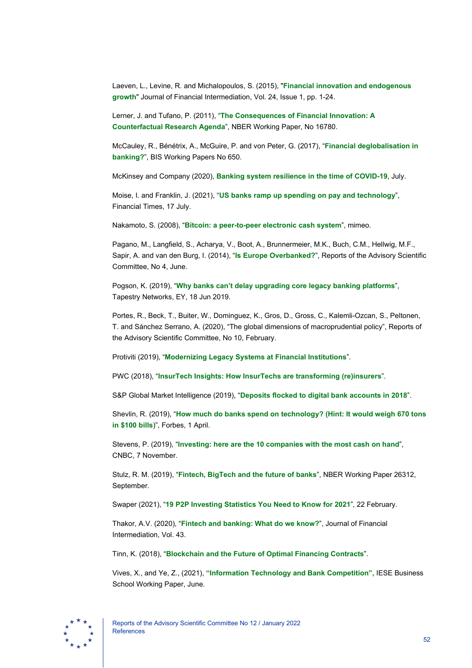Laeven, L., Levine, R. and Michalopoulos, S. (2015), "**[Financial innovation and endogenous](https://www.sciencedirect.com/science/article/pii/S1042957314000229)  [growth](https://www.sciencedirect.com/science/article/pii/S1042957314000229)**" Journal of Financial Intermediation, Vol. 24, Issue 1, pp. 1-24.

Lerner, J. and Tufano, P. (2011), "**[The Consequences of Financial Innovation: A](https://www.nber.org/papers/w16780)  [Counterfactual Research Agenda](https://www.nber.org/papers/w16780)**", NBER Working Paper, No 16780.

McCauley, R., Bénétrix, A., McGuire, P. and von Peter, G. (2017), "**[Financial deglobalisation in](https://www.bis.org/publ/work650.pdf)  [banking?](https://www.bis.org/publ/work650.pdf)**", BIS Working Papers No 650.

McKinsey and Company (2020), **[Banking system resilience in the time of COVID-19](https://www.mckinsey.com/industries/financial-services/our-insights/banking-system-resilience-in-the-time-of-covid-19#/)**, July.

Moise, I. and Franklin, J. (2021), "**[US banks ramp up spending on pay and technology](https://www.ft.com/content/37945600-b2ca-4739-8c79-d3f6cbb83ceb)**", Financial Times, 17 July.

Nakamoto, S. (2008), "**[Bitcoin: a peer-to-peer electronic cash system](https://bitcoin.org/bitcoin.pdf)**", mimeo.

Pagano, M., Langfield, S., Acharya, V., Boot, A., Brunnermeier, M.K., Buch, C.M., Hellwig, M.F., Sapir, A. and van den Burg, I. (2014), "**[Is Europe Overbanked?](https://www.esrb.europa.eu/pub/pdf/asc/Reports_ASC_4_1406.pdf)**", Reports of the Advisory Scientific Committee, No 4, June.

Pogson, K. (2019), "**[Why banks can't delay upgrading core legacy banking platforms](https://www.ey.com/en_gl/banking-capital-markets/why-banks-can-t-delay-upgrading-core-legacy-banking-platforms)**", Tapestry Networks, EY, 18 Jun 2019.

Portes, R., Beck, T., Buiter, W., Dominguez, K., Gros, D., Gross, C., Kalemli-Ozcan, S., Peltonen, T. and Sánchez Serrano, A. (2020), "The global dimensions of macroprudential policy", Reports of the Advisory Scientific Committee, No 10, February.

Protiviti (2019), "**[Modernizing Legacy Systems at Financial Institutions](https://www.protiviti.com/sites/default/files/united_states/insights/modernizing-legacy-systems-financial-institutions-protiviti.pdf)**".

PWC (2018), "**[InsurTech Insights: How InsurTechs are transforming \(re\)insurers](https://www.pwc.com/gx/en/insurance/pdf/pwc-insurtechs-transforming-reinsurers.pdf)**".

S&P Global Market Intelligence (2019), "**[Deposits flocked to digital bank accounts in 2018](https://www.spglobal.com/marketintelligence/en/news-insights/trending/X_4W__D4FFVuBLptS40w_A2)**".

Shevlin, R. (2019), "**[How much do banks spend on technology? \(Hint: It would weigh 670 tons](https://www.forbes.com/sites/ronshevlin/2019/04/01/how-much-do-banks-spend-on-technology-hint-chase-spends-more-than-all-credit-unions-combined/?sh=143dd543683a)  [in \\$100 bills](https://www.forbes.com/sites/ronshevlin/2019/04/01/how-much-do-banks-spend-on-technology-hint-chase-spends-more-than-all-credit-unions-combined/?sh=143dd543683a)**)", Forbes, 1 April.

Stevens, P. (2019), "**[Investing: here are the 10 companies with the most cash on hand](https://www.cnbc.com/2019/11/07/microsoft-apple-and-alphabet-are-sitting-on-more-than-100-billion-in-cash.html)**", CNBC, 7 November.

Stulz, R. M. (2019), "**Fintech, BigTech [and the future of banks](https://www.nber.org/papers/w26312.pdf)**", NBER Working Paper 26312, September.

Swaper (2021), "**[19 P2P Investing Statistics You Need to Know for 2021](https://swaper.com/blog/p2p-investing-statistics/)**", 22 February.

Thakor, A.V. (2020), "**[Fintech and banking: What do we know?](https://www.sciencedirect.com/science/article/pii/S104295731930049X)**", Journal of Financial Intermediation, Vol. 43.

Tinn, K. (2018), "**[Blockchain and the Future of Optimal Financing Contracts](https://papers.ssrn.com/sol3/papers.cfm?abstract_id=3061532)**".

Vives, X., and Ye, Z., (2021), **["Information Technology and Bank Competition",](https://ssrn.com/abstract=3863988%20or%20http:/dx.doi.org/10.2139/ssrn.3863988)** IESE Business School Working Paper, June.

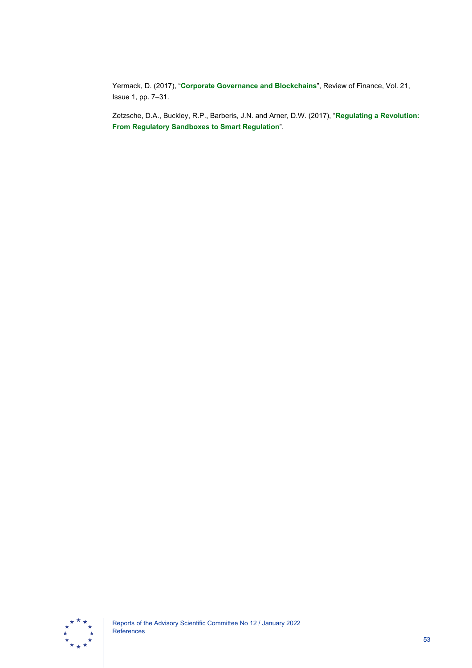Yermack, D. (2017), "**[Corporate Governance and Blockchains](https://academic.oup.com/rof/article/21/1/7/2888422)**", Review of Finance, Vol. 21, Issue 1, pp. 7–31.

Zetzsche, D.A., Buckley, R.P., Barberis, J.N. and Arner, D.W. (2017), "**[Regulating a Revolution:](https://papers.ssrn.com/sol3/papers.cfm?abstract_id=3018534)  [From Regulatory Sandboxes to Smart Regulation](https://papers.ssrn.com/sol3/papers.cfm?abstract_id=3018534)**".

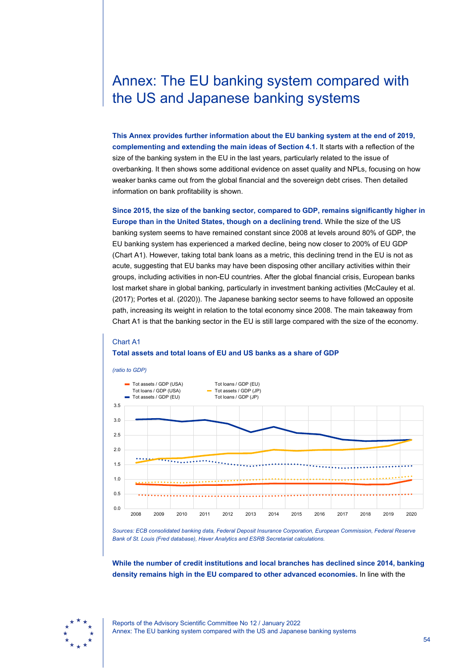# <span id="page-54-0"></span>Annex: The EU banking system compared with the US and Japanese banking systems

**This Annex provides further information about the EU banking system at the end of 2019, complementing and extending the main ideas of Section 4.1.** It starts with a reflection of the size of the banking system in the EU in the last years, particularly related to the issue of overbanking. It then shows some additional evidence on asset quality and NPLs, focusing on how weaker banks came out from the global financial and the sovereign debt crises. Then detailed information on bank profitability is shown.

**Since 2015, the size of the banking sector, compared to GDP, remains significantly higher in Europe than in the United States, though on a declining trend.** While the size of the US banking system seems to have remained constant since 2008 at levels around 80% of GDP, the EU banking system has experienced a marked decline, being now closer to 200% of EU GDP (Chart A1). However, taking total bank loans as a metric, this declining trend in the EU is not as acute, suggesting that EU banks may have been disposing other ancillary activities within their groups, including activities in non-EU countries. After the global financial crisis, European banks lost market share in global banking, particularly in investment banking activities (McCauley et al. (2017); Portes et al. (2020)). The Japanese banking sector seems to have followed an opposite path, increasing its weight in relation to the total economy since 2008. The main takeaway from Chart A1 is that the banking sector in the EU is still large compared with the size of the economy.

### Chart A1 **Total assets and total loans of EU and US banks as a share of GDP**



*Sources: ECB consolidated banking data, Federal Deposit Insurance Corporation, European Commission, Federal Reserve Bank of St. Louis (Fred database), Haver Analytics and ESRB Secretariat calculations.* 

**While the number of credit institutions and local branches has declined since 2014, banking density remains high in the EU compared to other advanced economies.** In line with the

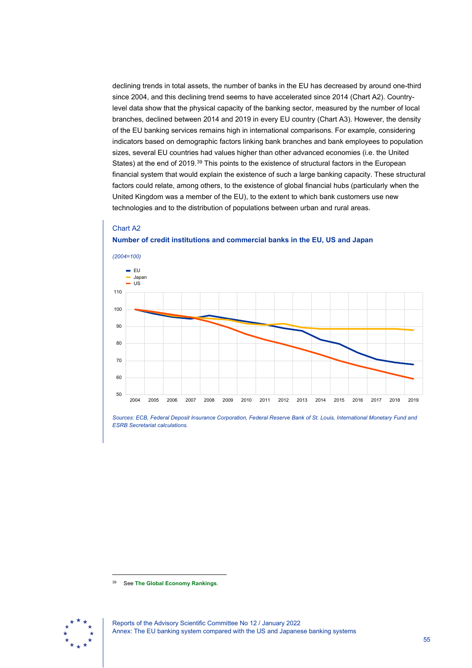declining trends in total assets, the number of banks in the EU has decreased by around one-third since 2004, and this declining trend seems to have accelerated since 2014 (Chart A2). Countrylevel data show that the physical capacity of the banking sector, measured by the number of local branches, declined between 2014 and 2019 in every EU country (Chart A3). However, the density of the EU banking services remains high in international comparisons. For example, considering indicators based on demographic factors linking bank branches and bank employees to population sizes, several EU countries had values higher than other advanced economies (i.e. the United States) at the end of 2019.[39](#page-55-0) This points to the existence of structural factors in the European financial system that would explain the existence of such a large banking capacity. These structural factors could relate, among others, to the existence of global financial hubs (particularly when the United Kingdom was a member of the EU), to the extent to which bank customers use new technologies and to the distribution of populations between urban and rural areas.

### Chart A2 **Number of credit institutions and commercial banks in the EU, US and Japan**



*Sources: ECB, Federal Deposit Insurance Corporation, Federal Reserve Bank of St. Louis, International Monetary Fund and ESRB Secretariat calculations.* 

<span id="page-55-0"></span><sup>39</sup> See **[The Global Economy Rankings](https://www.theglobaleconomy.com/rankings/bank_branches/)**.

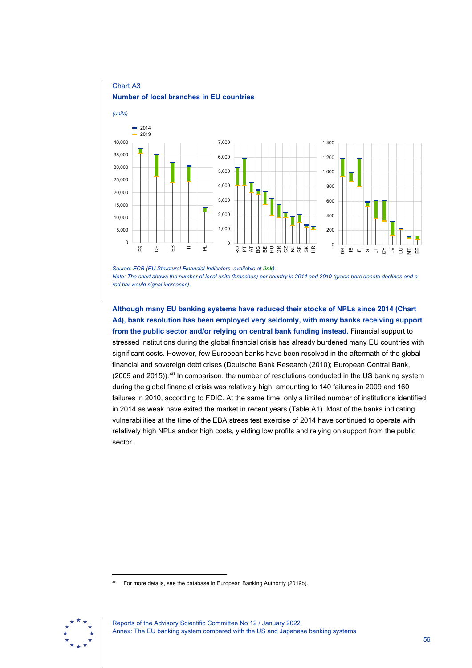

*Source: ECB (EU Structural Financial Indicators, available at [link](https://www.ecb.europa.eu/press/pr/date/2020/html/ecb.pr200608_ssi_table%7E3054d55051.en.pdf)). Note: The chart shows the number of local units (branches) per country in 2014 and 2019 (green bars denote declines and a red bar would signal increases).*

**Although many EU banking systems have reduced their stocks of NPLs since 2014 (Chart A4), bank resolution has been employed very seldomly, with many banks receiving support from the public sector and/or relying on central bank funding instead.** Financial support to stressed institutions during the global financial crisis has already burdened many EU countries with significant costs. However, few European banks have been resolved in the aftermath of the global financial and sovereign debt crises (Deutsche Bank Research (2010); European Central Bank, (2009 and 2015)).<sup>[40](#page-56-0)</sup> In comparison, the number of resolutions conducted in the US banking system during the global financial crisis was relatively high, amounting to 140 failures in 2009 and 160 failures in 2010, according to FDIC. At the same time, only a limited number of institutions identified in 2014 as weak have exited the market in recent years (Table A1). Most of the banks indicating vulnerabilities at the time of the EBA stress test exercise of 2014 have continued to operate with relatively high NPLs and/or high costs, yielding low profits and relying on support from the public sector.

<span id="page-56-0"></span>For more details, see the database in European Banking Authority (2019b).

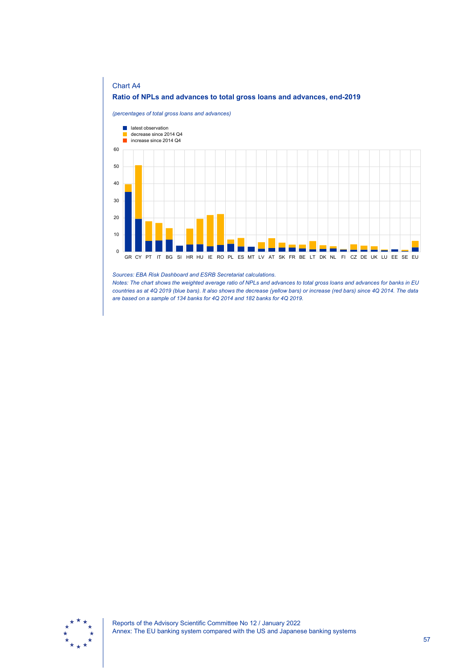

### *Sources: EBA Risk Dashboard and ESRB Secretariat calculations.*

*Notes: The chart shows the weighted average ratio of NPLs and advances to total gross loans and advances for banks in EU countries as at 4Q 2019 (blue bars). It also shows the decrease (yellow bars) or increase (red bars) since 4Q 2014. The data are based on a sample of 134 banks for 4Q 2014 and 182 banks for 4Q 2019.*

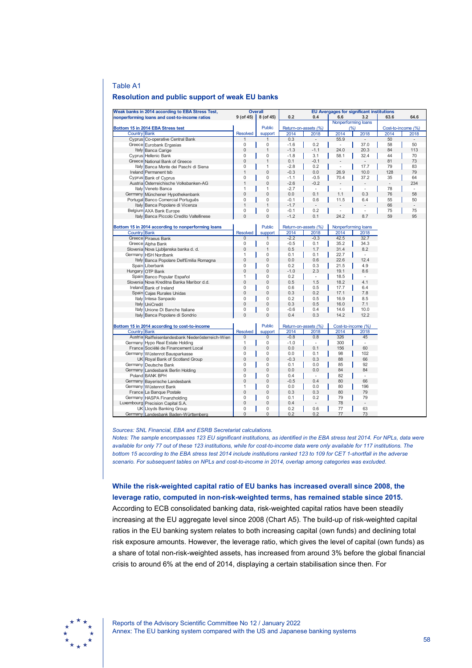### Table A1

### **Resolution and public support of weak EU banks**

| Weak banks in 2014 according to EBA Stress Test, |                                                    | <b>Overall</b>      |                      | <b>EU Avergages for significant institutions</b> |                     |                          |                          |          |          |
|--------------------------------------------------|----------------------------------------------------|---------------------|----------------------|--------------------------------------------------|---------------------|--------------------------|--------------------------|----------|----------|
| nonperforming loans and cost-to-income ratios    |                                                    | $9($ of 45 $)$      | 8 (of 45)            | 0.2                                              | 0.4                 | 6.6                      | 3.2                      | 63.6     | 64.6     |
|                                                  |                                                    |                     |                      |                                                  | Nonperforming loans |                          |                          |          |          |
| Bottom 15 in 2014 EBA Stress test                |                                                    | <b>Public</b>       | Return-on-assets (%) |                                                  | (%)                 |                          | Cost-to-income (%)       |          |          |
| Country Bank                                     | <b>Resolved</b>                                    | support             | 2014                 | 2018                                             | 2014                | 2018                     | 2014                     | 2018     |          |
|                                                  | Cyprus Co-operative Central Bank                   | 1                   |                      | 0.3                                              | $\frac{1}{2}$       | 55.9                     | $\overline{\phantom{a}}$ | 50       |          |
|                                                  | Greece Eurobank Ergasias                           | 0                   | 0                    | $-1.6$                                           | 0.2                 | $\overline{a}$           | 37.0                     | 58       | 50       |
|                                                  | Italy Banca Carige                                 | 0                   | 1                    | $-1.3$                                           | $-1.1$              | 24.0                     | 20.3                     | 84       | 113      |
|                                                  | Cyprus Hellenic Bank                               | $\mathbf 0$         | 0                    | $-1.8$                                           | 3.1                 | 58.1                     | 32.4                     | 44       | 70       |
|                                                  | Greece National Bank of Greece                     | 0                   | 1                    | 0.1                                              | $-0.1$              |                          |                          | 81       | 73       |
| Italy                                            | Banca Monte dei Paschi di Siena                    | 0                   | $\mathbf{1}$         | $-2.8$                                           | 0.2                 | $\overline{a}$           | 17.7                     | 79       | 83       |
|                                                  | Ireland Permanent tsb                              | $\mathbf{1}$        | 0                    | $-0.3$                                           | 0.0                 | 26.9                     | 10.0                     | 128      | 79       |
|                                                  | Cyprus Bank of Cyprus                              | $\mathbf 0$         | 0                    | $-1.1$                                           | $-0.5$              | 70.4                     | 37.2                     | 35       | 64       |
|                                                  | Austria Österreichische Volksbanken-AG             | $\mathbf{1}$        | 0                    | $-2.6$                                           | $-0.2$              |                          |                          |          | 234      |
|                                                  | Italy Veneto Banca                                 | 1                   | 1                    | $-2.7$                                           | $\sim$              | ÷,                       | $\overline{a}$           | 78       | ÷.       |
|                                                  | Germany Münchener Hypothekenbank                   | $\overline{0}$      | 0                    | 0.0                                              | 0.1                 | 1.1                      | 0.3                      | 76       | 58       |
|                                                  | Portugal Banco Comercial Português                 | $\mathbf 0$         | 0                    | $-0.1$                                           | 0.6                 | 11.5                     | 6.4                      | 55       | 50       |
|                                                  | Italy Banca Popolare di Vicenza                    | 1                   | $\mathbf{1}$         | $-1.7$                                           | $\overline{a}$      |                          |                          | 66       |          |
|                                                  |                                                    | 0                   | 0                    |                                                  | 0.2                 | $\overline{\phantom{0}}$ |                          |          |          |
|                                                  | Belgium AXA Bank Europe                            | $\overline{0}$      | $\Omega$             | $-0.1$<br>$-1.2$                                 | 0.1                 | 24.2                     | 8.7                      | 75<br>59 | 75<br>95 |
|                                                  | Italy Banca Piccolo Credito Valtellinese           |                     |                      |                                                  |                     |                          |                          |          |          |
|                                                  |                                                    |                     | <b>Public</b>        | Return-on-assets (%)                             |                     |                          |                          |          |          |
| Country Bank                                     | Bottom 15 in 2014 according to nonperforming loans | <b>Resolved</b>     |                      |                                                  |                     | Nonperforming loans      |                          |          |          |
|                                                  | Greece Piraeus Bank                                | 0                   | support<br>1         | 2014<br>$-2.2$                                   | 2018<br>$-0.3$      | 2014<br>42.5             | 2018<br>32.7             |          |          |
|                                                  |                                                    | 0                   | 0                    | $-0.5$                                           |                     | 35.2                     |                          |          |          |
|                                                  | Greece Alpha Bank                                  | $\mathbf 0$         | 1                    |                                                  | 0.1                 |                          | 34.3                     |          |          |
|                                                  | Slovenia Nova Ljubljanska banka d. d.              |                     |                      | 0.5                                              | 1.7                 | 31.4                     | 8.2                      |          |          |
|                                                  | Germany HSH Nordbank                               | 1                   | 0                    | 0.1                                              | 0.1                 | 22.7                     | ÷.                       |          |          |
|                                                  | Italy Banca Popolare Dell'Emilia Romagna           | $\mathbf 0$         | 0                    | 0.0                                              | 0.6                 | 22.6                     | 12.4                     |          |          |
|                                                  | Spain Liberbank                                    | $\mathbf 0$         | 0                    | 0.2                                              | 0.3                 | 21.5                     | 4.9                      |          |          |
|                                                  | Hungary OTP Bank                                   | $\mathbf 0$         | $\mathbf 0$          | $-1.0$                                           | 2.3                 | 19.1                     | 8.6                      |          |          |
|                                                  | Spain Banco Popular Español                        | 1                   | 0                    | 0.2                                              | ÷,                  | 18.5                     |                          |          |          |
|                                                  | Slovenia Nova Kreditna Banka Maribor d.d.          | $\mathbf 0$         | $\overline{0}$       | 0.5                                              | 1.5                 | 18.2                     | 4.1                      |          |          |
|                                                  | Ireland Bank of Ireland                            | 0                   | 0                    | 0.6                                              | 0.5                 | 17.7                     | 6.4                      |          |          |
|                                                  | Spain Cajas Rurales Unidas                         | $\bf 0$             | 0                    | 0.3                                              | 0.2                 | 17.1                     | 7.8                      |          |          |
|                                                  | Italy Intesa Sanpaolo                              | $\mathbf 0$         | 0                    | 0.2                                              | 0.5                 | 16.9                     | 8.5                      |          |          |
| Italy                                            | <b>UniCredit</b>                                   | $\mathbf 0$         | $\mathbf 0$          | 0.3                                              | 0.5                 | 16.0                     | 7.1                      |          |          |
|                                                  | Italy Unione Di Banche Italiane                    | 0                   | 0                    | $-0.6$                                           | 0.4                 | 14.6                     | 10.0                     |          |          |
|                                                  | Italy Banca Popolare di Sondrio                    | $\mathbf 0$         | $\Omega$             | 0.4                                              | 0.3                 | 14.2                     | 12.2                     |          |          |
| Bottom 15 in 2014 according to cost-to-income    |                                                    |                     | <b>Public</b>        | Return-on-assets (%)                             |                     | Cost-to-income (%)       |                          |          |          |
| Country Bank                                     |                                                    | <b>Resolved</b>     | support              | 2014                                             | 2018                | 2014                     | 2018                     |          |          |
|                                                  | Austria Raiffeisenlandesbank Niederösterreich-Wien | $\bf 0$             | 0                    | $-0.8$                                           | 0.8                 | 326                      | 45                       |          |          |
|                                                  | Germany Hypo Real Estate Holding                   | 1                   | 0                    | $-1.0$                                           | ÷,                  | 300                      | L,                       |          |          |
|                                                  | France Société de Financement Local                | $\mathbf 0$         | $\overline{0}$       | 0.0                                              | 0.1                 | 156                      | 60                       |          |          |
|                                                  | Germany Wüstenrot Bausparkasse                     | $\mathbf 0$         | 0                    | 0.0                                              | 0.1                 | 98                       | 102                      |          |          |
|                                                  | UK Royal Bank of Scotland Group                    | $\mathbf 0$         | 0                    | $-0.3$                                           | 0.3                 | 88                       | 66                       |          |          |
|                                                  | Germany Deutsche Bank                              | 0                   | 0                    | 0.1                                              | 0.0                 | 85                       | 92                       |          |          |
| Germany                                          | Landesbank Berlin Holding                          | $\overline{0}$      | $\overline{0}$       | 0.0                                              | 0.0                 | 84                       | 84                       |          |          |
|                                                  | Poland BANK BPH                                    | 0                   | 0                    | 0.4                                              | ÷,                  | 82                       |                          |          |          |
|                                                  | Germany Bayerische Landesbank                      | $\mathbf{0}$        | $\mathbf 0$          | $-0.5$                                           | 0.4                 | 80                       | 66                       |          |          |
|                                                  | Germany Wüstenrot Bank                             | 1                   | 0                    | 0.0                                              | 0.0                 | 80                       | 196                      |          |          |
|                                                  | France La Banque Postale                           | $\mathsf{O}\xspace$ | 0                    | 0.3                                              | 0.3                 | 80                       | 79                       |          |          |
|                                                  | Germany HASPA Finanzholding                        | 0                   | 0                    | 0.1                                              | 0.2                 | 79                       | 79                       |          |          |
|                                                  |                                                    | 0                   | 0                    | 0.4                                              |                     | 78                       |                          |          |          |
|                                                  | Luxembourg Precision Capital S.A.                  | 0                   | 0                    | 0.2                                              | 0.6                 | 77                       | 63                       |          |          |
|                                                  | UK Lloyds Banking Group                            | 0                   | $\overline{0}$       |                                                  |                     | 77                       | 73                       |          |          |
|                                                  | Germany Landesbank Baden-Württemberg               |                     |                      | 0.2                                              | 0.2                 |                          |                          |          |          |

### *Sources: SNL Financial, EBA and ESRB Secretariat calculations.*

*Notes: The sample encompasses 123 EU significant institutions, as identified in the EBA stress test 2014. For NPLs, data were available for only 77 out of these 123 institutions, while for cost-to-income data were only available for 117 institutions. The bottom 15 according to the EBA stress test 2014 include institutions ranked 123 to 109 for CET 1-shortfall in the adverse scenario. For subsequent tables on NPLs and cost-to-income in 2014, overlap among categories was excluded.*

**While the risk-weighted capital ratio of EU banks has increased overall since 2008, the leverage ratio, computed in non-risk-weighted terms, has remained stable since 2015.** According to ECB consolidated banking data, risk-weighted capital ratios have been steadily increasing at the EU aggregate level since 2008 (Chart A5). The build-up of risk-weighted capital ratios in the EU banking system relates to both increasing capital (own funds) and declining total risk exposure amounts. However, the leverage ratio, which gives the level of capital (own funds) as a share of total non-risk-weighted assets, has increased from around 3% before the global financial crisis to around 6% at the end of 2014, displaying a certain stabilisation since then. For

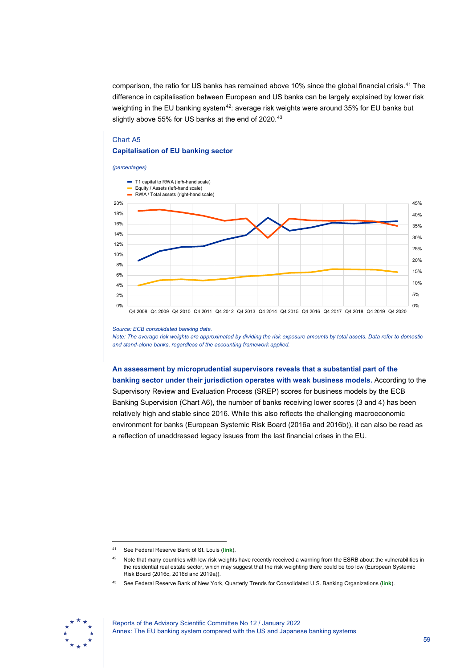comparison, the ratio for US banks has remained above 10% since the global financial crisis[.41](#page-59-0) The difference in capitalisation between European and US banks can be largely explained by lower risk weighting in the EU banking system<sup>[42](#page-59-1)</sup>: average risk weights were around 35% for EU banks but slightly above 55% for US banks at the end of 2020.<sup>[43](#page-59-2)</sup>

## Chart A5 **Capitalisation of EU banking sector**

### *(percentages)*



#### *Source: ECB consolidated banking data.*

*Note: The average risk weights are approximated by dividing the risk exposure amounts by total assets. Data refer to domestic and stand-alone banks, regardless of the accounting framework applied.*

## **An assessment by microprudential supervisors reveals that a substantial part of the banking sector under their jurisdiction operates with weak business models.** According to the Supervisory Review and Evaluation Process (SREP) scores for business models by the ECB Banking Supervision (Chart A6), the number of banks receiving lower scores (3 and 4) has been relatively high and stable since 2016. While this also reflects the challenging macroeconomic environment for banks (European Systemic Risk Board (2016a and 2016b)), it can also be read as a reflection of unaddressed legacy issues from the last financial crises in the EU.

<span id="page-59-2"></span><span id="page-59-1"></span><span id="page-59-0"></span><sup>43</sup> See Federal Reserve Bank of New York, Quarterly Trends for Consolidated U.S. Banking Organizations (**link**).



<sup>41</sup> See Federal Reserve Bank of St. Louis (**link**).

<sup>42</sup> Note that many countries with low risk weights have recently received a warning from the ESRB about the vulnerabilities in the residential real estate sector, which may suggest that the risk weighting there could be too low (European Systemic Risk Board (2016c, 2016d and 2019a)).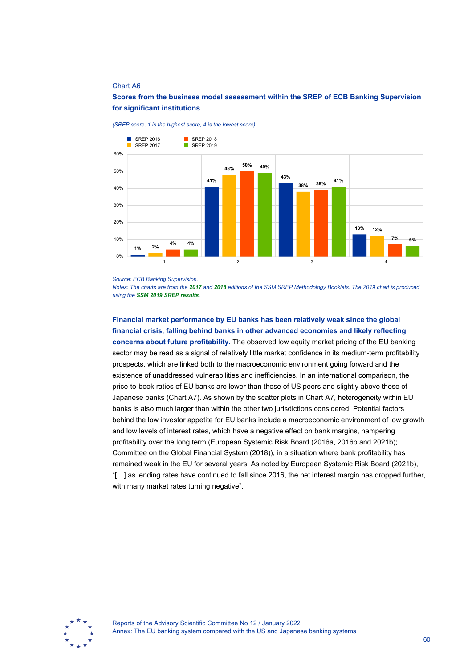### Chart A6

### **Scores from the business model assessment within the SREP of ECB Banking Supervision for significant institutions**



*(SREP score, 1 is the highest score, 4 is the lowest score)*

*Source: ECB Banking Supervision.*

*Notes: The charts are from the [2017](https://www.bankingsupervision.europa.eu/ecb/pub/pdf/ssm.srep_methodology_booklet_2017.en.pdf) and [2018](https://www.bankingsupervision.europa.eu/ecb/pub/pdf/ssm.srep_methodology_booklet_2018%7Eb0e30ced94.en.pdf) editions of the SSM SREP Methodology Booklets. The 2019 chart is produced using the [SSM 2019 SREP results](https://www.bankingsupervision.europa.eu/banking/srep/2019/html/aggregate_results_2019.en.html#toc1).*

**Financial market performance by EU banks has been relatively weak since the global financial crisis, falling behind banks in other advanced economies and likely reflecting concerns about future profitability.** The observed low equity market pricing of the EU banking sector may be read as a signal of relatively little market confidence in its medium-term profitability prospects, which are linked both to the macroeconomic environment going forward and the existence of unaddressed vulnerabilities and inefficiencies. In an international comparison, the price-to-book ratios of EU banks are lower than those of US peers and slightly above those of Japanese banks (Chart A7). As shown by the scatter plots in Chart A7, heterogeneity within EU banks is also much larger than within the other two jurisdictions considered. Potential factors behind the low investor appetite for EU banks include a macroeconomic environment of low growth and low levels of interest rates, which have a negative effect on bank margins, hampering profitability over the long term (European Systemic Risk Board (2016a, 2016b and 2021b); Committee on the Global Financial System (2018)), in a situation where bank profitability has remained weak in the EU for several years. As noted by European Systemic Risk Board (2021b), "[…] as lending rates have continued to fall since 2016, the net interest margin has dropped further, with many market rates turning negative".

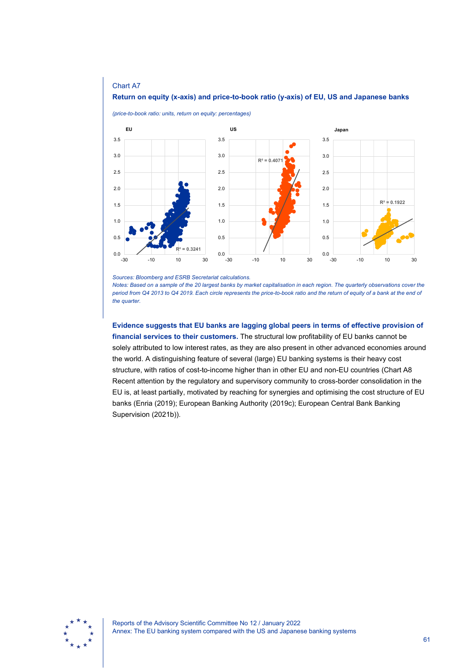

### **Return on equity (x-axis) and price-to-book ratio (y-axis) of EU, US and Japanese banks**

*Sources: Bloomberg and ESRB Secretariat calculations.*

-30 -10 10 30

0.3241

 $0.0$  – 30

0.5

1.0

Chart A7

0.0

0.5

1.0

*Notes: Based on a sample of the 20 largest banks by market capitalisation in each region. The quarterly observations cover the period from Q4 2013 to Q4 2019. Each circle represents the price-to-book ratio and the return of equity of a bank at the end of the quarter.*

-30 -10 10 30

0.0

-30 -10 10 30

0.5

1.0

**Evidence suggests that EU banks are lagging global peers in terms of effective provision of financial services to their customers.** The structural low profitability of EU banks cannot be solely attributed to low interest rates, as they are also present in other advanced economies around the world. A distinguishing feature of several (large) EU banking systems is their heavy cost structure, with ratios of cost-to-income higher than in other EU and non-EU countries (Chart A8 Recent attention by the regulatory and supervisory community to cross-border consolidation in the EU is, at least partially, motivated by reaching for synergies and optimising the cost structure of EU banks (Enria (2019); European Banking Authority (2019c); European Central Bank Banking Supervision (2021b)).

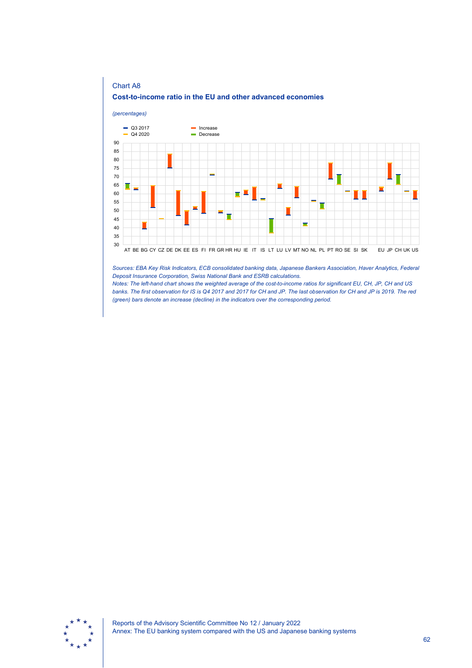





*Sources: EBA Key Risk Indicators, ECB consolidated banking data, Japanese Bankers Association, Haver Analytics, Federal Deposit Insurance Corporation, Swiss National Bank and ESRB calculations.*

*Notes: The left-hand chart shows the weighted average of the cost-to-income ratios for significant EU, CH, JP, CH and US banks. The first observation for IS is Q4 2017 and 2017 for CH and JP. The last observation for CH and JP is 2019. The red (green) bars denote an increase (decline) in the indicators over the corresponding period.*